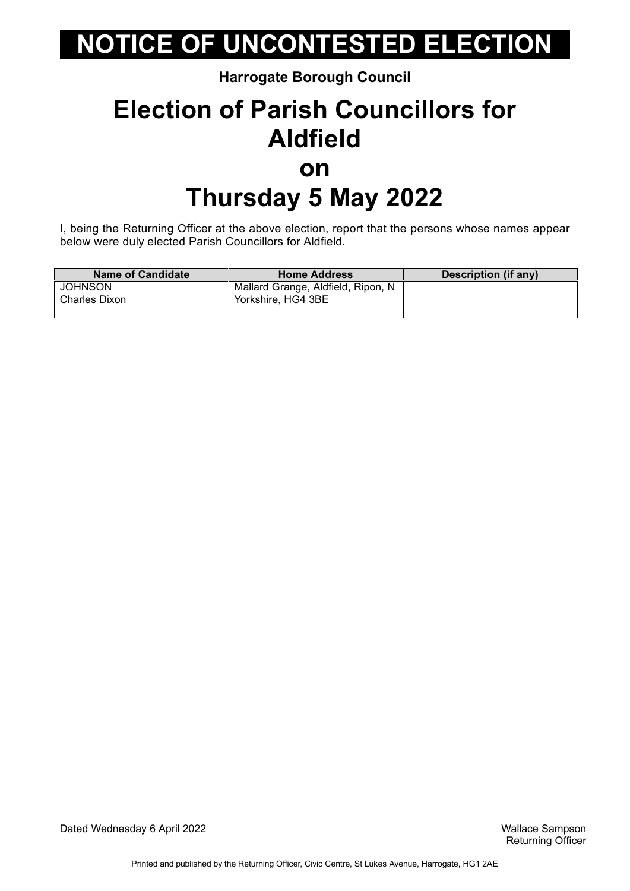**Harrogate Borough Council**

### **Election of Parish Councillors for Aldfield on Thursday 5 May 2022**

I, being the Returning Officer at the above election, report that the persons whose names appear below were duly elected Parish Councillors for Aldfield.

| <b>Name of Candidate</b> | <b>Home Address</b>                | Description (if any) |
|--------------------------|------------------------------------|----------------------|
| <b>JOHNSON</b>           | Mallard Grange, Aldfield, Ripon, N |                      |
| Charles Dixon            | Yorkshire, HG4 3BE                 |                      |
|                          |                                    |                      |

Dated Wednesday 6 April 2022 Wallace Sampson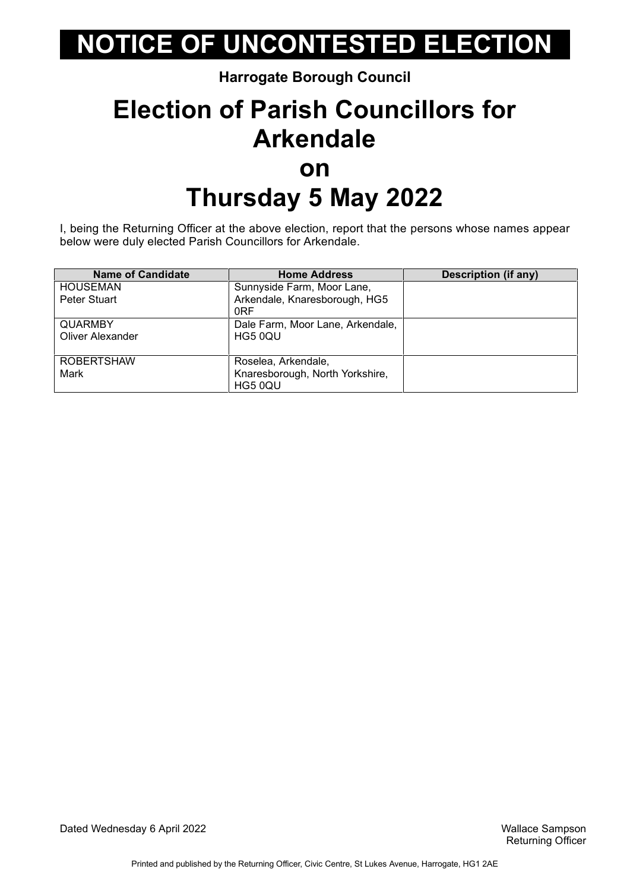#### **Harrogate Borough Council**

### **Election of Parish Councillors for Arkendale on Thursday 5 May 2022**

I, being the Returning Officer at the above election, report that the persons whose names appear below were duly elected Parish Councillors for Arkendale.

| <b>Name of Candidate</b> | <b>Home Address</b>                              | <b>Description (if any)</b> |
|--------------------------|--------------------------------------------------|-----------------------------|
| <b>HOUSEMAN</b>          | Sunnyside Farm, Moor Lane,                       |                             |
| Peter Stuart             | Arkendale, Knaresborough, HG5<br>0 <sub>RF</sub> |                             |
| <b>QUARMBY</b>           | Dale Farm, Moor Lane, Arkendale,                 |                             |
| <b>Oliver Alexander</b>  | HG5 0QU                                          |                             |
| <b>ROBERTSHAW</b>        | Roselea, Arkendale,                              |                             |
| Mark                     | Knaresborough, North Yorkshire,                  |                             |
|                          | HG5 0QU                                          |                             |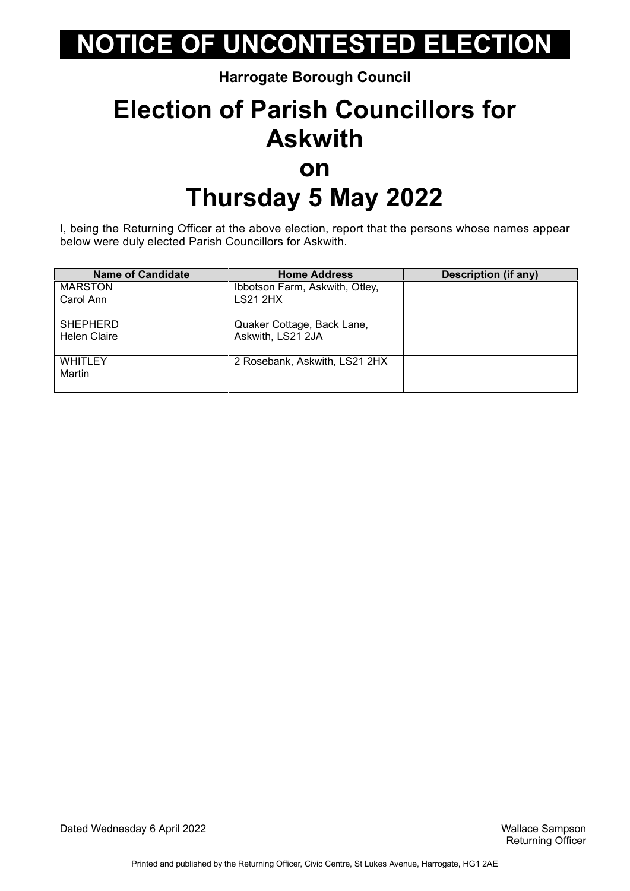**Harrogate Borough Council**

### **Election of Parish Councillors for Askwith on Thursday 5 May 2022**

I, being the Returning Officer at the above election, report that the persons whose names appear below were duly elected Parish Councillors for Askwith.

| <b>Name of Candidate</b> | <b>Home Address</b>            | <b>Description (if any)</b> |
|--------------------------|--------------------------------|-----------------------------|
| <b>MARSTON</b>           | Ibbotson Farm, Askwith, Otley, |                             |
| Carol Ann                | <b>LS21 2HX</b>                |                             |
| <b>SHEPHERD</b>          | Quaker Cottage, Back Lane,     |                             |
| <b>Helen Claire</b>      | Askwith, LS21 2JA              |                             |
| <b>WHITLEY</b>           | 2 Rosebank, Askwith, LS21 2HX  |                             |
| Martin                   |                                |                             |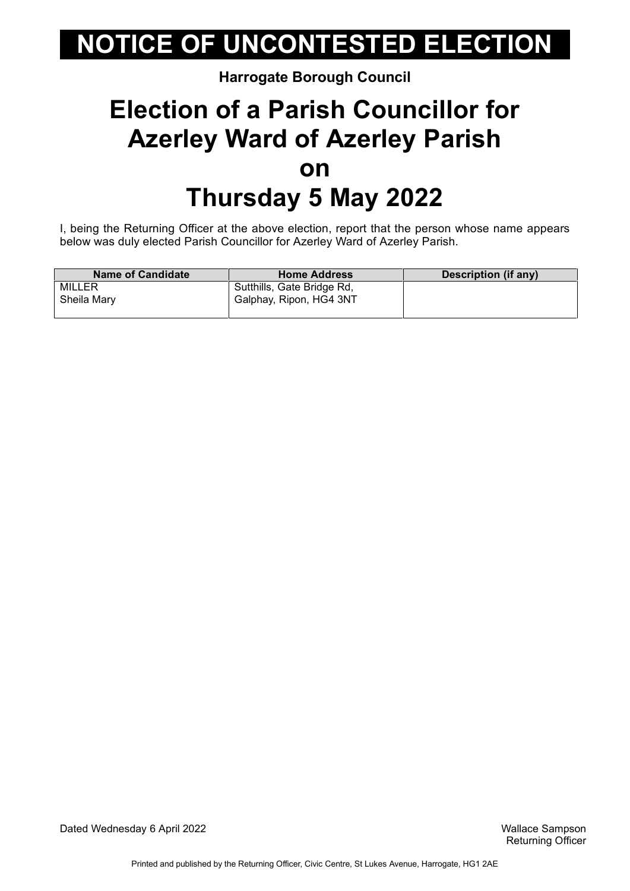#### **Harrogate Borough Council**

### **Election of a Parish Councillor for Azerley Ward of Azerley Parish on Thursday 5 May 2022**

I, being the Returning Officer at the above election, report that the person whose name appears below was duly elected Parish Councillor for Azerley Ward of Azerley Parish.

| <b>Name of Candidate</b> | <b>Home Address</b>        | Description (if any) |
|--------------------------|----------------------------|----------------------|
| MILLER                   | Sutthills, Gate Bridge Rd, |                      |
| Sheila Mary              | Galphay, Ripon, HG4 3NT    |                      |

Dated Wednesday 6 April 2022 Wallace Sampson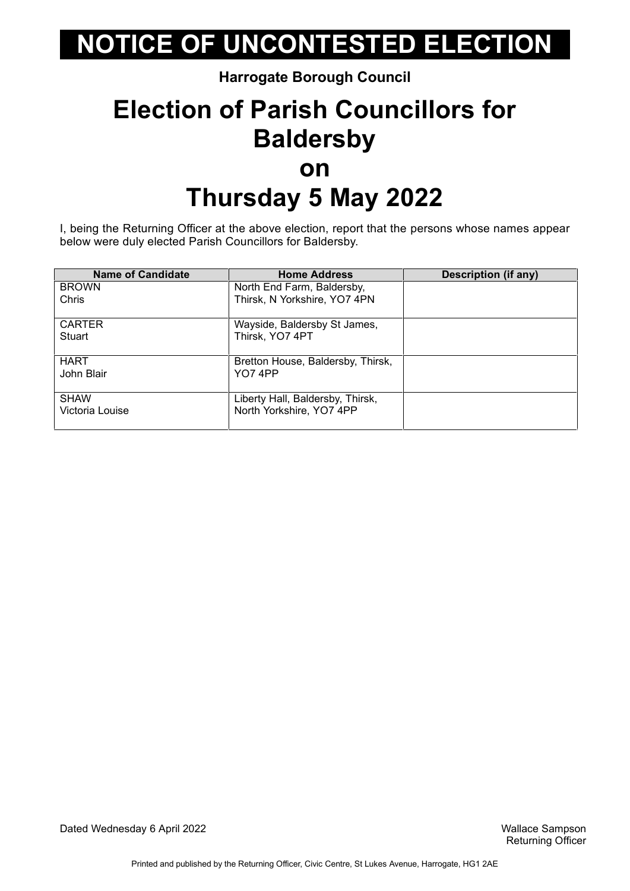#### **Harrogate Borough Council**

### **Election of Parish Councillors for Baldersby on Thursday 5 May 2022**

I, being the Returning Officer at the above election, report that the persons whose names appear below were duly elected Parish Councillors for Baldersby.

| <b>Name of Candidate</b>       | <b>Home Address</b>                                          | <b>Description (if any)</b> |
|--------------------------------|--------------------------------------------------------------|-----------------------------|
| <b>BROWN</b>                   | North End Farm, Baldersby,                                   |                             |
| Chris                          | Thirsk, N Yorkshire, YO7 4PN                                 |                             |
| <b>CARTER</b><br>Stuart        | Wayside, Baldersby St James,<br>Thirsk, YO7 4PT              |                             |
| <b>HART</b><br>John Blair      | Bretton House, Baldersby, Thirsk,<br>YO74PP                  |                             |
| <b>SHAW</b><br>Victoria Louise | Liberty Hall, Baldersby, Thirsk,<br>North Yorkshire, YO7 4PP |                             |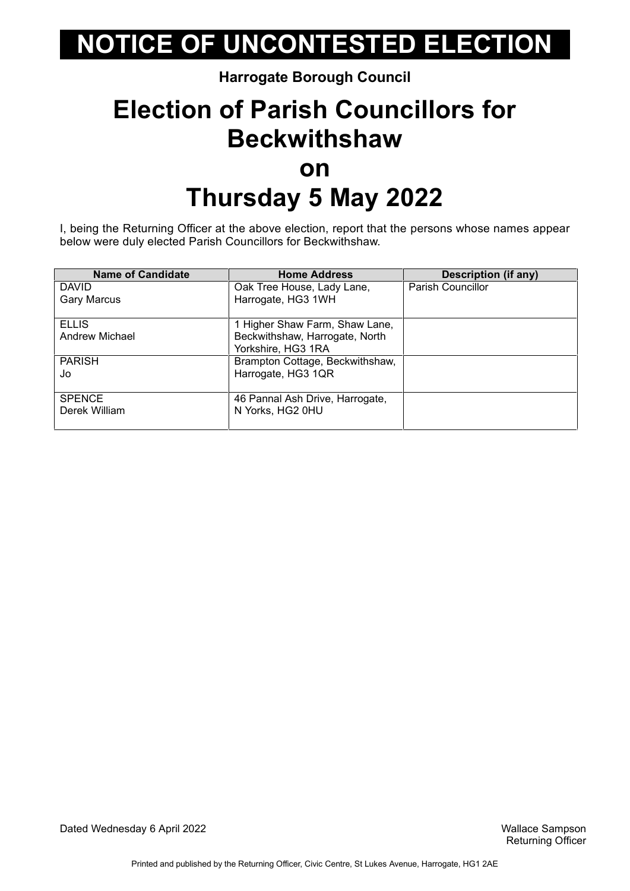#### **Harrogate Borough Council**

### **Election of Parish Councillors for Beckwithshaw on Thursday 5 May 2022**

I, being the Returning Officer at the above election, report that the persons whose names appear below were duly elected Parish Councillors for Beckwithshaw.

| <b>Name of Candidate</b> | <b>Home Address</b>             | <b>Description (if any)</b> |
|--------------------------|---------------------------------|-----------------------------|
| <b>DAVID</b>             | Oak Tree House, Lady Lane,      | Parish Councillor           |
| <b>Gary Marcus</b>       | Harrogate, HG3 1WH              |                             |
|                          |                                 |                             |
| <b>ELLIS</b>             | 1 Higher Shaw Farm, Shaw Lane,  |                             |
| Andrew Michael           | Beckwithshaw, Harrogate, North  |                             |
|                          | Yorkshire, HG3 1RA              |                             |
| <b>PARISH</b>            | Brampton Cottage, Beckwithshaw, |                             |
| Jo                       | Harrogate, HG3 1QR              |                             |
|                          |                                 |                             |
| <b>SPENCE</b>            | 46 Pannal Ash Drive, Harrogate, |                             |
| Derek William            | N Yorks, HG2 0HU                |                             |
|                          |                                 |                             |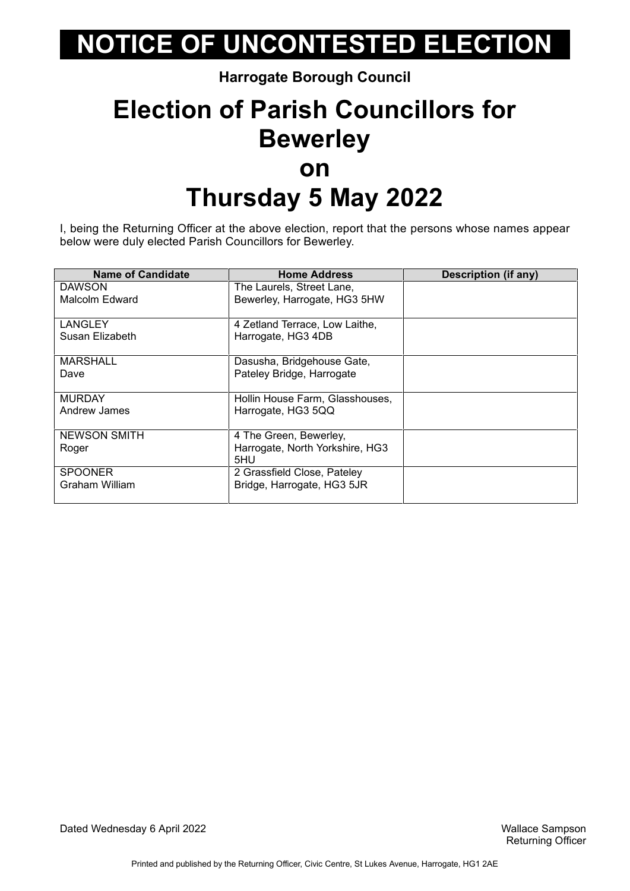**Harrogate Borough Council**

### **Election of Parish Councillors for Bewerley on Thursday 5 May 2022**

I, being the Returning Officer at the above election, report that the persons whose names appear below were duly elected Parish Councillors for Bewerley.

| <b>Name of Candidate</b> | <b>Home Address</b>                    | Description (if any) |
|--------------------------|----------------------------------------|----------------------|
| <b>DAWSON</b>            | The Laurels, Street Lane,              |                      |
| Malcolm Edward           | Bewerley, Harrogate, HG3 5HW           |                      |
| LANGLEY                  | 4 Zetland Terrace, Low Laithe,         |                      |
| Susan Elizabeth          | Harrogate, HG3 4DB                     |                      |
| <b>MARSHALL</b>          | Dasusha, Bridgehouse Gate,             |                      |
| Dave                     | Pateley Bridge, Harrogate              |                      |
| <b>MURDAY</b>            | Hollin House Farm, Glasshouses,        |                      |
| Andrew James             | Harrogate, HG3 5QQ                     |                      |
| <b>NEWSON SMITH</b>      | 4 The Green, Bewerley,                 |                      |
| Roger                    | Harrogate, North Yorkshire, HG3<br>5HU |                      |
| <b>SPOONER</b>           | 2 Grassfield Close, Pateley            |                      |
| Graham William           | Bridge, Harrogate, HG3 5JR             |                      |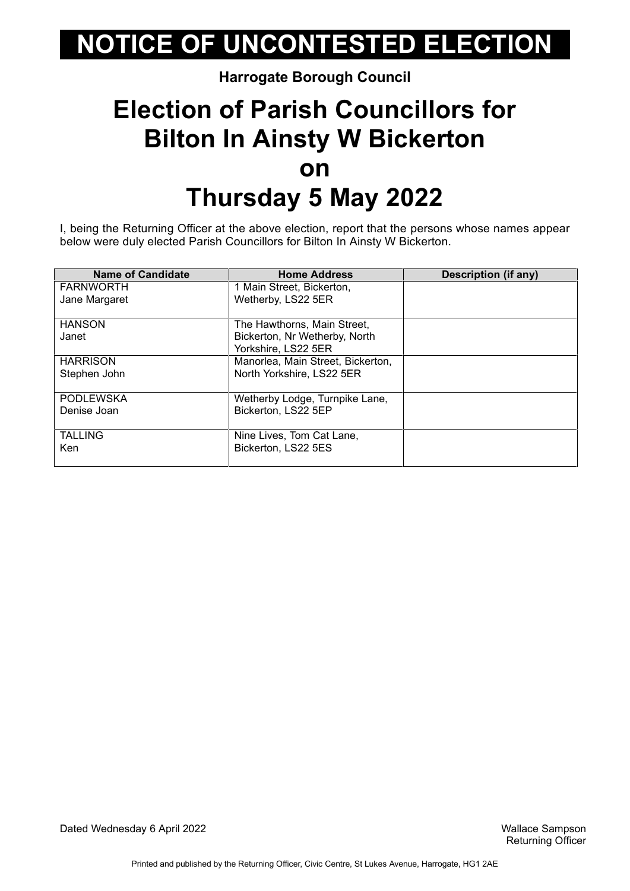#### **Harrogate Borough Council**

### **Election of Parish Councillors for Bilton In Ainsty W Bickerton on Thursday 5 May 2022**

I, being the Returning Officer at the above election, report that the persons whose names appear below were duly elected Parish Councillors for Bilton In Ainsty W Bickerton.

| <b>Name of Candidate</b> | <b>Home Address</b>                                          | <b>Description (if any)</b> |
|--------------------------|--------------------------------------------------------------|-----------------------------|
| <b>FARNWORTH</b>         | 1 Main Street, Bickerton,                                    |                             |
| Jane Margaret            | Wetherby, LS22 5ER                                           |                             |
| <b>HANSON</b><br>Janet   | The Hawthorns, Main Street,<br>Bickerton, Nr Wetherby, North |                             |
|                          | Yorkshire, LS22 5ER                                          |                             |
| <b>HARRISON</b>          | Manorlea, Main Street, Bickerton,                            |                             |
| Stephen John             | North Yorkshire, LS22 5ER                                    |                             |
| <b>PODLEWSKA</b>         | Wetherby Lodge, Turnpike Lane,                               |                             |
| Denise Joan              | Bickerton, LS22 5EP                                          |                             |
| <b>TALLING</b>           | Nine Lives, Tom Cat Lane,                                    |                             |
| <b>Ken</b>               | Bickerton, LS22 5ES                                          |                             |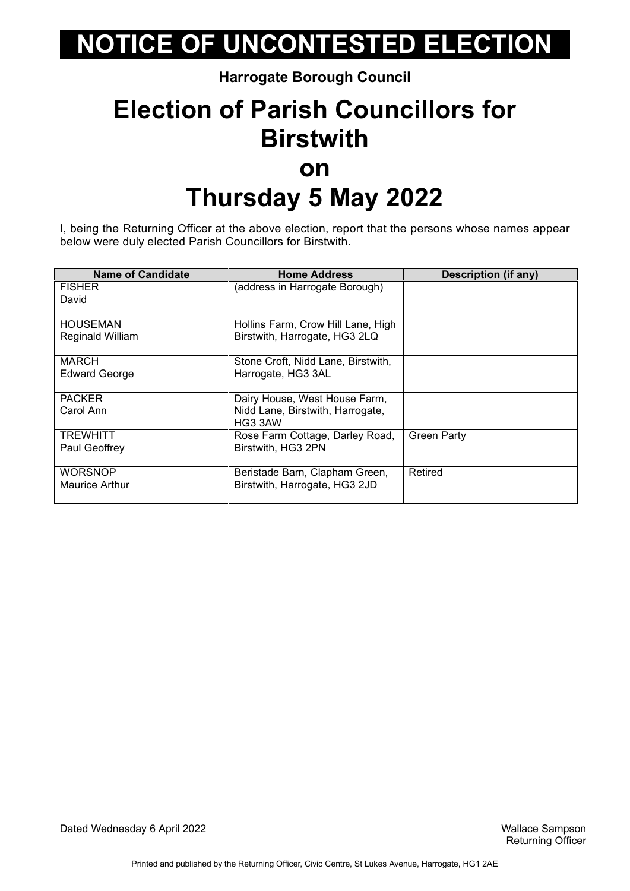**Harrogate Borough Council**

### **Election of Parish Councillors for Birstwith on Thursday 5 May 2022**

I, being the Returning Officer at the above election, report that the persons whose names appear below were duly elected Parish Councillors for Birstwith.

| <b>Name of Candidate</b> | <b>Home Address</b>                | <b>Description (if any)</b> |
|--------------------------|------------------------------------|-----------------------------|
| <b>FISHER</b>            | (address in Harrogate Borough)     |                             |
| David                    |                                    |                             |
|                          |                                    |                             |
| <b>HOUSEMAN</b>          | Hollins Farm, Crow Hill Lane, High |                             |
| Reginald William         | Birstwith, Harrogate, HG3 2LQ      |                             |
|                          |                                    |                             |
| <b>MARCH</b>             | Stone Croft, Nidd Lane, Birstwith, |                             |
| <b>Edward George</b>     | Harrogate, HG3 3AL                 |                             |
|                          |                                    |                             |
| <b>PACKER</b>            | Dairy House, West House Farm,      |                             |
| Carol Ann                | Nidd Lane, Birstwith, Harrogate,   |                             |
|                          | HG3 3AW                            |                             |
| <b>TREWHITT</b>          | Rose Farm Cottage, Darley Road,    | <b>Green Party</b>          |
| Paul Geoffrey            | Birstwith, HG3 2PN                 |                             |
|                          |                                    |                             |
| WORSNOP                  | Beristade Barn, Clapham Green,     | Retired                     |
| <b>Maurice Arthur</b>    | Birstwith, Harrogate, HG3 2JD      |                             |
|                          |                                    |                             |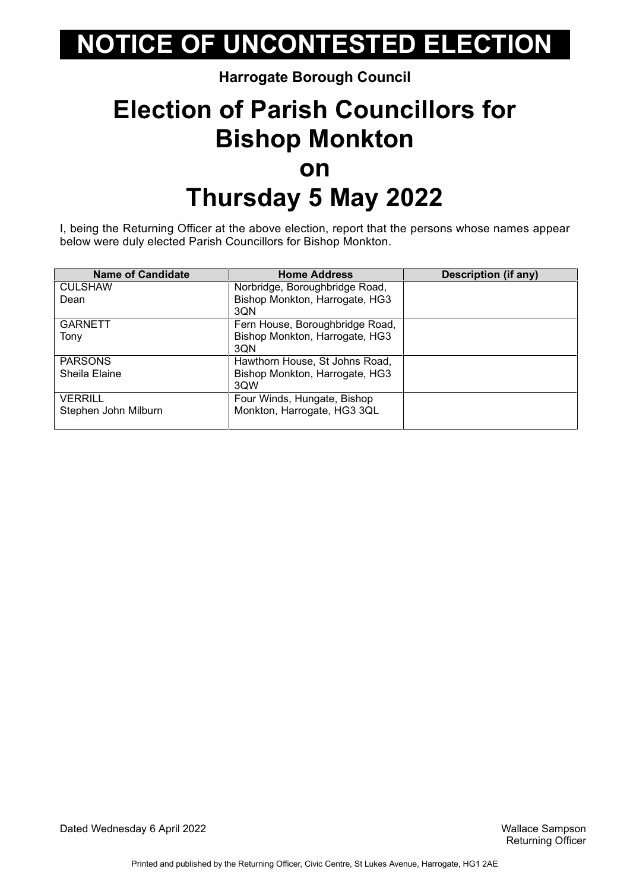#### **Harrogate Borough Council**

### **Election of Parish Councillors for Bishop Monkton on Thursday 5 May 2022**

I, being the Returning Officer at the above election, report that the persons whose names appear below were duly elected Parish Councillors for Bishop Monkton.

| <b>Name of Candidate</b> | <b>Home Address</b>             | <b>Description (if any)</b> |
|--------------------------|---------------------------------|-----------------------------|
| <b>CULSHAW</b>           | Norbridge, Boroughbridge Road,  |                             |
| Dean                     | Bishop Monkton, Harrogate, HG3  |                             |
|                          | 3QN                             |                             |
| <b>GARNETT</b>           | Fern House, Boroughbridge Road, |                             |
| Tony                     | Bishop Monkton, Harrogate, HG3  |                             |
|                          | 3QN                             |                             |
| <b>PARSONS</b>           | Hawthorn House, St Johns Road,  |                             |
| Sheila Elaine            | Bishop Monkton, Harrogate, HG3  |                             |
|                          | 3QW                             |                             |
| <b>VERRILL</b>           | Four Winds, Hungate, Bishop     |                             |
| Stephen John Milburn     | Monkton, Harrogate, HG3 3QL     |                             |
|                          |                                 |                             |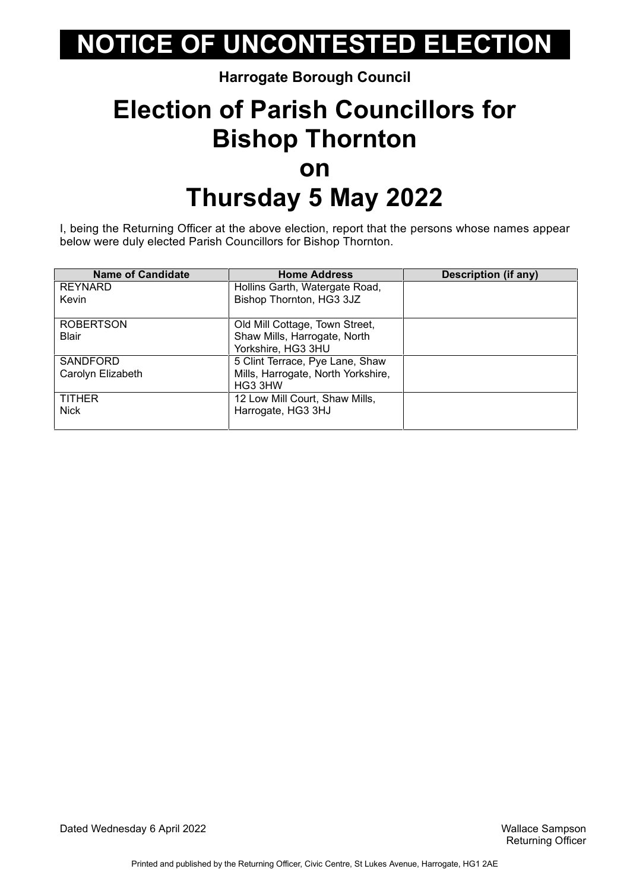#### **Harrogate Borough Council**

### **Election of Parish Councillors for Bishop Thornton on Thursday 5 May 2022**

I, being the Returning Officer at the above election, report that the persons whose names appear below were duly elected Parish Councillors for Bishop Thornton.

| <b>Name of Candidate</b> | <b>Home Address</b>                | Description (if any) |
|--------------------------|------------------------------------|----------------------|
| <b>REYNARD</b>           | Hollins Garth, Watergate Road,     |                      |
| Kevin                    | Bishop Thornton, HG3 3JZ           |                      |
|                          |                                    |                      |
| <b>ROBERTSON</b>         | Old Mill Cottage, Town Street,     |                      |
| <b>Blair</b>             | Shaw Mills, Harrogate, North       |                      |
|                          | Yorkshire, HG3 3HU                 |                      |
| <b>SANDFORD</b>          | 5 Clint Terrace, Pye Lane, Shaw    |                      |
| Carolyn Elizabeth        | Mills, Harrogate, North Yorkshire, |                      |
|                          | HG3 3HW                            |                      |
| <b>TITHER</b>            | 12 Low Mill Court, Shaw Mills,     |                      |
| Nick                     | Harrogate, HG3 3HJ                 |                      |
|                          |                                    |                      |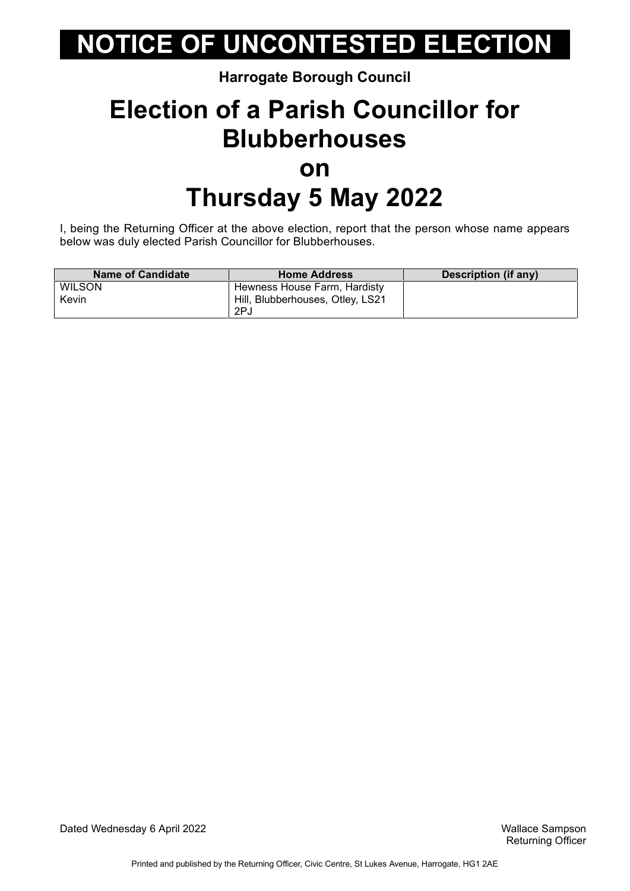#### **Harrogate Borough Council**

### **Election of a Parish Councillor for Blubberhouses on Thursday 5 May 2022**

I, being the Returning Officer at the above election, report that the person whose name appears below was duly elected Parish Councillor for Blubberhouses.

| <b>Name of Candidate</b> | <b>Home Address</b>              | Description (if any) |
|--------------------------|----------------------------------|----------------------|
| <b>WILSON</b>            | Hewness House Farm, Hardisty     |                      |
| Kevin                    | Hill, Blubberhouses, Otley, LS21 |                      |
|                          | 2PJ                              |                      |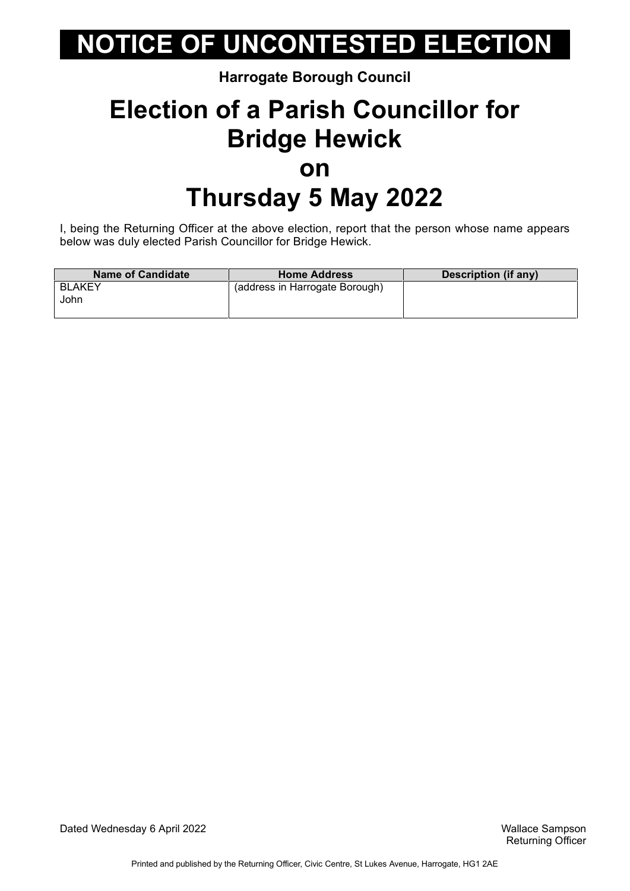#### **Harrogate Borough Council**

### **Election of a Parish Councillor for Bridge Hewick on Thursday 5 May 2022**

I, being the Returning Officer at the above election, report that the person whose name appears below was duly elected Parish Councillor for Bridge Hewick.

| <b>Name of Candidate</b> | <b>Home Address</b>            | Description (if any) |
|--------------------------|--------------------------------|----------------------|
| <b>BLAKEY</b><br>John    | (address in Harrogate Borough) |                      |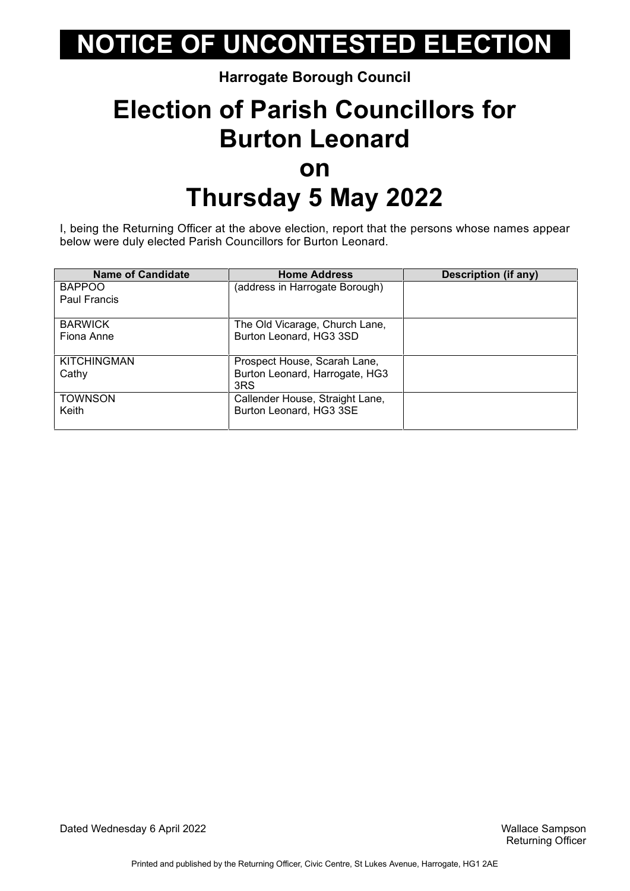#### **Harrogate Borough Council**

### **Election of Parish Councillors for Burton Leonard on Thursday 5 May 2022**

I, being the Returning Officer at the above election, report that the persons whose names appear below were duly elected Parish Councillors for Burton Leonard.

| <b>Name of Candidate</b> | <b>Home Address</b>             | Description (if any) |
|--------------------------|---------------------------------|----------------------|
| <b>BAPPOO</b>            | (address in Harrogate Borough)  |                      |
| Paul Francis             |                                 |                      |
|                          |                                 |                      |
| <b>BARWICK</b>           | The Old Vicarage, Church Lane,  |                      |
| Fiona Anne               | Burton Leonard, HG3 3SD         |                      |
|                          |                                 |                      |
| <b>KITCHINGMAN</b>       | Prospect House, Scarah Lane,    |                      |
| Cathy                    | Burton Leonard, Harrogate, HG3  |                      |
|                          | 3RS                             |                      |
| <b>TOWNSON</b>           | Callender House, Straight Lane, |                      |
| Keith                    | Burton Leonard, HG3 3SE         |                      |
|                          |                                 |                      |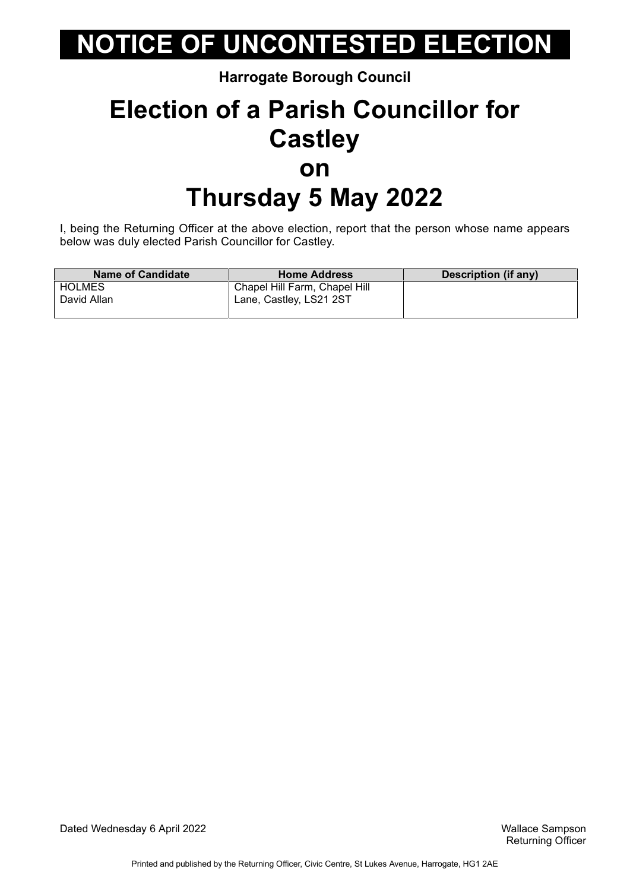**Harrogate Borough Council**

### **Election of a Parish Councillor for Castley on Thursday 5 May 2022**

I, being the Returning Officer at the above election, report that the person whose name appears below was duly elected Parish Councillor for Castley.

| <b>Name of Candidate</b> | <b>Home Address</b>           | Description (if any) |
|--------------------------|-------------------------------|----------------------|
| <b>HOLMES</b>            | Chapel Hill Farm, Chapel Hill |                      |
| David Allan              | Lane, Castley, LS21 2ST       |                      |

Dated Wednesday 6 April 2022 Wallace Sampson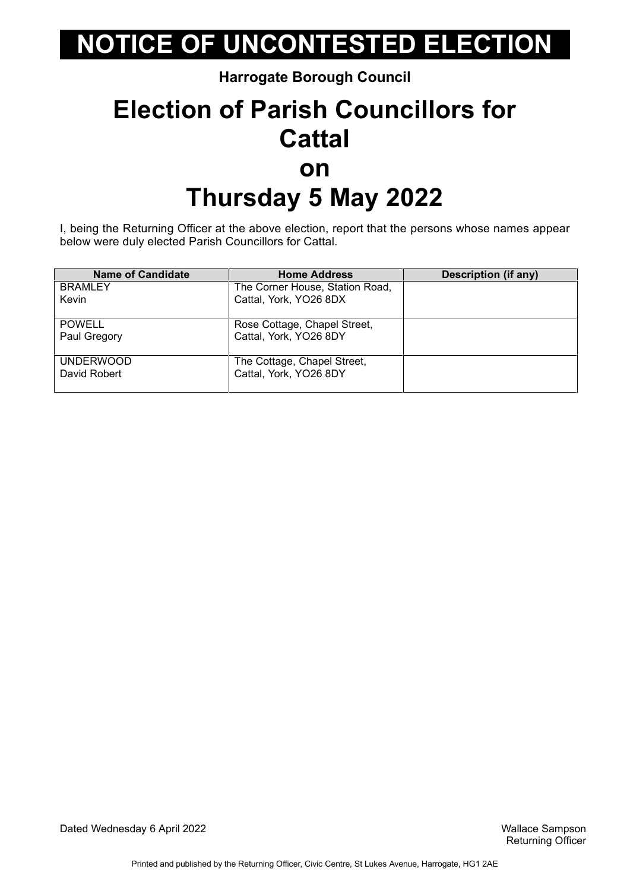**Harrogate Borough Council**

### **Election of Parish Councillors for Cattal on Thursday 5 May 2022**

I, being the Returning Officer at the above election, report that the persons whose names appear below were duly elected Parish Councillors for Cattal.

| <b>Name of Candidate</b> | <b>Home Address</b>             | <b>Description (if any)</b> |
|--------------------------|---------------------------------|-----------------------------|
| <b>BRAMLEY</b>           | The Corner House, Station Road, |                             |
| Kevin                    | Cattal, York, YO26 8DX          |                             |
|                          |                                 |                             |
| <b>POWELL</b>            | Rose Cottage, Chapel Street,    |                             |
| Paul Gregory             | Cattal, York, YO26 8DY          |                             |
|                          |                                 |                             |
| <b>UNDERWOOD</b>         | The Cottage, Chapel Street,     |                             |
| David Robert             | Cattal, York, YO26 8DY          |                             |
|                          |                                 |                             |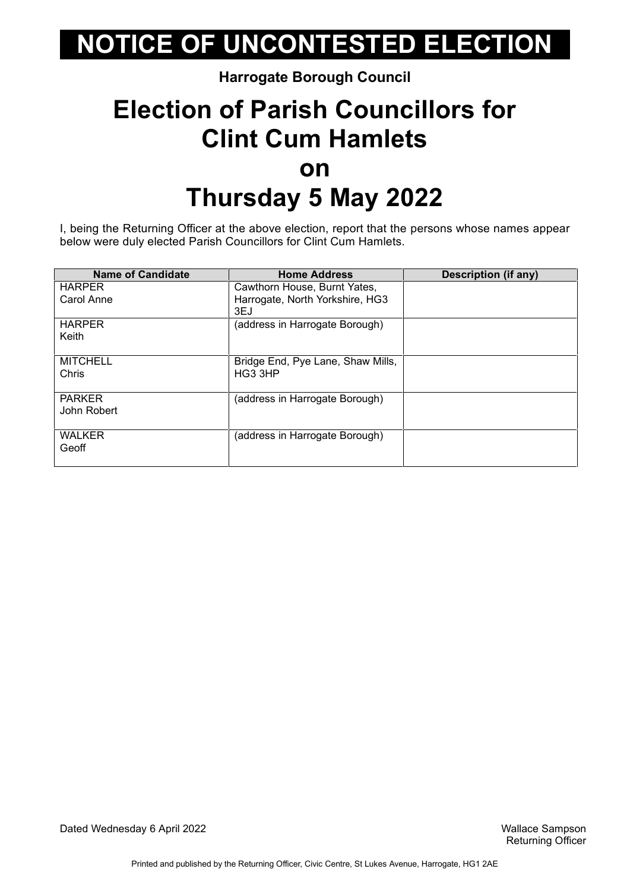#### **Harrogate Borough Council**

### **Election of Parish Councillors for Clint Cum Hamlets on Thursday 5 May 2022**

I, being the Returning Officer at the above election, report that the persons whose names appear below were duly elected Parish Councillors for Clint Cum Hamlets.

| <b>Name of Candidate</b> | <b>Home Address</b>               | Description (if any) |
|--------------------------|-----------------------------------|----------------------|
| <b>HARPER</b>            | Cawthorn House, Burnt Yates,      |                      |
| Carol Anne               | Harrogate, North Yorkshire, HG3   |                      |
|                          | 3EJ                               |                      |
| <b>HARPER</b>            | (address in Harrogate Borough)    |                      |
| Keith                    |                                   |                      |
|                          |                                   |                      |
| <b>MITCHELL</b>          | Bridge End, Pye Lane, Shaw Mills, |                      |
| Chris                    | HG3 3HP                           |                      |
|                          |                                   |                      |
| <b>PARKER</b>            | (address in Harrogate Borough)    |                      |
| John Robert              |                                   |                      |
|                          |                                   |                      |
| <b>WALKER</b>            | (address in Harrogate Borough)    |                      |
| Geoff                    |                                   |                      |
|                          |                                   |                      |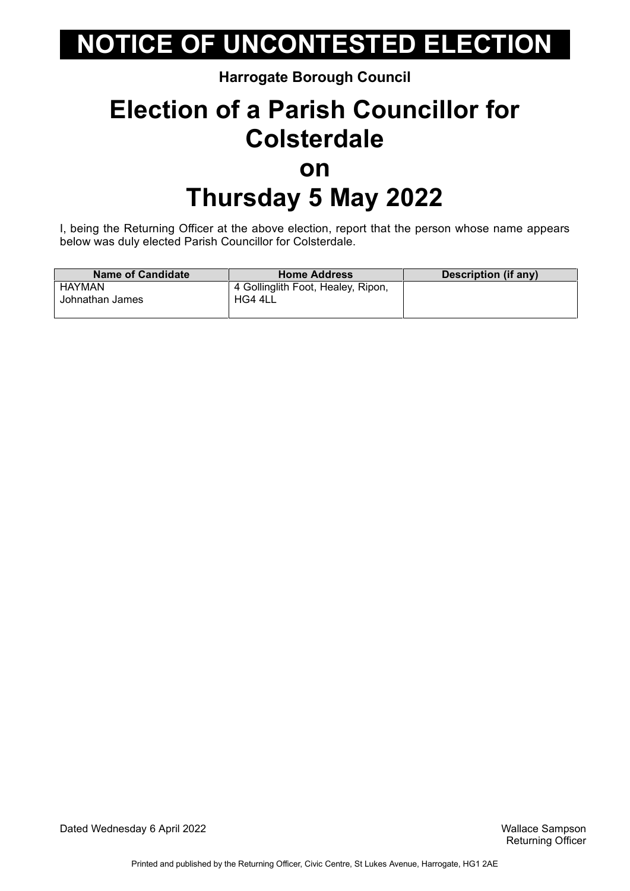#### **Harrogate Borough Council**

### **Election of a Parish Councillor for Colsterdale on Thursday 5 May 2022**

I, being the Returning Officer at the above election, report that the person whose name appears below was duly elected Parish Councillor for Colsterdale.

| <b>Name of Candidate</b> | <b>Home Address</b>                | Description (if any) |
|--------------------------|------------------------------------|----------------------|
| HAYMAN                   | 4 Gollinglith Foot, Healey, Ripon, |                      |
| Johnathan James          | HG4 4LL                            |                      |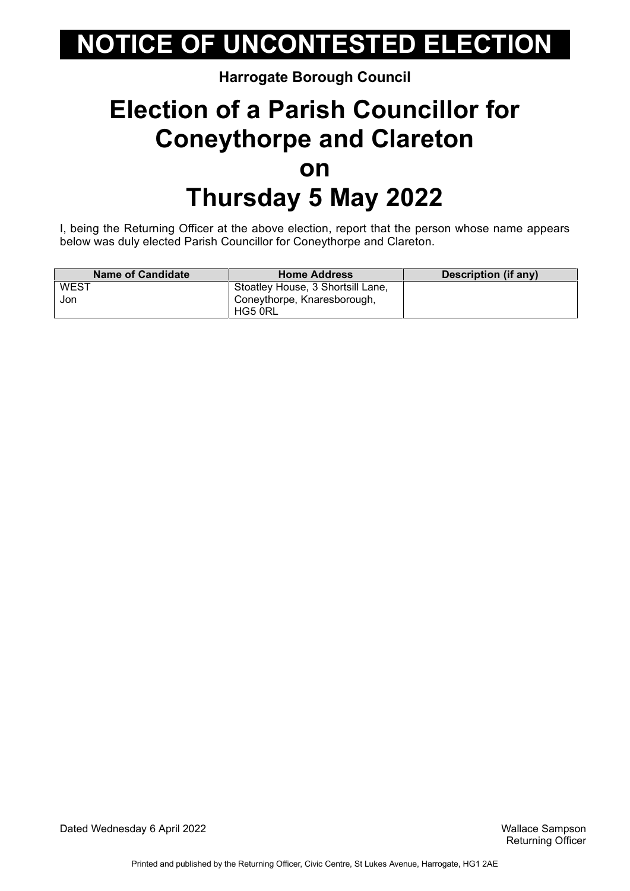#### **Harrogate Borough Council**

### **Election of a Parish Councillor for Coneythorpe and Clareton on Thursday 5 May 2022**

I, being the Returning Officer at the above election, report that the person whose name appears below was duly elected Parish Councillor for Coneythorpe and Clareton.

| <b>Name of Candidate</b> | <b>Home Address</b>               | Description (if any) |
|--------------------------|-----------------------------------|----------------------|
| WEST                     | Stoatley House, 3 Shortsill Lane, |                      |
| Jon                      | Coneythorpe, Knaresborough,       |                      |
|                          | HG5 0RL                           |                      |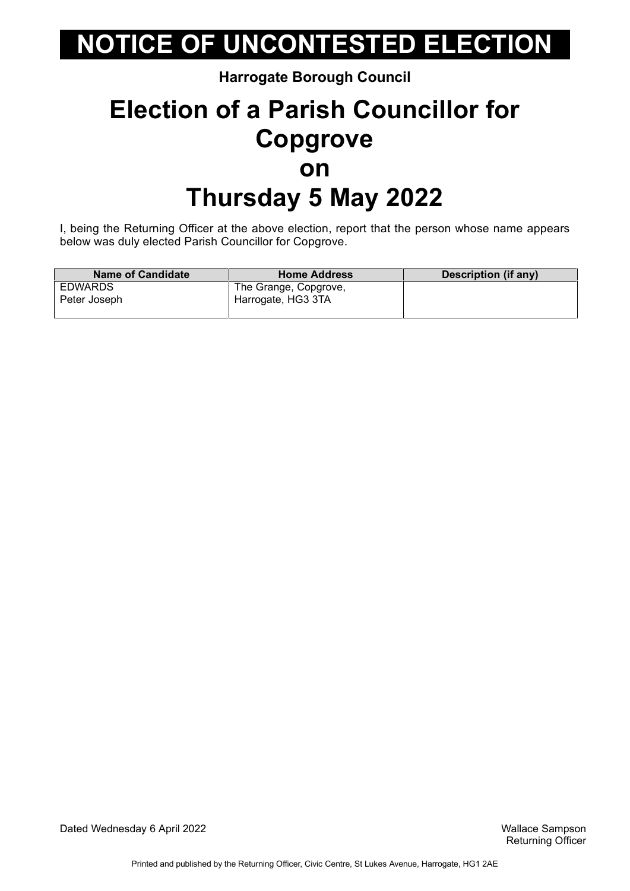#### **Harrogate Borough Council**

### **Election of a Parish Councillor for Copgrove on Thursday 5 May 2022**

I, being the Returning Officer at the above election, report that the person whose name appears below was duly elected Parish Councillor for Copgrove.

| <b>Name of Candidate</b> | <b>Home Address</b>   | Description (if any) |
|--------------------------|-----------------------|----------------------|
| EDWARDS                  | The Grange, Copgrove, |                      |
| Peter Joseph             | Harrogate, HG3 3TA    |                      |

Dated Wednesday 6 April 2022 Wallace Sampson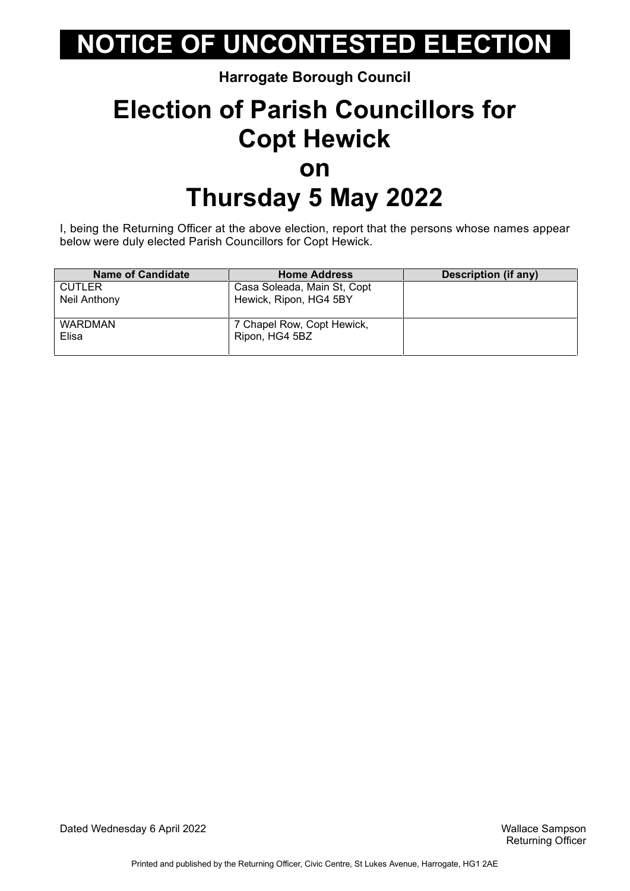#### **Harrogate Borough Council**

### **Election of Parish Councillors for Copt Hewick on Thursday 5 May 2022**

I, being the Returning Officer at the above election, report that the persons whose names appear below were duly elected Parish Councillors for Copt Hewick.

| <b>Name of Candidate</b> | <b>Home Address</b>         | <b>Description (if any)</b> |
|--------------------------|-----------------------------|-----------------------------|
| <b>CUTLER</b>            | Casa Soleada, Main St, Copt |                             |
| Neil Anthony             | Hewick, Ripon, HG4 5BY      |                             |
|                          |                             |                             |
| <b>WARDMAN</b>           | 7 Chapel Row, Copt Hewick,  |                             |
| Elisa                    | Ripon, HG4 5BZ              |                             |
|                          |                             |                             |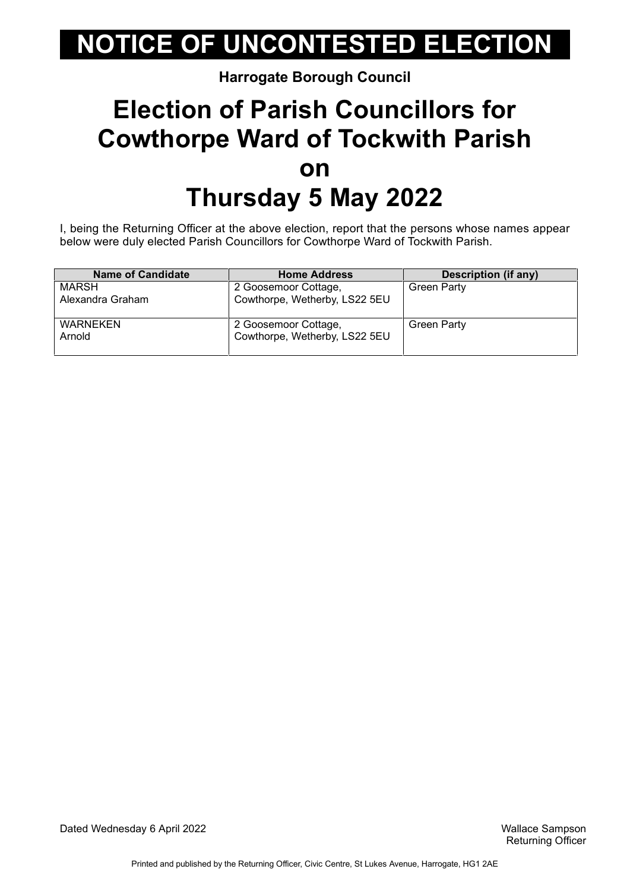#### **Harrogate Borough Council**

### **Election of Parish Councillors for Cowthorpe Ward of Tockwith Parish on Thursday 5 May 2022**

I, being the Returning Officer at the above election, report that the persons whose names appear below were duly elected Parish Councillors for Cowthorpe Ward of Tockwith Parish.

| <b>Name of Candidate</b> | <b>Home Address</b>           | <b>Description (if any)</b> |
|--------------------------|-------------------------------|-----------------------------|
| <b>MARSH</b>             | 2 Goosemoor Cottage,          | <b>Green Party</b>          |
| Alexandra Graham         | Cowthorpe, Wetherby, LS22 5EU |                             |
|                          |                               |                             |
| <b>WARNEKEN</b>          | 2 Goosemoor Cottage,          | <b>Green Party</b>          |
| Arnold                   | Cowthorpe, Wetherby, LS22 5EU |                             |
|                          |                               |                             |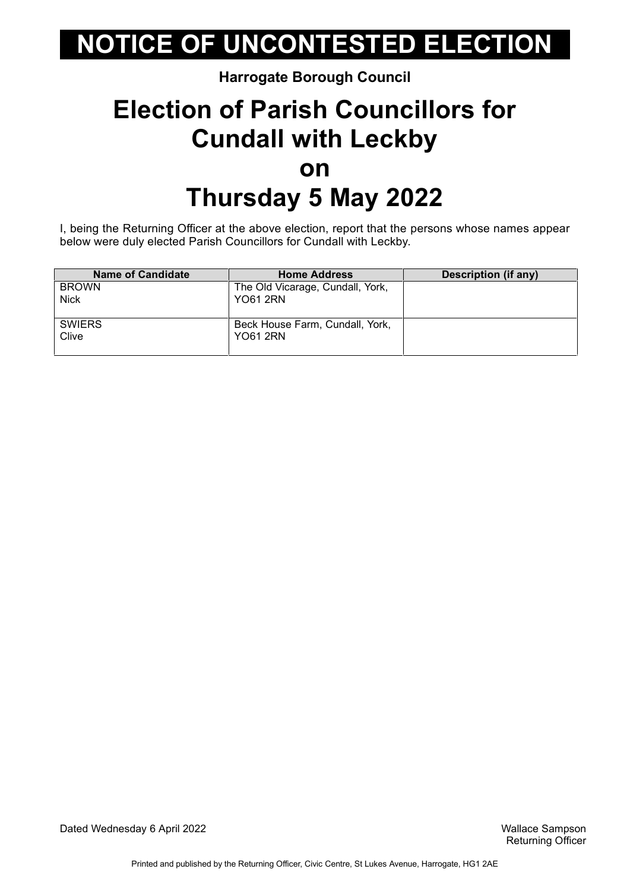#### **Harrogate Borough Council**

### **Election of Parish Councillors for Cundall with Leckby on Thursday 5 May 2022**

I, being the Returning Officer at the above election, report that the persons whose names appear below were duly elected Parish Councillors for Cundall with Leckby.

| <b>Name of Candidate</b> | <b>Home Address</b>              | Description (if any) |
|--------------------------|----------------------------------|----------------------|
| <b>BROWN</b>             | The Old Vicarage, Cundall, York, |                      |
| <b>Nick</b>              | YO61 2RN                         |                      |
|                          |                                  |                      |
| <b>SWIERS</b>            | Beck House Farm, Cundall, York,  |                      |
| Clive                    | <b>YO61 2RN</b>                  |                      |
|                          |                                  |                      |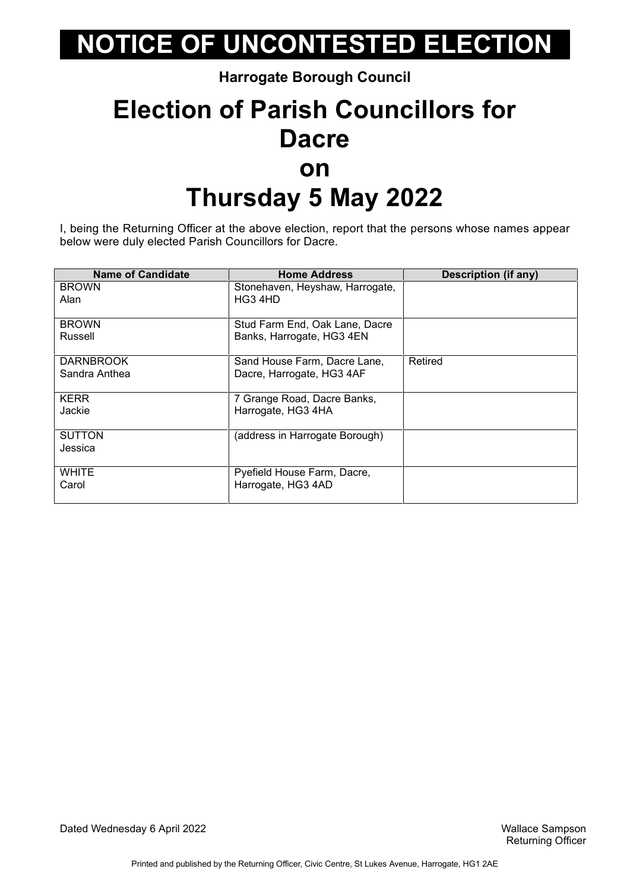**Harrogate Borough Council**

### **Election of Parish Councillors for Dacre on Thursday 5 May 2022**

I, being the Returning Officer at the above election, report that the persons whose names appear below were duly elected Parish Councillors for Dacre.

| <b>Name of Candidate</b> | <b>Home Address</b>             | <b>Description (if any)</b> |
|--------------------------|---------------------------------|-----------------------------|
| <b>BROWN</b>             | Stonehaven, Heyshaw, Harrogate, |                             |
| Alan                     | HG3 4HD                         |                             |
|                          |                                 |                             |
| <b>BROWN</b>             | Stud Farm End, Oak Lane, Dacre  |                             |
| Russell                  | Banks, Harrogate, HG3 4EN       |                             |
|                          |                                 |                             |
| <b>DARNBROOK</b>         | Sand House Farm, Dacre Lane,    | Retired                     |
| Sandra Anthea            | Dacre, Harrogate, HG3 4AF       |                             |
|                          |                                 |                             |
| <b>KERR</b>              | 7 Grange Road, Dacre Banks,     |                             |
| Jackie                   | Harrogate, HG3 4HA              |                             |
|                          |                                 |                             |
| <b>SUTTON</b>            | (address in Harrogate Borough)  |                             |
| Jessica                  |                                 |                             |
|                          |                                 |                             |
| <b>WHITE</b>             | Pyefield House Farm, Dacre,     |                             |
| Carol                    | Harrogate, HG3 4AD              |                             |
|                          |                                 |                             |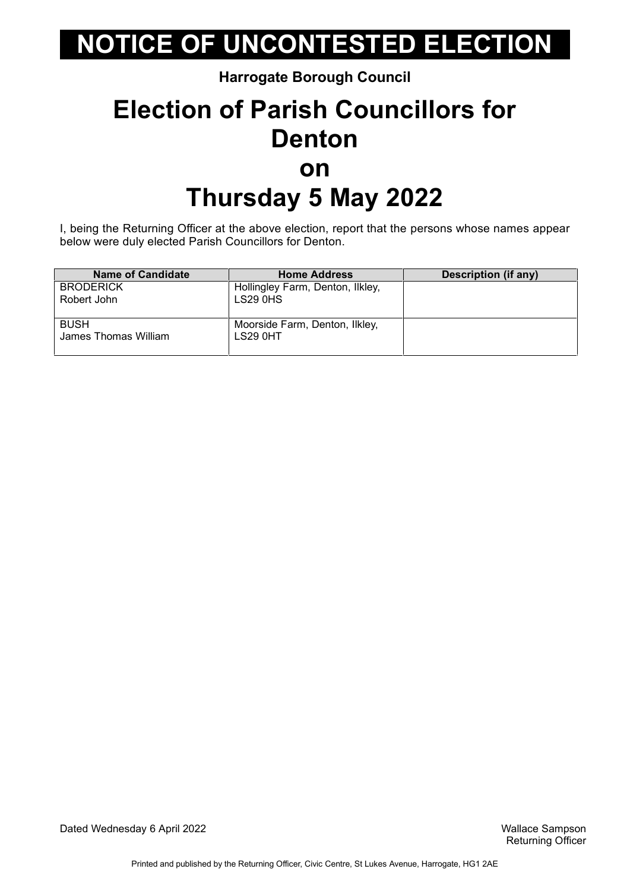**Harrogate Borough Council**

### **Election of Parish Councillors for Denton on Thursday 5 May 2022**

I, being the Returning Officer at the above election, report that the persons whose names appear below were duly elected Parish Councillors for Denton.

| <b>Name of Candidate</b> | <b>Home Address</b>              | <b>Description (if any)</b> |
|--------------------------|----------------------------------|-----------------------------|
| <b>BRODERICK</b>         | Hollingley Farm, Denton, Ilkley, |                             |
| Robert John              | LS29 0HS                         |                             |
|                          |                                  |                             |
| <b>BUSH</b>              | Moorside Farm, Denton, Ilkley,   |                             |
| James Thomas William     | LS29 0HT                         |                             |
|                          |                                  |                             |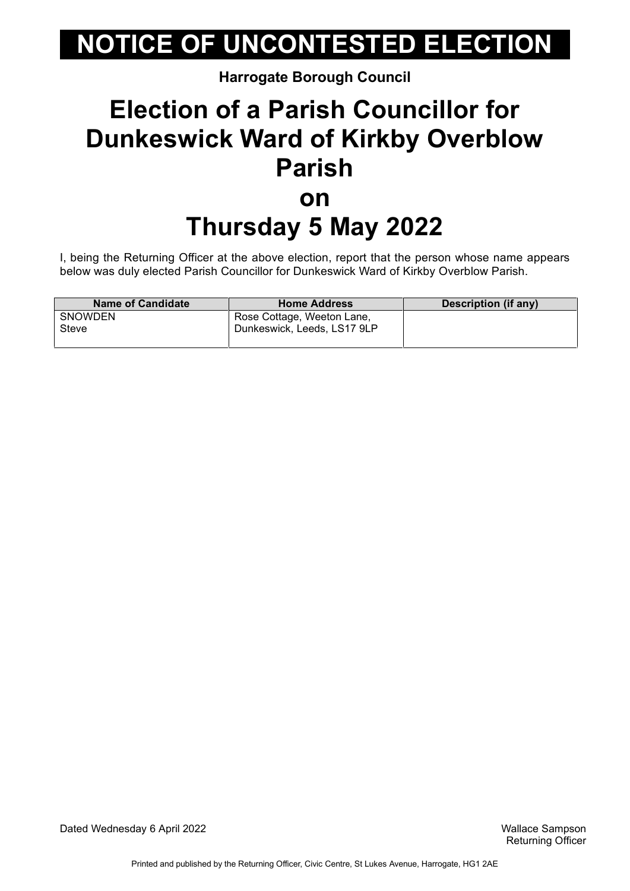**Harrogate Borough Council**

### **Election of a Parish Councillor for Dunkeswick Ward of Kirkby Overblow Parish on Thursday 5 May 2022**

I, being the Returning Officer at the above election, report that the person whose name appears below was duly elected Parish Councillor for Dunkeswick Ward of Kirkby Overblow Parish.

| <b>Name of Candidate</b> | <b>Home Address</b>         | Description (if any) |
|--------------------------|-----------------------------|----------------------|
| <b>SNOWDEN</b>           | Rose Cottage, Weeton Lane,  |                      |
| Steve                    | Dunkeswick, Leeds, LS17 9LP |                      |
|                          |                             |                      |

Dated Wednesday 6 April 2022 Wallace Sampson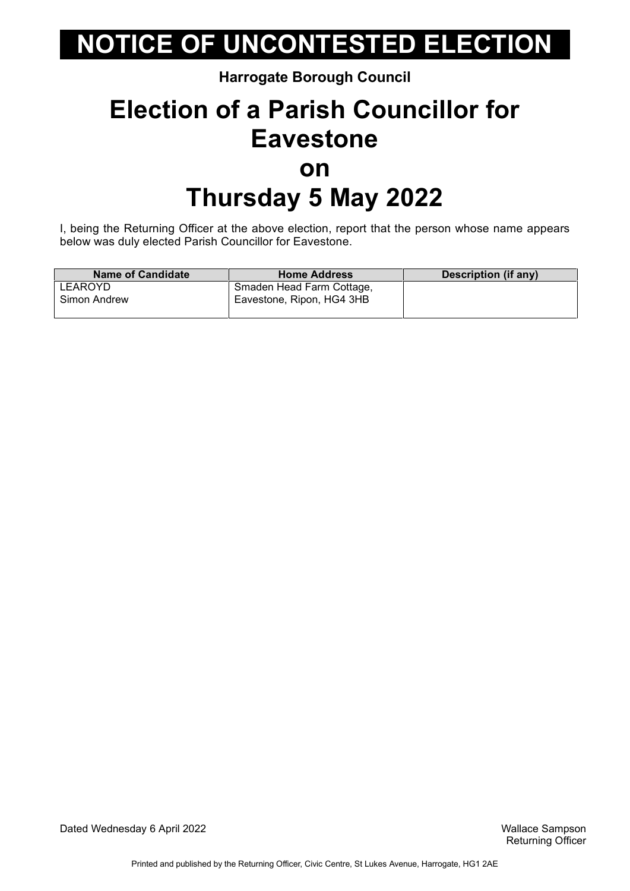#### **Harrogate Borough Council**

### **Election of a Parish Councillor for Eavestone on Thursday 5 May 2022**

I, being the Returning Officer at the above election, report that the person whose name appears below was duly elected Parish Councillor for Eavestone.

| <b>Name of Candidate</b> | <b>Home Address</b>       | <b>Description (if any)</b> |
|--------------------------|---------------------------|-----------------------------|
| LEAROYD                  | Smaden Head Farm Cottage, |                             |
| Simon Andrew             | Eavestone, Ripon, HG4 3HB |                             |

Dated Wednesday 6 April 2022 Wallace Sampson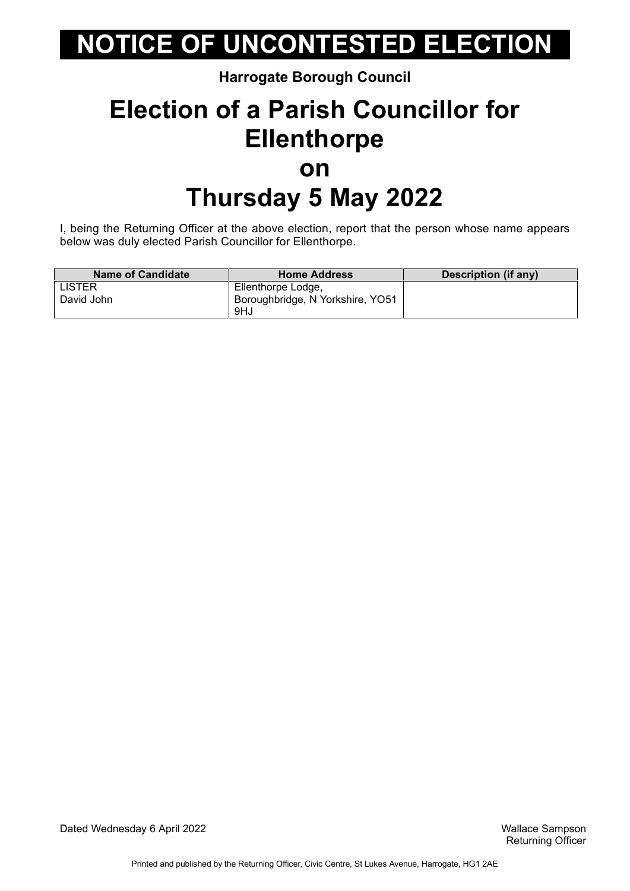#### **Harrogate Borough Council**

### **Election of a Parish Councillor for Ellenthorpe on Thursday 5 May 2022**

I, being the Returning Officer at the above election, report that the person whose name appears below was duly elected Parish Councillor for Ellenthorpe.

| <b>Name of Candidate</b> | <b>Home Address</b>              | <b>Description (if any)</b> |
|--------------------------|----------------------------------|-----------------------------|
| <b>LISTER</b>            | Ellenthorpe Lodge,               |                             |
| David John               | Boroughbridge, N Yorkshire, YO51 |                             |
|                          | 9HJ                              |                             |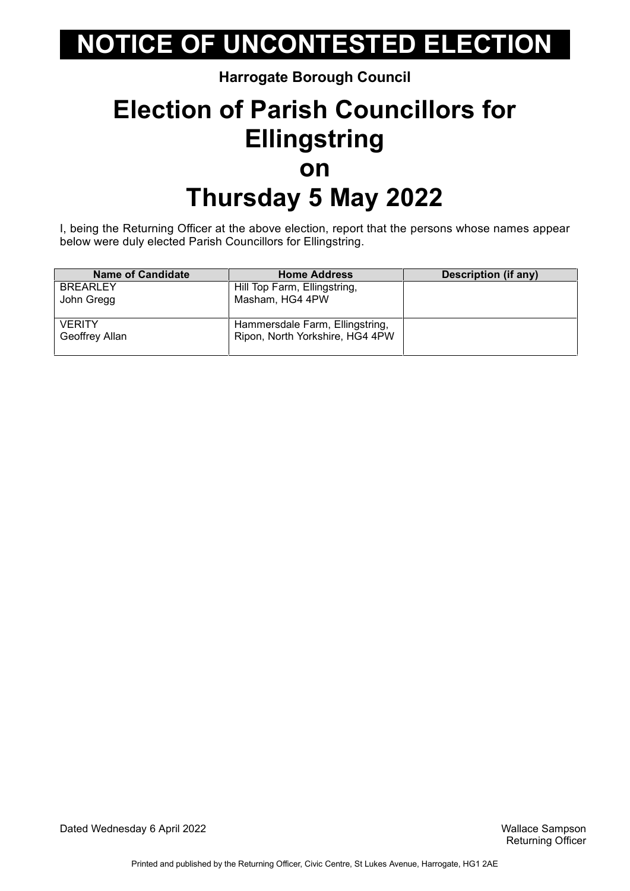#### **Harrogate Borough Council**

### **Election of Parish Councillors for Ellingstring on Thursday 5 May 2022**

I, being the Returning Officer at the above election, report that the persons whose names appear below were duly elected Parish Councillors for Ellingstring.

| <b>Name of Candidate</b> | <b>Home Address</b>             | <b>Description (if any)</b> |
|--------------------------|---------------------------------|-----------------------------|
| <b>BREARLEY</b>          | Hill Top Farm, Ellingstring,    |                             |
| John Gregg               | Masham, HG4 4PW                 |                             |
|                          |                                 |                             |
| <b>VERITY</b>            | Hammersdale Farm, Ellingstring, |                             |
| Geoffrey Allan           | Ripon, North Yorkshire, HG4 4PW |                             |
|                          |                                 |                             |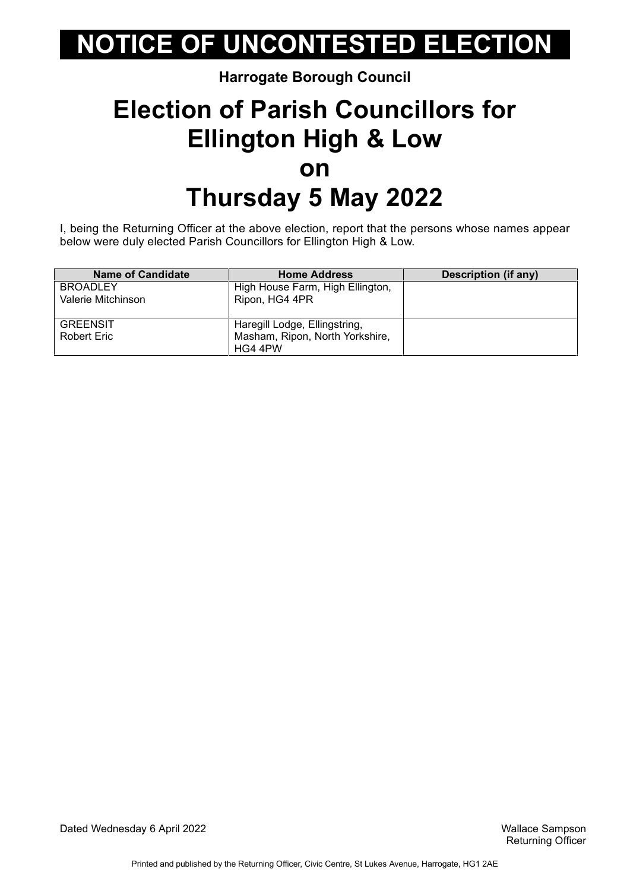#### **Harrogate Borough Council**

### **Election of Parish Councillors for Ellington High & Low on Thursday 5 May 2022**

I, being the Returning Officer at the above election, report that the persons whose names appear below were duly elected Parish Councillors for Ellington High & Low.

| <b>Name of Candidate</b> | <b>Home Address</b>              | <b>Description (if any)</b> |
|--------------------------|----------------------------------|-----------------------------|
| <b>BROADLEY</b>          | High House Farm, High Ellington, |                             |
| Valerie Mitchinson       | Ripon, HG4 4PR                   |                             |
|                          |                                  |                             |
| <b>GREENSIT</b>          | Haregill Lodge, Ellingstring,    |                             |
| Robert Eric              | Masham, Ripon, North Yorkshire,  |                             |
|                          | HG4 4PW                          |                             |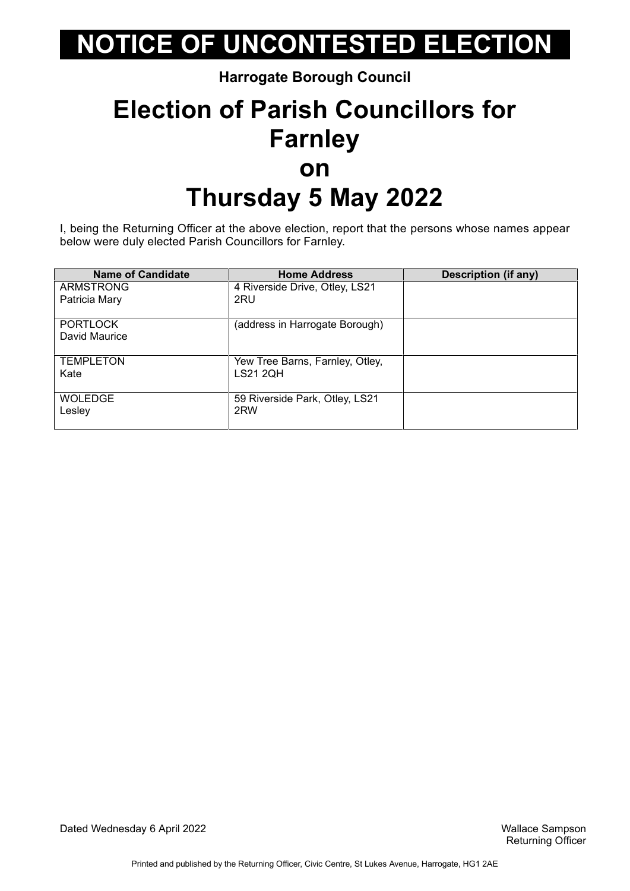**Harrogate Borough Council**

### **Election of Parish Councillors for Farnley on Thursday 5 May 2022**

I, being the Returning Officer at the above election, report that the persons whose names appear below were duly elected Parish Councillors for Farnley.

| <b>Name of Candidate</b> | <b>Home Address</b>             | <b>Description (if any)</b> |
|--------------------------|---------------------------------|-----------------------------|
| <b>ARMSTRONG</b>         | 4 Riverside Drive, Otley, LS21  |                             |
| Patricia Mary            | 2RU                             |                             |
| <b>PORTLOCK</b>          | (address in Harrogate Borough)  |                             |
| David Maurice            |                                 |                             |
| <b>TEMPLETON</b>         | Yew Tree Barns, Farnley, Otley, |                             |
| Kate                     | <b>LS21 2QH</b>                 |                             |
| <b>WOLEDGE</b>           | 59 Riverside Park, Otley, LS21  |                             |
| Lesley                   | 2RW                             |                             |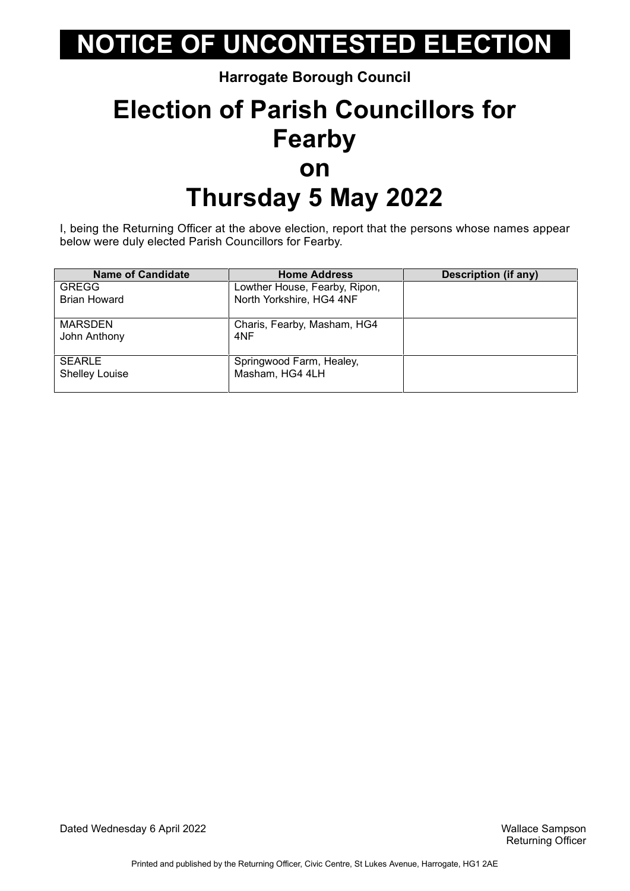**Harrogate Borough Council**

### **Election of Parish Councillors for Fearby on Thursday 5 May 2022**

I, being the Returning Officer at the above election, report that the persons whose names appear below were duly elected Parish Councillors for Fearby.

| <b>Name of Candidate</b> | <b>Home Address</b>           | <b>Description (if any)</b> |
|--------------------------|-------------------------------|-----------------------------|
| <b>GREGG</b>             | Lowther House, Fearby, Ripon, |                             |
| <b>Brian Howard</b>      | North Yorkshire, HG4 4NF      |                             |
| MARSDEN                  | Charis, Fearby, Masham, HG4   |                             |
| John Anthony             | 4NF                           |                             |
| <b>SEARLE</b>            | Springwood Farm, Healey,      |                             |
| <b>Shelley Louise</b>    | Masham, HG4 4LH               |                             |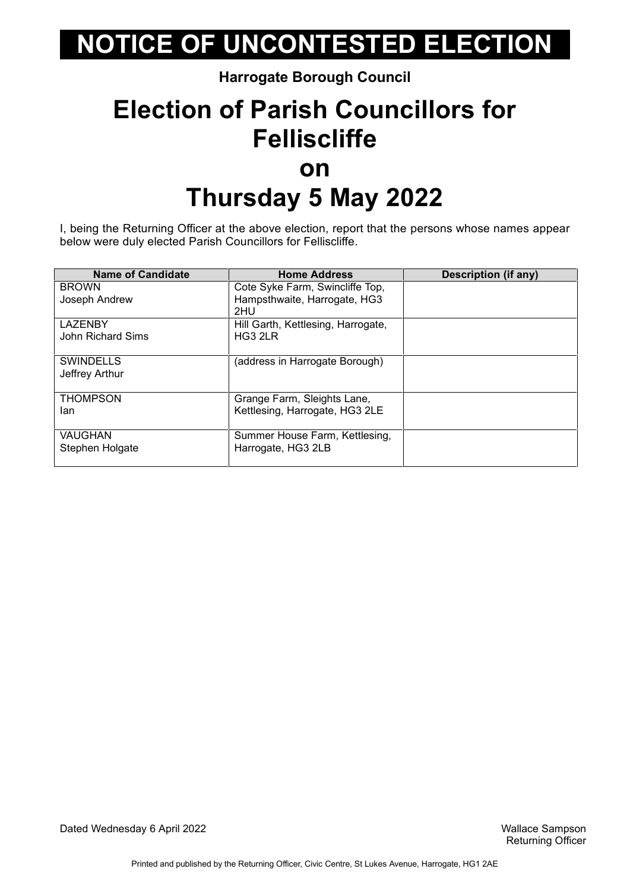#### **Harrogate Borough Council**

### **Election of Parish Councillors for Felliscliffe on Thursday 5 May 2022**

I, being the Returning Officer at the above election, report that the persons whose names appear below were duly elected Parish Councillors for Felliscliffe.

| <b>Name of Candidate</b> | <b>Home Address</b>                | <b>Description (if any)</b> |
|--------------------------|------------------------------------|-----------------------------|
| <b>BROWN</b>             | Cote Syke Farm, Swincliffe Top,    |                             |
| Joseph Andrew            | Hampsthwaite, Harrogate, HG3       |                             |
|                          | 2HU                                |                             |
| <b>LAZENBY</b>           | Hill Garth, Kettlesing, Harrogate, |                             |
| John Richard Sims        | HG3 2LR                            |                             |
|                          |                                    |                             |
| <b>SWINDELLS</b>         | (address in Harrogate Borough)     |                             |
| Jeffrey Arthur           |                                    |                             |
|                          |                                    |                             |
| <b>THOMPSON</b>          | Grange Farm, Sleights Lane,        |                             |
| lan                      | Kettlesing, Harrogate, HG3 2LE     |                             |
|                          |                                    |                             |
| VAUGHAN                  | Summer House Farm, Kettlesing,     |                             |
| Stephen Holgate          | Harrogate, HG3 2LB                 |                             |
|                          |                                    |                             |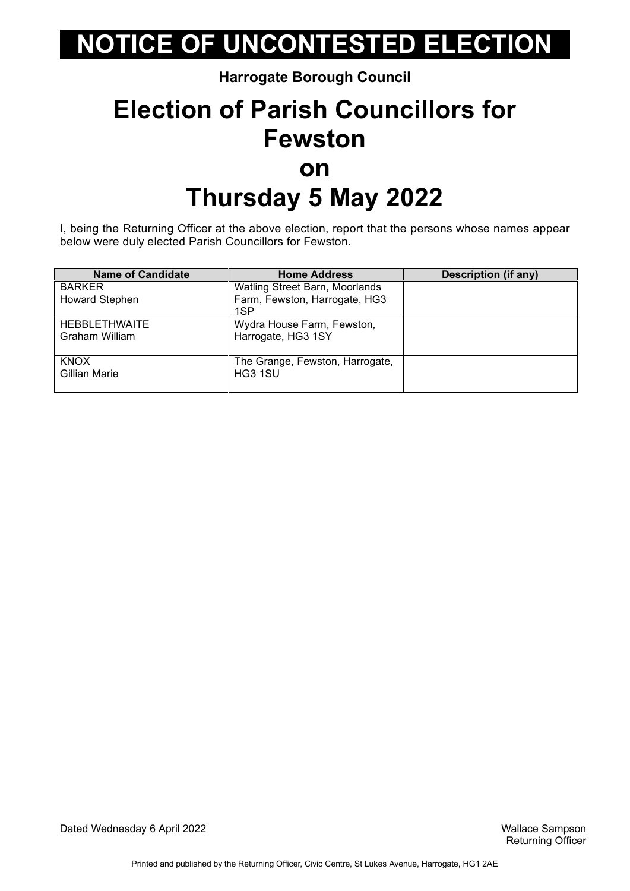**Harrogate Borough Council**

### **Election of Parish Councillors for Fewston on Thursday 5 May 2022**

I, being the Returning Officer at the above election, report that the persons whose names appear below were duly elected Parish Councillors for Fewston.

| <b>Name of Candidate</b> | <b>Home Address</b>             | <b>Description (if any)</b> |
|--------------------------|---------------------------------|-----------------------------|
| <b>BARKER</b>            | Watling Street Barn, Moorlands  |                             |
| <b>Howard Stephen</b>    | Farm, Fewston, Harrogate, HG3   |                             |
|                          | 1SP                             |                             |
| <b>HEBBLETHWAITE</b>     | Wydra House Farm, Fewston,      |                             |
| Graham William           | Harrogate, HG3 1SY              |                             |
|                          |                                 |                             |
| <b>KNOX</b>              | The Grange, Fewston, Harrogate, |                             |
| Gillian Marie            | HG3 1SU                         |                             |
|                          |                                 |                             |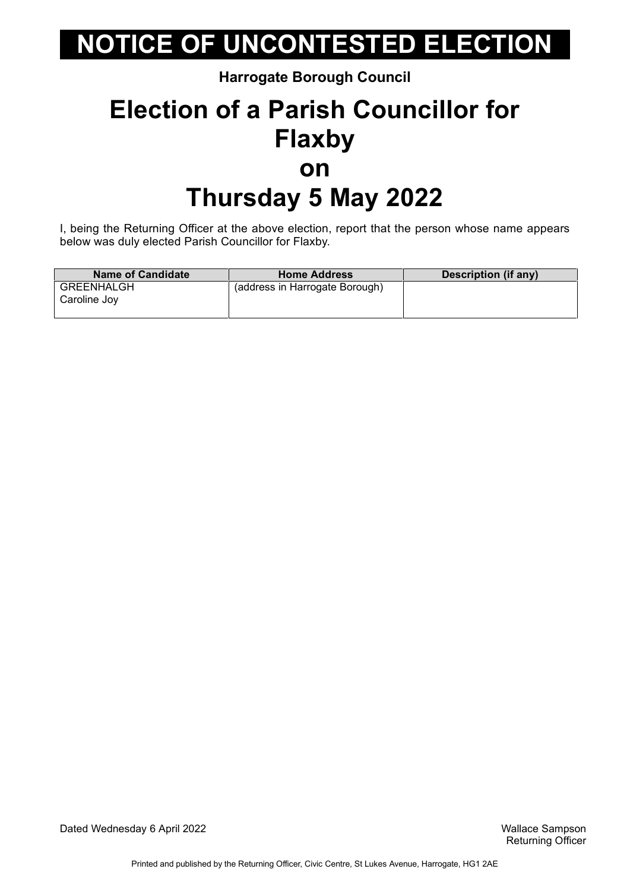**Harrogate Borough Council**

### **Election of a Parish Councillor for Flaxby on Thursday 5 May 2022**

I, being the Returning Officer at the above election, report that the person whose name appears below was duly elected Parish Councillor for Flaxby.

| <b>Name of Candidate</b>   | <b>Home Address</b>            | Description (if any) |
|----------------------------|--------------------------------|----------------------|
| GREENHALGH<br>Caroline Joy | (address in Harrogate Borough) |                      |

Dated Wednesday 6 April 2022 Wallace Sampson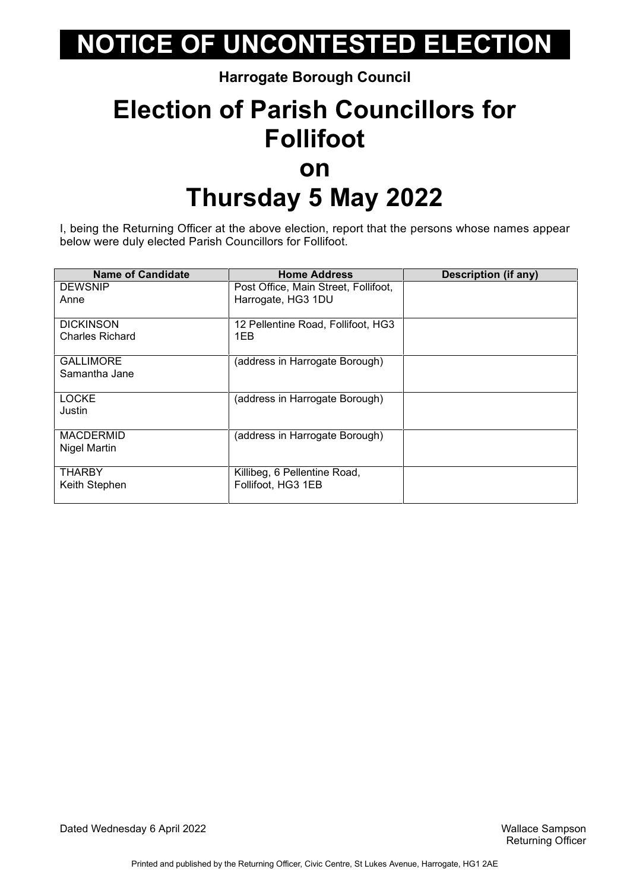**Harrogate Borough Council**

### **Election of Parish Councillors for Follifoot on Thursday 5 May 2022**

I, being the Returning Officer at the above election, report that the persons whose names appear below were duly elected Parish Councillors for Follifoot.

| <b>Name of Candidate</b> | <b>Home Address</b>                  | <b>Description (if any)</b> |
|--------------------------|--------------------------------------|-----------------------------|
| <b>DEWSNIP</b>           | Post Office, Main Street, Follifoot, |                             |
| Anne                     | Harrogate, HG3 1DU                   |                             |
| <b>DICKINSON</b>         | 12 Pellentine Road, Follifoot, HG3   |                             |
| <b>Charles Richard</b>   | 1EB                                  |                             |
| <b>GALLIMORE</b>         | (address in Harrogate Borough)       |                             |
| Samantha Jane            |                                      |                             |
| <b>LOCKE</b>             | (address in Harrogate Borough)       |                             |
| Justin                   |                                      |                             |
| <b>MACDERMID</b>         | (address in Harrogate Borough)       |                             |
| Nigel Martin             |                                      |                             |
| <b>THARBY</b>            | Killibeg, 6 Pellentine Road,         |                             |
| Keith Stephen            | Follifoot, HG3 1EB                   |                             |
|                          |                                      |                             |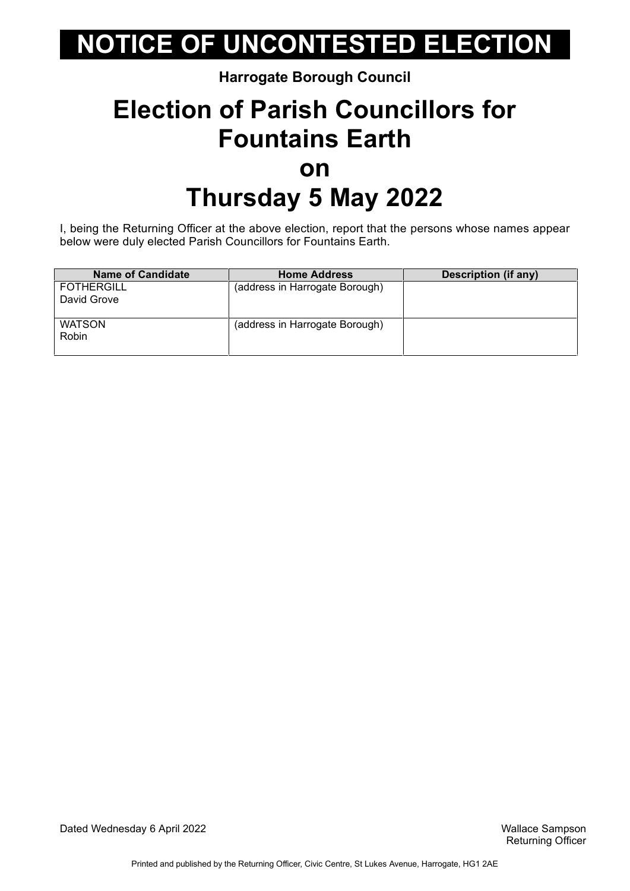#### **Harrogate Borough Council**

### **Election of Parish Councillors for Fountains Earth on Thursday 5 May 2022**

I, being the Returning Officer at the above election, report that the persons whose names appear below were duly elected Parish Councillors for Fountains Earth.

| <b>Name of Candidate</b> | <b>Home Address</b>            | Description (if any) |
|--------------------------|--------------------------------|----------------------|
| <b>FOTHERGILL</b>        | (address in Harrogate Borough) |                      |
| David Grove              |                                |                      |
|                          |                                |                      |
| <b>WATSON</b>            | (address in Harrogate Borough) |                      |
| Robin                    |                                |                      |
|                          |                                |                      |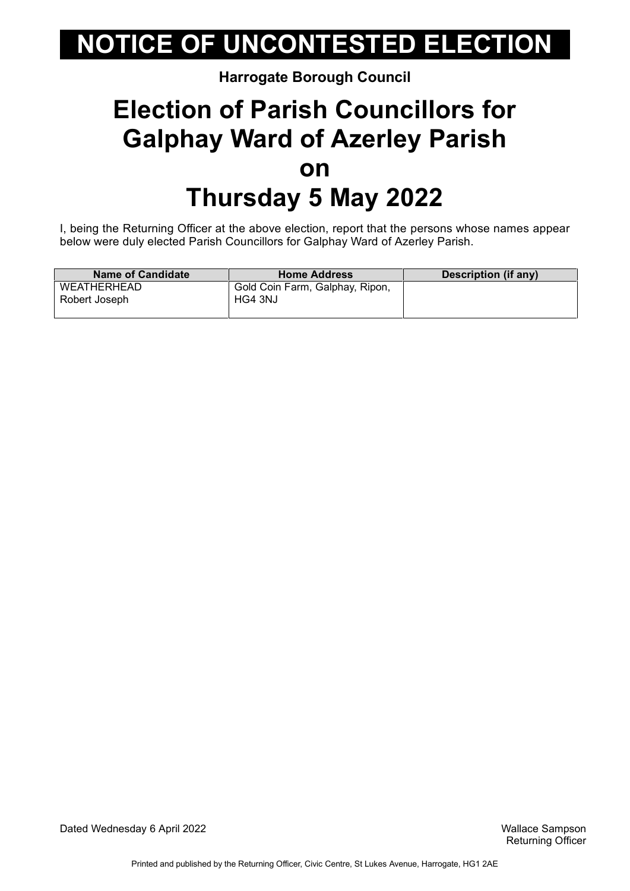#### **Harrogate Borough Council**

### **Election of Parish Councillors for Galphay Ward of Azerley Parish on Thursday 5 May 2022**

I, being the Returning Officer at the above election, report that the persons whose names appear below were duly elected Parish Councillors for Galphay Ward of Azerley Parish.

| <b>Name of Candidate</b> | <b>Home Address</b>             | Description (if any) |
|--------------------------|---------------------------------|----------------------|
| WEATHERHEAD              | Gold Coin Farm, Galphay, Ripon, |                      |
| Robert Joseph            | HG4 3NJ                         |                      |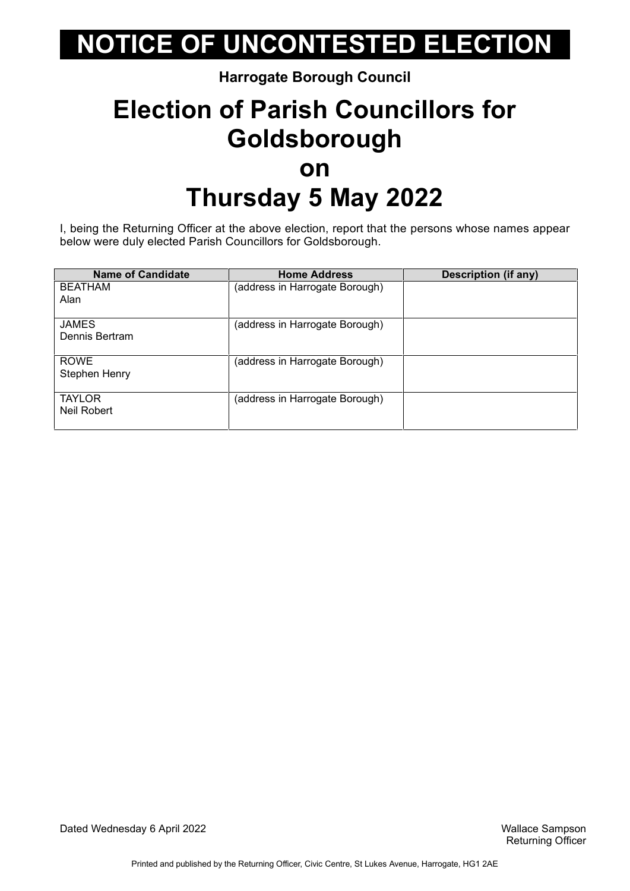#### **Harrogate Borough Council**

### **Election of Parish Councillors for Goldsborough on Thursday 5 May 2022**

I, being the Returning Officer at the above election, report that the persons whose names appear below were duly elected Parish Councillors for Goldsborough.

| <b>Name of Candidate</b> | <b>Home Address</b>            | <b>Description (if any)</b> |
|--------------------------|--------------------------------|-----------------------------|
| <b>BEATHAM</b>           | (address in Harrogate Borough) |                             |
| Alan                     |                                |                             |
| <b>JAMES</b>             | (address in Harrogate Borough) |                             |
| Dennis Bertram           |                                |                             |
| <b>ROWE</b>              | (address in Harrogate Borough) |                             |
| Stephen Henry            |                                |                             |
| <b>TAYLOR</b>            | (address in Harrogate Borough) |                             |
| Neil Robert              |                                |                             |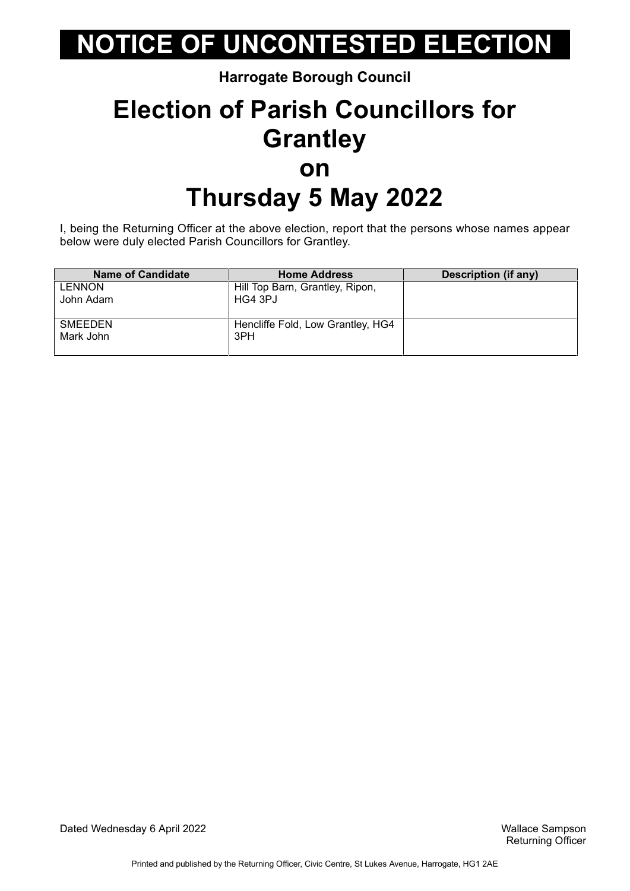**Harrogate Borough Council**

### **Election of Parish Councillors for Grantley on Thursday 5 May 2022**

I, being the Returning Officer at the above election, report that the persons whose names appear below were duly elected Parish Councillors for Grantley.

| <b>Name of Candidate</b> | <b>Home Address</b>               | Description (if any) |
|--------------------------|-----------------------------------|----------------------|
| <b>LENNON</b>            | Hill Top Barn, Grantley, Ripon,   |                      |
| John Adam                | HG4 3PJ                           |                      |
|                          |                                   |                      |
| SMEEDEN                  | Hencliffe Fold, Low Grantley, HG4 |                      |
| Mark John                | 3PH                               |                      |
|                          |                                   |                      |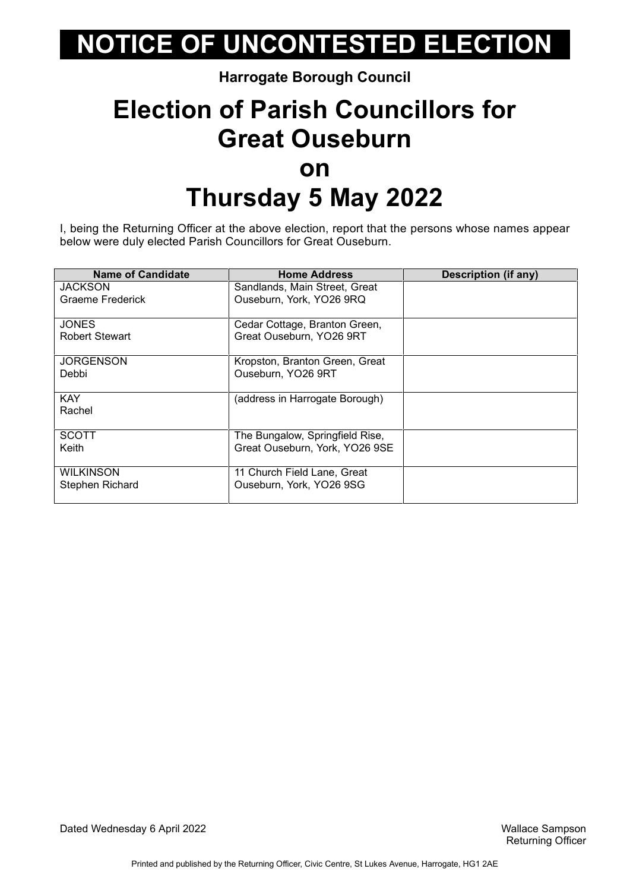#### **Harrogate Borough Council**

### **Election of Parish Councillors for Great Ouseburn on Thursday 5 May 2022**

I, being the Returning Officer at the above election, report that the persons whose names appear below were duly elected Parish Councillors for Great Ouseburn.

| <b>Name of Candidate</b> | <b>Home Address</b>             | Description (if any) |
|--------------------------|---------------------------------|----------------------|
| <b>JACKSON</b>           | Sandlands, Main Street, Great   |                      |
| Graeme Frederick         | Ouseburn, York, YO26 9RQ        |                      |
| <b>JONES</b>             | Cedar Cottage, Branton Green,   |                      |
| <b>Robert Stewart</b>    | Great Ouseburn, YO26 9RT        |                      |
| <b>JORGENSON</b>         | Kropston, Branton Green, Great  |                      |
| Debbi                    | Ouseburn, YO26 9RT              |                      |
| <b>KAY</b>               | (address in Harrogate Borough)  |                      |
| Rachel                   |                                 |                      |
| <b>SCOTT</b>             | The Bungalow, Springfield Rise, |                      |
| Keith                    | Great Ouseburn, York, YO26 9SE  |                      |
| <b>WILKINSON</b>         | 11 Church Field Lane, Great     |                      |
| <b>Stephen Richard</b>   | Ouseburn, York, YO26 9SG        |                      |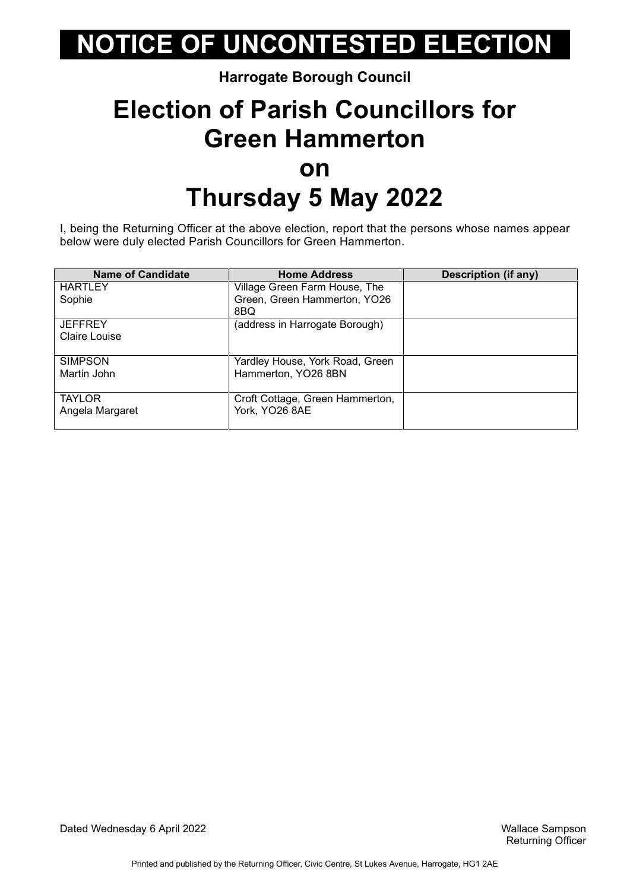#### **Harrogate Borough Council**

### **Election of Parish Councillors for Green Hammerton on Thursday 5 May 2022**

I, being the Returning Officer at the above election, report that the persons whose names appear below were duly elected Parish Councillors for Green Hammerton.

| <b>Name of Candidate</b> | <b>Home Address</b>             | Description (if any) |
|--------------------------|---------------------------------|----------------------|
| <b>HARTLEY</b>           | Village Green Farm House, The   |                      |
| Sophie                   | Green, Green Hammerton, YO26    |                      |
|                          | 8BQ                             |                      |
| <b>JEFFREY</b>           | (address in Harrogate Borough)  |                      |
| Claire Louise            |                                 |                      |
|                          |                                 |                      |
| <b>SIMPSON</b>           | Yardley House, York Road, Green |                      |
| Martin John              | Hammerton, YO26 8BN             |                      |
|                          |                                 |                      |
| <b>TAYLOR</b>            | Croft Cottage, Green Hammerton, |                      |
| Angela Margaret          | York, YO26 8AE                  |                      |
|                          |                                 |                      |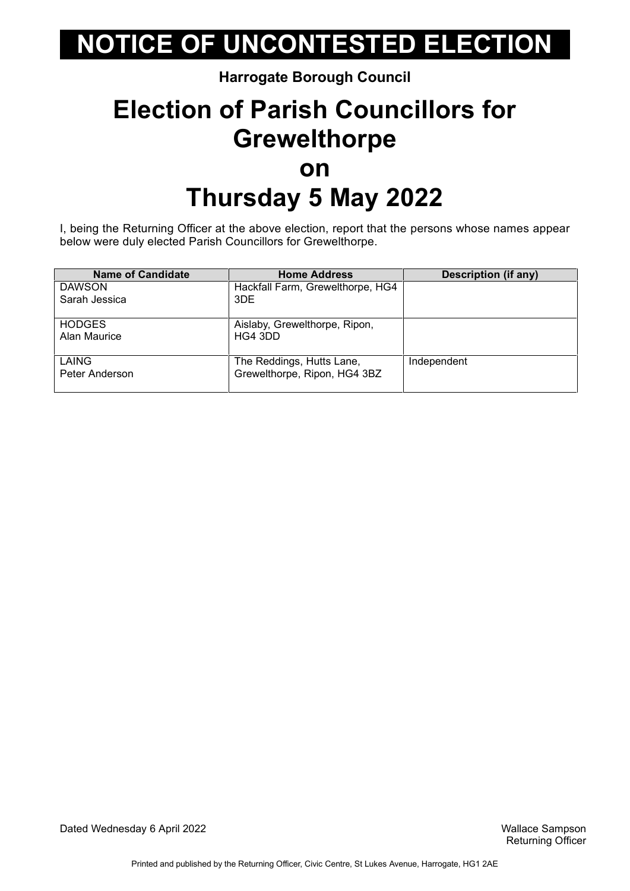#### **Harrogate Borough Council**

### **Election of Parish Councillors for Grewelthorpe on Thursday 5 May 2022**

I, being the Returning Officer at the above election, report that the persons whose names appear below were duly elected Parish Councillors for Grewelthorpe.

| <b>Name of Candidate</b> | <b>Home Address</b>              | <b>Description (if any)</b> |
|--------------------------|----------------------------------|-----------------------------|
| <b>DAWSON</b>            | Hackfall Farm, Grewelthorpe, HG4 |                             |
| Sarah Jessica            | 3DE                              |                             |
| <b>HODGES</b>            | Aislaby, Grewelthorpe, Ripon,    |                             |
| Alan Maurice             | HG4 3DD                          |                             |
| LAING                    | The Reddings, Hutts Lane,        | Independent                 |
| Peter Anderson           | Grewelthorpe, Ripon, HG4 3BZ     |                             |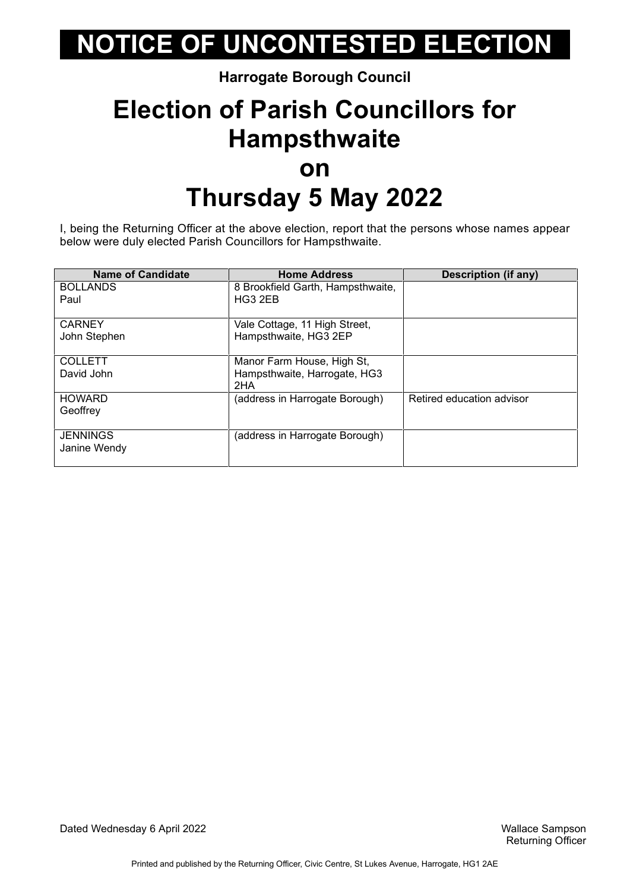#### **Harrogate Borough Council**

### **Election of Parish Councillors for Hampsthwaite on Thursday 5 May 2022**

I, being the Returning Officer at the above election, report that the persons whose names appear below were duly elected Parish Councillors for Hampsthwaite.

| <b>Name of Candidate</b>        | <b>Home Address</b>                 | Description (if any)      |
|---------------------------------|-------------------------------------|---------------------------|
| <b>BOLLANDS</b>                 | 8 Brookfield Garth, Hampsthwaite,   |                           |
| Paul                            | HG3 2EB                             |                           |
| <b>CARNEY</b>                   | Vale Cottage, 11 High Street,       |                           |
| John Stephen                    | Hampsthwaite, HG3 2EP               |                           |
| <b>COLLETT</b>                  | Manor Farm House, High St,          |                           |
| David John                      | Hampsthwaite, Harrogate, HG3<br>2HA |                           |
| <b>HOWARD</b><br>Geoffrey       | (address in Harrogate Borough)      | Retired education advisor |
|                                 |                                     |                           |
| <b>JENNINGS</b><br>Janine Wendy | (address in Harrogate Borough)      |                           |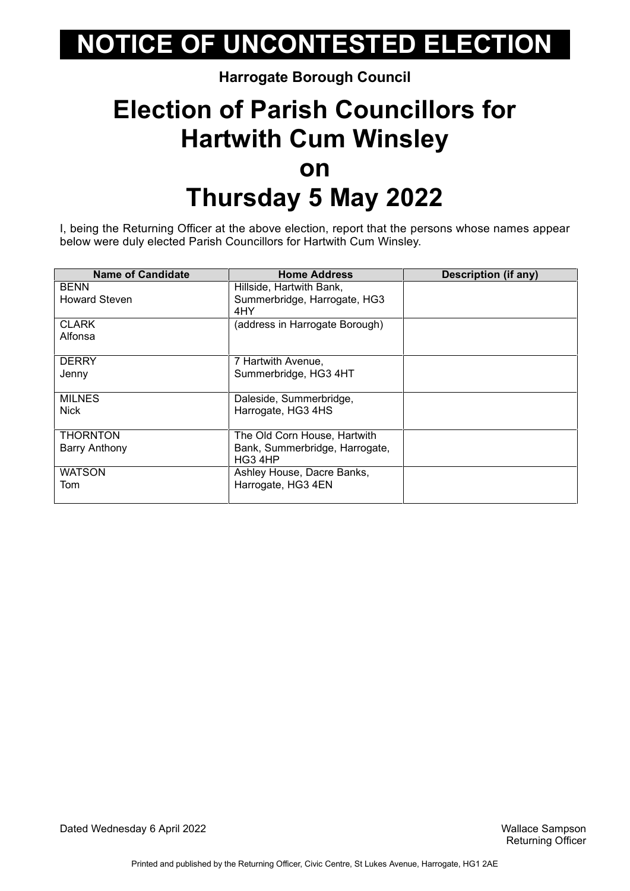#### **Harrogate Borough Council**

### **Election of Parish Councillors for Hartwith Cum Winsley on Thursday 5 May 2022**

I, being the Returning Officer at the above election, report that the persons whose names appear below were duly elected Parish Councillors for Hartwith Cum Winsley.

| <b>Name of Candidate</b> | <b>Home Address</b>            | <b>Description (if any)</b> |
|--------------------------|--------------------------------|-----------------------------|
| <b>BENN</b>              | Hillside, Hartwith Bank,       |                             |
| <b>Howard Steven</b>     | Summerbridge, Harrogate, HG3   |                             |
|                          | 4HY                            |                             |
| <b>CLARK</b>             | (address in Harrogate Borough) |                             |
| Alfonsa                  |                                |                             |
|                          |                                |                             |
| <b>DERRY</b>             | 7 Hartwith Avenue,             |                             |
| Jenny                    | Summerbridge, HG3 4HT          |                             |
|                          |                                |                             |
| <b>MILNES</b>            | Daleside, Summerbridge,        |                             |
| <b>Nick</b>              | Harrogate, HG3 4HS             |                             |
|                          |                                |                             |
| <b>THORNTON</b>          | The Old Corn House, Hartwith   |                             |
| <b>Barry Anthony</b>     | Bank, Summerbridge, Harrogate, |                             |
|                          | HG3 4HP                        |                             |
| <b>WATSON</b>            | Ashley House, Dacre Banks,     |                             |
| Tom                      | Harrogate, HG3 4EN             |                             |
|                          |                                |                             |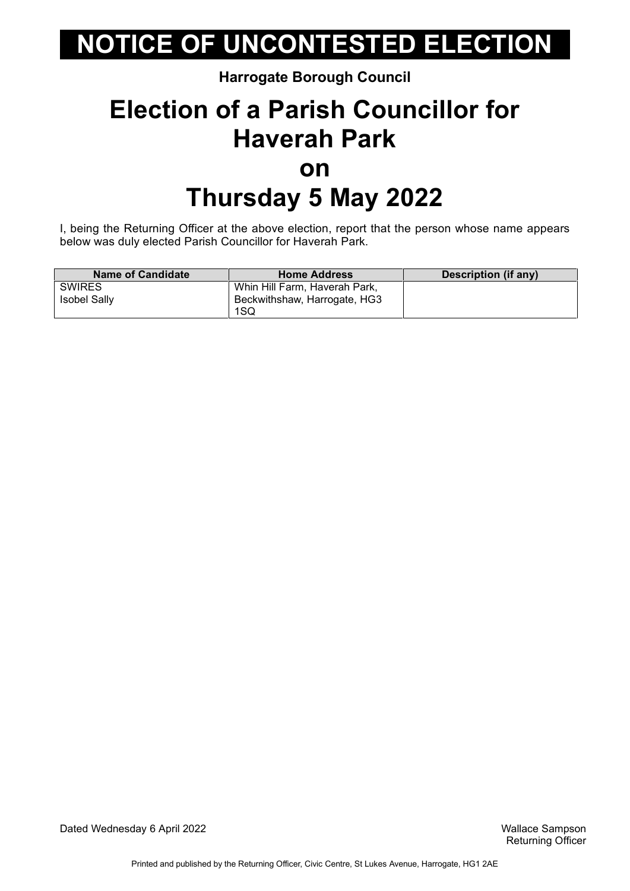#### **Harrogate Borough Council**

### **Election of a Parish Councillor for Haverah Park on Thursday 5 May 2022**

I, being the Returning Officer at the above election, report that the person whose name appears below was duly elected Parish Councillor for Haverah Park.

| <b>Name of Candidate</b> | <b>Home Address</b>           | Description (if any) |
|--------------------------|-------------------------------|----------------------|
| <b>SWIRES</b>            | Whin Hill Farm, Haverah Park, |                      |
| <b>Isobel Sally</b>      | Beckwithshaw, Harrogate, HG3  |                      |
|                          | 1SQ                           |                      |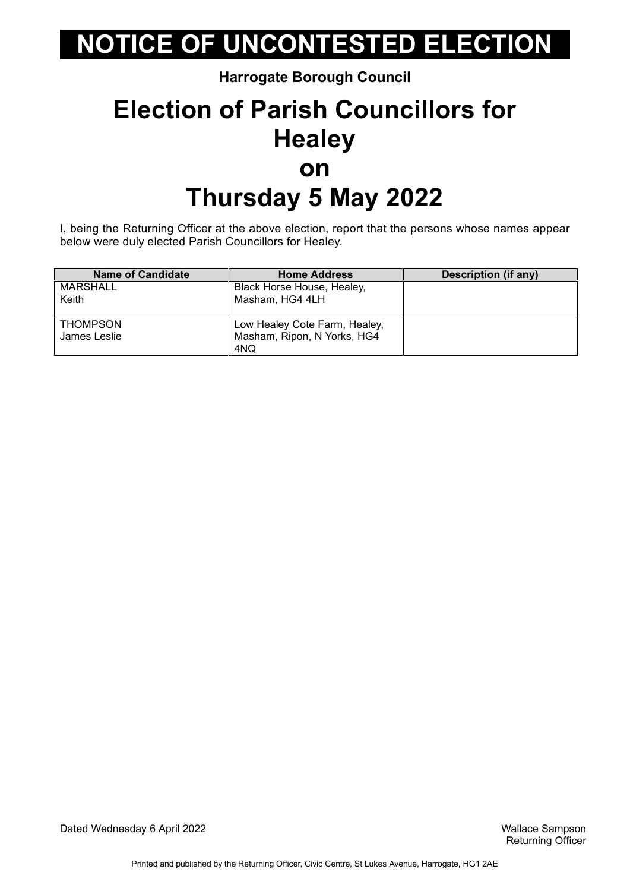**Harrogate Borough Council**

### **Election of Parish Councillors for Healey on Thursday 5 May 2022**

I, being the Returning Officer at the above election, report that the persons whose names appear below were duly elected Parish Councillors for Healey.

| <b>Name of Candidate</b> | <b>Home Address</b>           | <b>Description (if any)</b> |
|--------------------------|-------------------------------|-----------------------------|
| MARSHALL                 | Black Horse House, Healey,    |                             |
| Keith                    | Masham, HG4 4LH               |                             |
|                          |                               |                             |
| <b>THOMPSON</b>          | Low Healey Cote Farm, Healey, |                             |
| James Leslie             | Masham, Ripon, N Yorks, HG4   |                             |
|                          | 4NQ                           |                             |

Dated Wednesday 6 April 2022 Wallace Sampson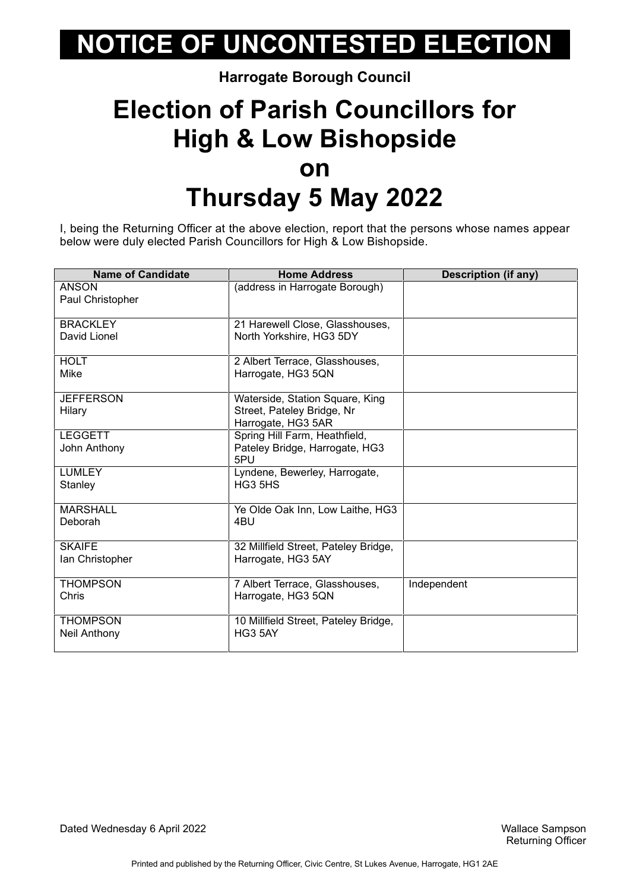#### **Harrogate Borough Council**

### **Election of Parish Councillors for High & Low Bishopside on Thursday 5 May 2022**

I, being the Returning Officer at the above election, report that the persons whose names appear below were duly elected Parish Councillors for High & Low Bishopside.

| <b>Name of Candidate</b> | <b>Home Address</b>                  | <b>Description (if any)</b> |
|--------------------------|--------------------------------------|-----------------------------|
| ANSON                    | (address in Harrogate Borough)       |                             |
| Paul Christopher         |                                      |                             |
|                          |                                      |                             |
| <b>BRACKLEY</b>          | 21 Harewell Close, Glasshouses,      |                             |
| David Lionel             | North Yorkshire, HG3 5DY             |                             |
|                          |                                      |                             |
| <b>HOLT</b>              | 2 Albert Terrace, Glasshouses,       |                             |
| Mike                     | Harrogate, HG3 5QN                   |                             |
|                          |                                      |                             |
| <b>JEFFERSON</b>         | Waterside, Station Square, King      |                             |
| Hilary                   | Street, Pateley Bridge, Nr           |                             |
|                          | Harrogate, HG3 5AR                   |                             |
| <b>LEGGETT</b>           | Spring Hill Farm, Heathfield,        |                             |
| John Anthony             | Pateley Bridge, Harrogate, HG3       |                             |
|                          | 5PU                                  |                             |
| <b>LUMLEY</b>            | Lyndene, Bewerley, Harrogate,        |                             |
| Stanley                  | HG3 5HS                              |                             |
|                          |                                      |                             |
| <b>MARSHALL</b>          | Ye Olde Oak Inn, Low Laithe, HG3     |                             |
| Deborah                  | 4BU                                  |                             |
|                          |                                      |                             |
| <b>SKAIFE</b>            | 32 Millfield Street, Pateley Bridge, |                             |
| Ian Christopher          | Harrogate, HG3 5AY                   |                             |
|                          |                                      |                             |
| <b>THOMPSON</b>          | 7 Albert Terrace, Glasshouses,       | Independent                 |
| Chris                    | Harrogate, HG3 5QN                   |                             |
|                          |                                      |                             |
| <b>THOMPSON</b>          | 10 Millfield Street, Pateley Bridge, |                             |
| Neil Anthony             | HG3 5AY                              |                             |
|                          |                                      |                             |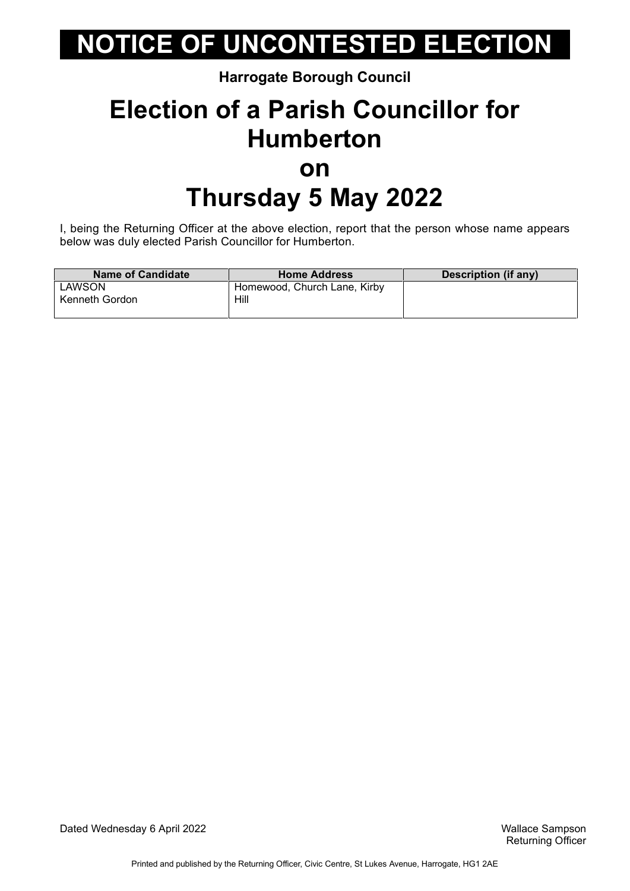#### **Harrogate Borough Council**

### **Election of a Parish Councillor for Humberton on Thursday 5 May 2022**

I, being the Returning Officer at the above election, report that the person whose name appears below was duly elected Parish Councillor for Humberton.

| <b>Name of Candidate</b> | <b>Home Address</b>          | Description (if any) |
|--------------------------|------------------------------|----------------------|
| LAWSON                   | Homewood, Church Lane, Kirby |                      |
| Kenneth Gordon           | Hill                         |                      |
|                          |                              |                      |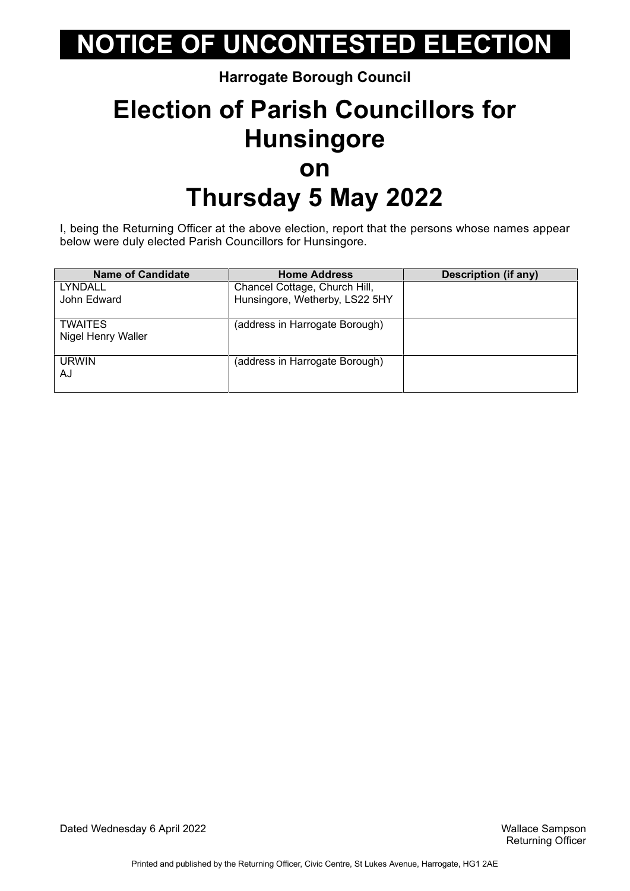#### **Harrogate Borough Council**

### **Election of Parish Councillors for Hunsingore on Thursday 5 May 2022**

I, being the Returning Officer at the above election, report that the persons whose names appear below were duly elected Parish Councillors for Hunsingore.

| <b>Name of Candidate</b> | <b>Home Address</b>            | <b>Description (if any)</b> |
|--------------------------|--------------------------------|-----------------------------|
| LYNDALL                  | Chancel Cottage, Church Hill,  |                             |
| John Edward              | Hunsingore, Wetherby, LS22 5HY |                             |
| <b>TWAITES</b>           | (address in Harrogate Borough) |                             |
| Nigel Henry Waller       |                                |                             |
| <b>URWIN</b>             | (address in Harrogate Borough) |                             |
| AJ                       |                                |                             |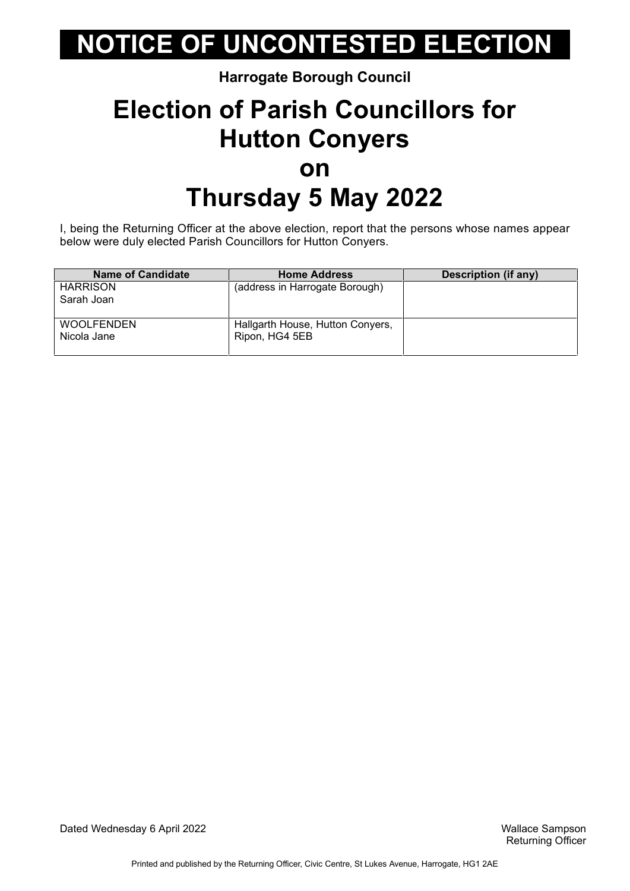#### **Harrogate Borough Council**

### **Election of Parish Councillors for Hutton Conyers on Thursday 5 May 2022**

I, being the Returning Officer at the above election, report that the persons whose names appear below were duly elected Parish Councillors for Hutton Conyers.

| Name of Candidate | <b>Home Address</b>              | Description (if any) |
|-------------------|----------------------------------|----------------------|
| <b>HARRISON</b>   | (address in Harrogate Borough)   |                      |
| Sarah Joan        |                                  |                      |
|                   |                                  |                      |
| <b>WOOLFENDEN</b> | Hallgarth House, Hutton Conyers, |                      |
| Nicola Jane       | Ripon, HG4 5EB                   |                      |
|                   |                                  |                      |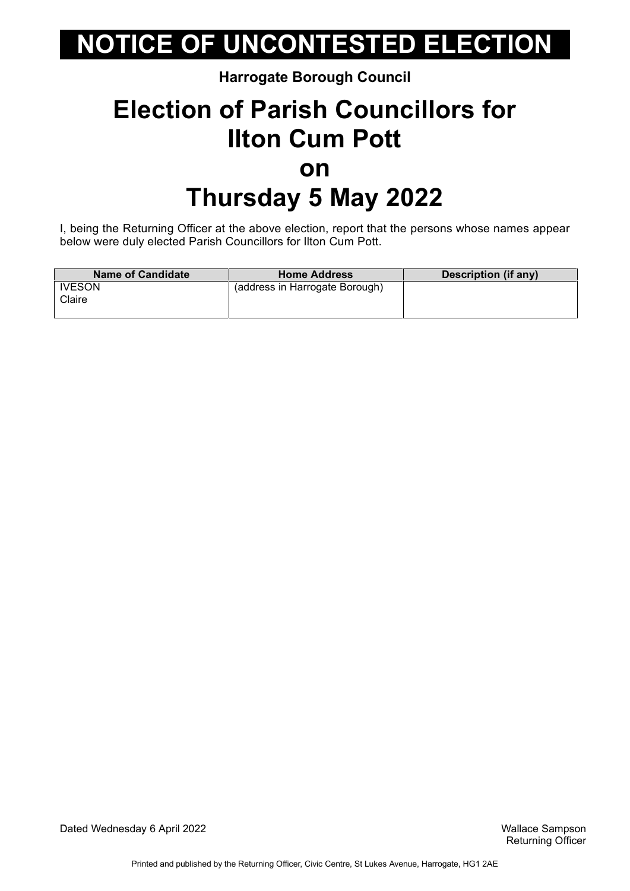#### **Harrogate Borough Council**

### **Election of Parish Councillors for Ilton Cum Pott on Thursday 5 May 2022**

I, being the Returning Officer at the above election, report that the persons whose names appear below were duly elected Parish Councillors for Ilton Cum Pott.

| <b>Name of Candidate</b> | <b>Home Address</b>            | Description (if any) |
|--------------------------|--------------------------------|----------------------|
| <b>IVESON</b><br>Claire  | (address in Harrogate Borough) |                      |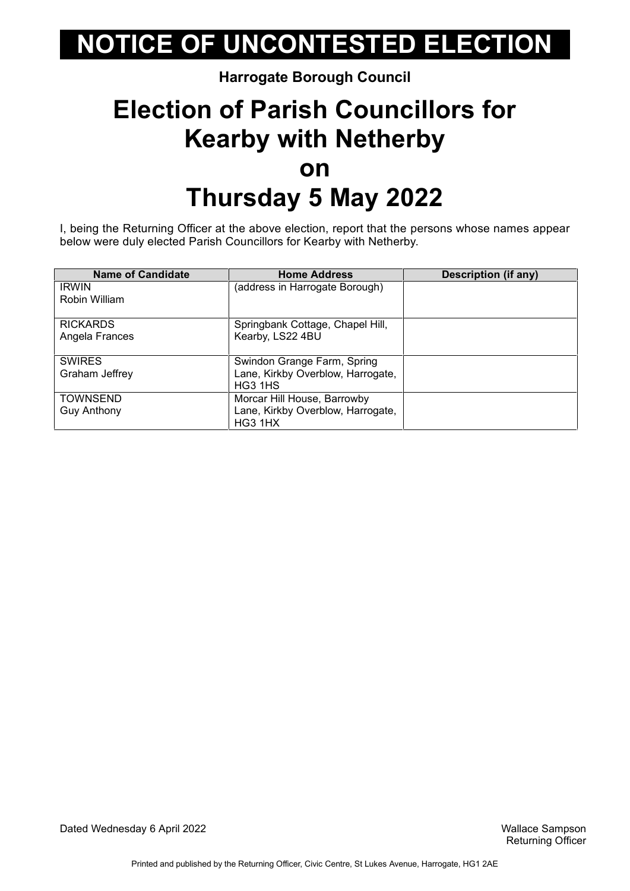#### **Harrogate Borough Council**

### **Election of Parish Councillors for Kearby with Netherby on Thursday 5 May 2022**

I, being the Returning Officer at the above election, report that the persons whose names appear below were duly elected Parish Councillors for Kearby with Netherby.

| <b>Name of Candidate</b> | <b>Home Address</b>               | <b>Description (if any)</b> |
|--------------------------|-----------------------------------|-----------------------------|
| <b>IRWIN</b>             | (address in Harrogate Borough)    |                             |
| Robin William            |                                   |                             |
| <b>RICKARDS</b>          | Springbank Cottage, Chapel Hill,  |                             |
| Angela Frances           | Kearby, LS22 4BU                  |                             |
| <b>SWIRES</b>            | Swindon Grange Farm, Spring       |                             |
| Graham Jeffrey           | Lane, Kirkby Overblow, Harrogate, |                             |
|                          | HG3 1HS                           |                             |
| <b>TOWNSEND</b>          | Morcar Hill House, Barrowby       |                             |
| <b>Guy Anthony</b>       | Lane, Kirkby Overblow, Harrogate, |                             |
|                          | HG3 1HX                           |                             |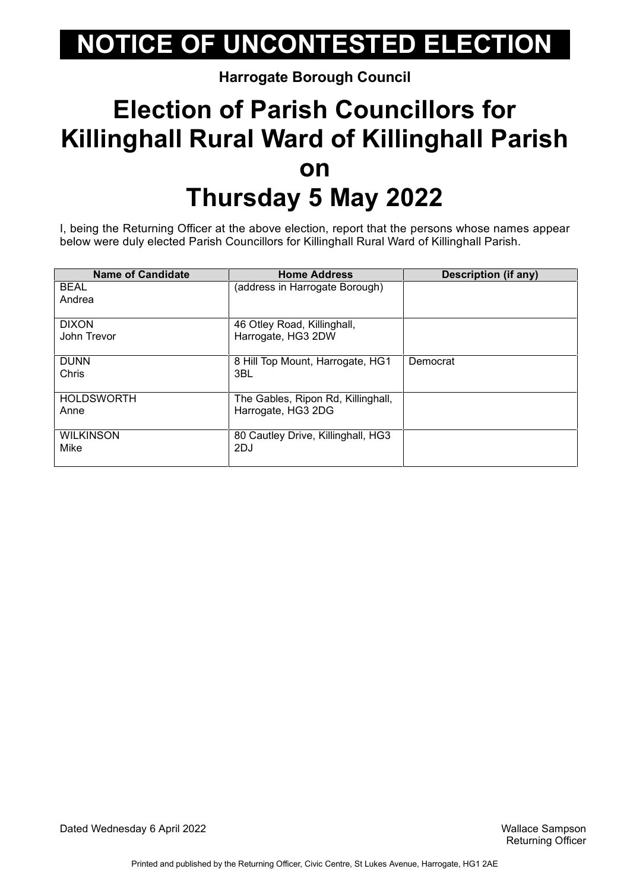**Harrogate Borough Council**

### **Election of Parish Councillors for Killinghall Rural Ward of Killinghall Parish on Thursday 5 May 2022**

I, being the Returning Officer at the above election, report that the persons whose names appear below were duly elected Parish Councillors for Killinghall Rural Ward of Killinghall Parish.

| <b>Name of Candidate</b> | <b>Home Address</b>                | Description (if any) |
|--------------------------|------------------------------------|----------------------|
| <b>BEAL</b>              | (address in Harrogate Borough)     |                      |
| Andrea                   |                                    |                      |
|                          |                                    |                      |
| <b>DIXON</b>             | 46 Otley Road, Killinghall,        |                      |
| John Trevor              | Harrogate, HG3 2DW                 |                      |
|                          |                                    |                      |
| <b>DUNN</b>              | 8 Hill Top Mount, Harrogate, HG1   | Democrat             |
| Chris                    | 3BL                                |                      |
|                          |                                    |                      |
| <b>HOLDSWORTH</b>        | The Gables, Ripon Rd, Killinghall, |                      |
| Anne                     | Harrogate, HG3 2DG                 |                      |
|                          |                                    |                      |
| <b>WILKINSON</b>         | 80 Cautley Drive, Killinghall, HG3 |                      |
| Mike                     | 2DJ                                |                      |
|                          |                                    |                      |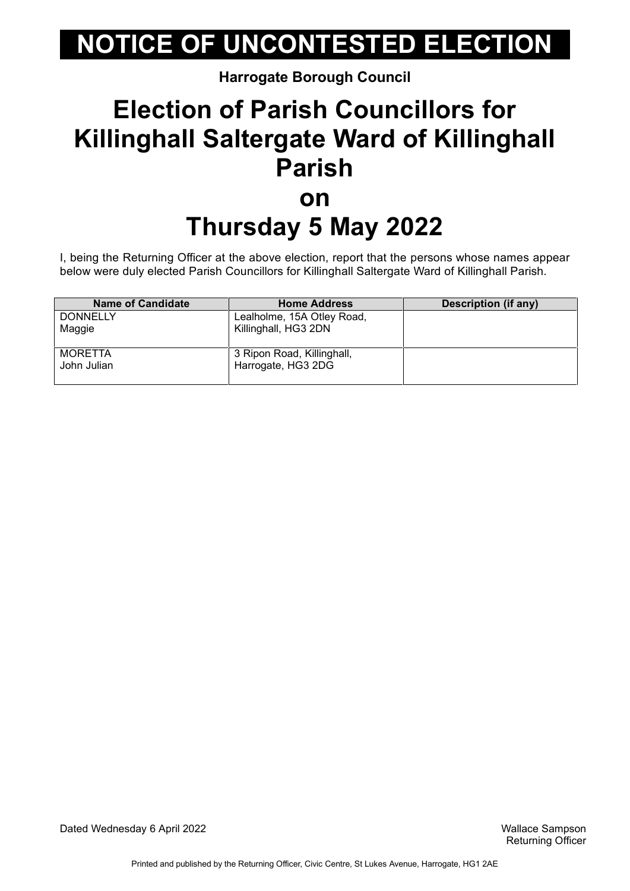**Harrogate Borough Council**

### **Election of Parish Councillors for Killinghall Saltergate Ward of Killinghall Parish on Thursday 5 May 2022**

I, being the Returning Officer at the above election, report that the persons whose names appear below were duly elected Parish Councillors for Killinghall Saltergate Ward of Killinghall Parish.

| <b>Name of Candidate</b> | <b>Home Address</b>        | Description (if any) |
|--------------------------|----------------------------|----------------------|
| <b>DONNELLY</b>          | Lealholme, 15A Otley Road, |                      |
| Maggie                   | Killinghall, HG3 2DN       |                      |
|                          |                            |                      |
| <b>MORETTA</b>           | 3 Ripon Road, Killinghall, |                      |
| John Julian              | Harrogate, HG3 2DG         |                      |
|                          |                            |                      |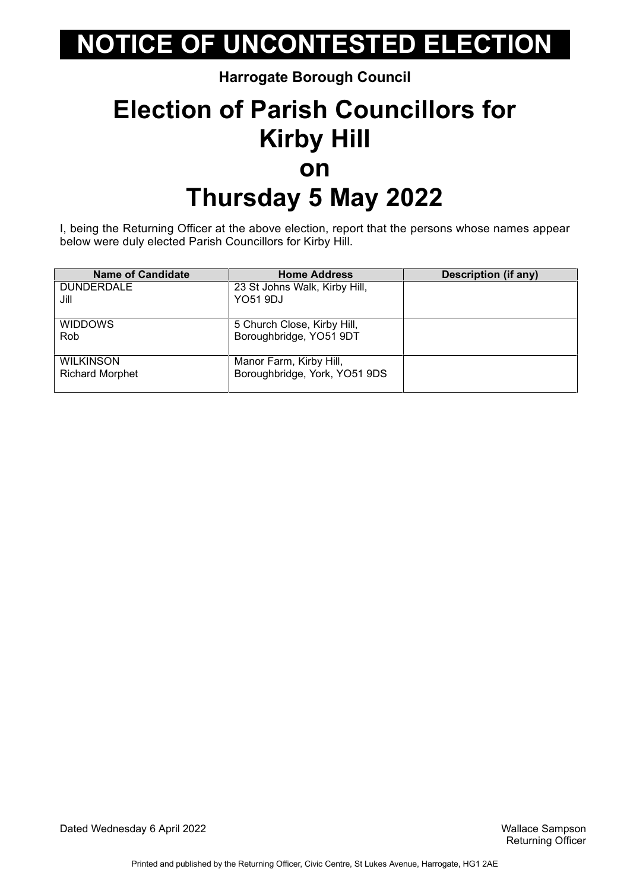**Harrogate Borough Council**

### **Election of Parish Councillors for Kirby Hill on Thursday 5 May 2022**

I, being the Returning Officer at the above election, report that the persons whose names appear below were duly elected Parish Councillors for Kirby Hill.

| <b>Name of Candidate</b> | <b>Home Address</b>           | <b>Description (if any)</b> |
|--------------------------|-------------------------------|-----------------------------|
| <b>DUNDERDALE</b>        | 23 St Johns Walk, Kirby Hill, |                             |
| Jill                     | <b>YO51 9DJ</b>               |                             |
|                          |                               |                             |
| <b>WIDDOWS</b>           | 5 Church Close, Kirby Hill,   |                             |
| Rob                      | Boroughbridge, YO51 9DT       |                             |
|                          |                               |                             |
| <b>WILKINSON</b>         | Manor Farm, Kirby Hill,       |                             |
| <b>Richard Morphet</b>   | Boroughbridge, York, YO51 9DS |                             |
|                          |                               |                             |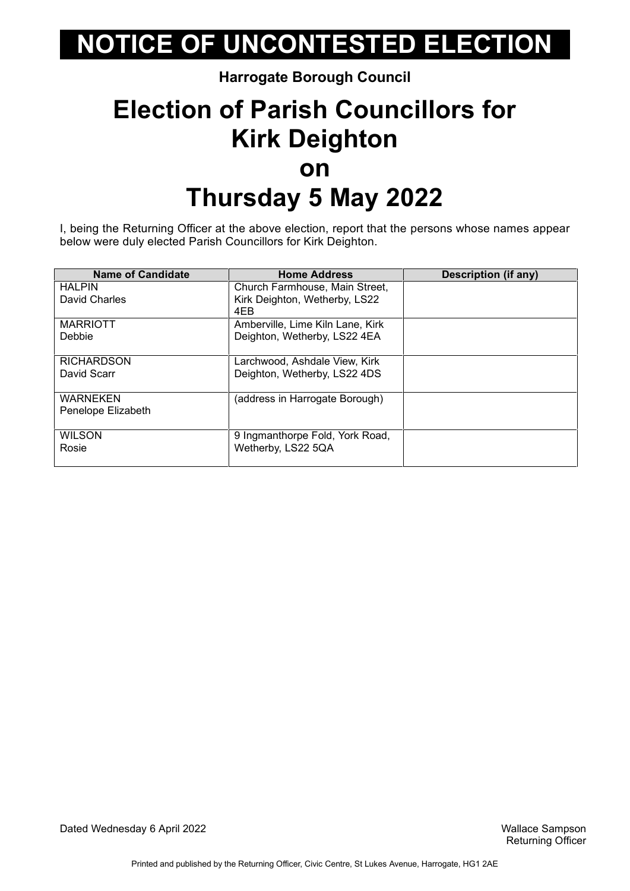#### **Harrogate Borough Council**

### **Election of Parish Councillors for Kirk Deighton on Thursday 5 May 2022**

I, being the Returning Officer at the above election, report that the persons whose names appear below were duly elected Parish Councillors for Kirk Deighton.

| <b>Name of Candidate</b> | <b>Home Address</b>              | Description (if any) |
|--------------------------|----------------------------------|----------------------|
| <b>HALPIN</b>            | Church Farmhouse, Main Street,   |                      |
| David Charles            | Kirk Deighton, Wetherby, LS22    |                      |
|                          | 4EB                              |                      |
| <b>MARRIOTT</b>          | Amberville, Lime Kiln Lane, Kirk |                      |
| Debbie                   | Deighton, Wetherby, LS22 4EA     |                      |
|                          |                                  |                      |
| <b>RICHARDSON</b>        | Larchwood, Ashdale View, Kirk    |                      |
| David Scarr              | Deighton, Wetherby, LS22 4DS     |                      |
|                          |                                  |                      |
| <b>WARNEKEN</b>          | (address in Harrogate Borough)   |                      |
| Penelope Elizabeth       |                                  |                      |
|                          |                                  |                      |
| <b>WILSON</b>            | 9 Ingmanthorpe Fold, York Road,  |                      |
| Rosie                    | Wetherby, LS22 5QA               |                      |
|                          |                                  |                      |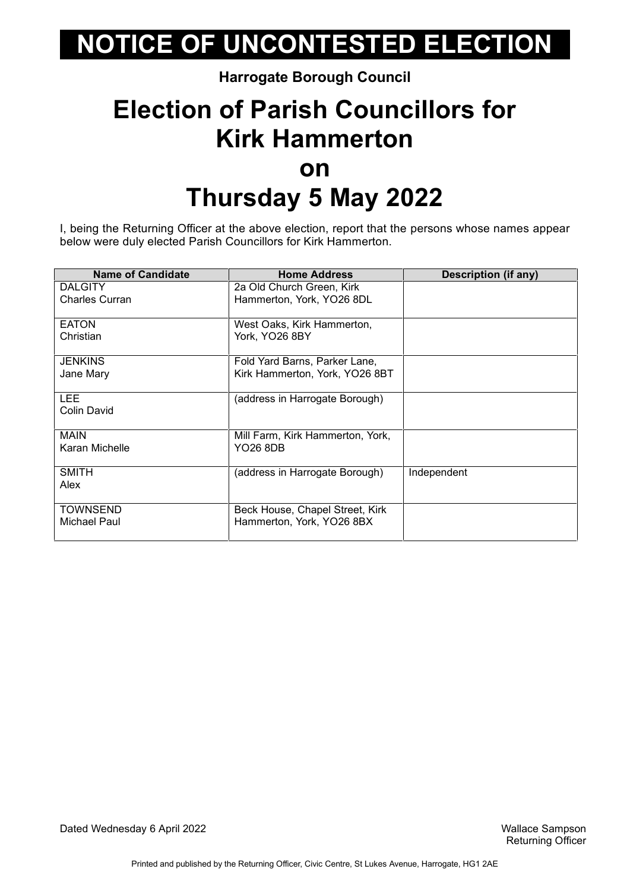#### **Harrogate Borough Council**

### **Election of Parish Councillors for Kirk Hammerton on Thursday 5 May 2022**

I, being the Returning Officer at the above election, report that the persons whose names appear below were duly elected Parish Councillors for Kirk Hammerton.

| <b>Name of Candidate</b> | <b>Home Address</b>              | <b>Description (if any)</b> |
|--------------------------|----------------------------------|-----------------------------|
| <b>DALGITY</b>           | 2a Old Church Green, Kirk        |                             |
| <b>Charles Curran</b>    | Hammerton, York, YO26 8DL        |                             |
|                          |                                  |                             |
| <b>EATON</b>             | West Oaks, Kirk Hammerton,       |                             |
| Christian                | York, YO26 8BY                   |                             |
|                          |                                  |                             |
| <b>JENKINS</b>           | Fold Yard Barns, Parker Lane,    |                             |
| Jane Mary                | Kirk Hammerton, York, YO26 8BT   |                             |
|                          |                                  |                             |
| LEE.                     | (address in Harrogate Borough)   |                             |
| Colin David              |                                  |                             |
|                          |                                  |                             |
| <b>MAIN</b>              | Mill Farm, Kirk Hammerton, York, |                             |
| Karan Michelle           | YO26 8DB                         |                             |
|                          |                                  |                             |
| <b>SMITH</b>             | (address in Harrogate Borough)   | Independent                 |
| Alex                     |                                  |                             |
|                          |                                  |                             |
| <b>TOWNSEND</b>          | Beck House, Chapel Street, Kirk  |                             |
| Michael Paul             | Hammerton, York, YO26 8BX        |                             |
|                          |                                  |                             |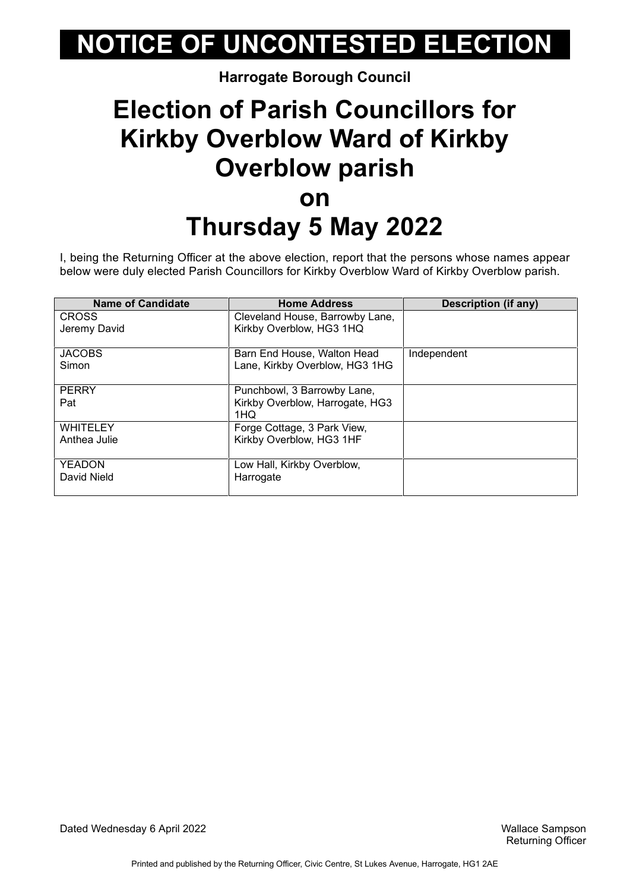#### **Harrogate Borough Council**

#### **Election of Parish Councillors for Kirkby Overblow Ward of Kirkby Overblow parish on Thursday 5 May 2022**

I, being the Returning Officer at the above election, report that the persons whose names appear below were duly elected Parish Councillors for Kirkby Overblow Ward of Kirkby Overblow parish.

| <b>Name of Candidate</b> | <b>Home Address</b>             | <b>Description (if any)</b> |
|--------------------------|---------------------------------|-----------------------------|
| <b>CROSS</b>             | Cleveland House, Barrowby Lane, |                             |
| Jeremy David             | Kirkby Overblow, HG3 1HQ        |                             |
|                          |                                 |                             |
| <b>JACOBS</b>            | Barn End House, Walton Head     | Independent                 |
| Simon                    | Lane, Kirkby Overblow, HG3 1HG  |                             |
|                          |                                 |                             |
| <b>PERRY</b>             | Punchbowl, 3 Barrowby Lane,     |                             |
| Pat                      | Kirkby Overblow, Harrogate, HG3 |                             |
|                          | 1HQ                             |                             |
| <b>WHITELEY</b>          | Forge Cottage, 3 Park View,     |                             |
| Anthea Julie             | Kirkby Overblow, HG3 1HF        |                             |
|                          |                                 |                             |
| <b>YEADON</b>            | Low Hall, Kirkby Overblow,      |                             |
| David Nield              | Harrogate                       |                             |
|                          |                                 |                             |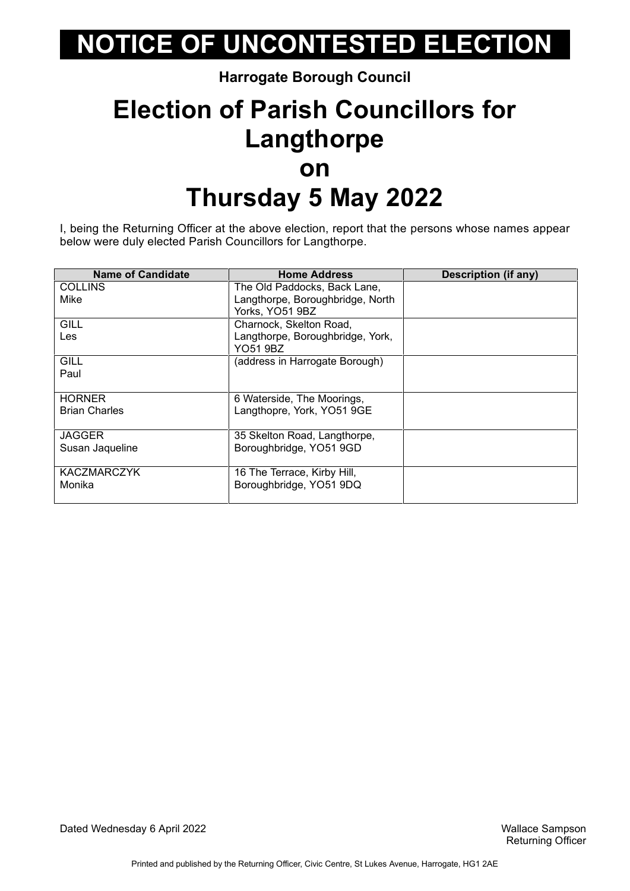**Harrogate Borough Council**

### **Election of Parish Councillors for Langthorpe on Thursday 5 May 2022**

I, being the Returning Officer at the above election, report that the persons whose names appear below were duly elected Parish Councillors for Langthorpe.

| <b>Name of Candidate</b> | <b>Home Address</b>              | <b>Description (if any)</b> |
|--------------------------|----------------------------------|-----------------------------|
| <b>COLLINS</b>           | The Old Paddocks, Back Lane,     |                             |
| Mike                     | Langthorpe, Boroughbridge, North |                             |
|                          | Yorks, YO51 9BZ                  |                             |
| <b>GILL</b>              | Charnock, Skelton Road,          |                             |
| Les                      | Langthorpe, Boroughbridge, York, |                             |
|                          | YO51 9BZ                         |                             |
| <b>GILL</b>              | (address in Harrogate Borough)   |                             |
| Paul                     |                                  |                             |
|                          |                                  |                             |
| <b>HORNER</b>            | 6 Waterside, The Moorings,       |                             |
| <b>Brian Charles</b>     | Langthopre, York, YO51 9GE       |                             |
|                          |                                  |                             |
| <b>JAGGER</b>            | 35 Skelton Road, Langthorpe,     |                             |
| Susan Jaqueline          | Boroughbridge, YO51 9GD          |                             |
|                          |                                  |                             |
| <b>KACZMARCZYK</b>       | 16 The Terrace, Kirby Hill,      |                             |
| Monika                   | Boroughbridge, YO51 9DQ          |                             |
|                          |                                  |                             |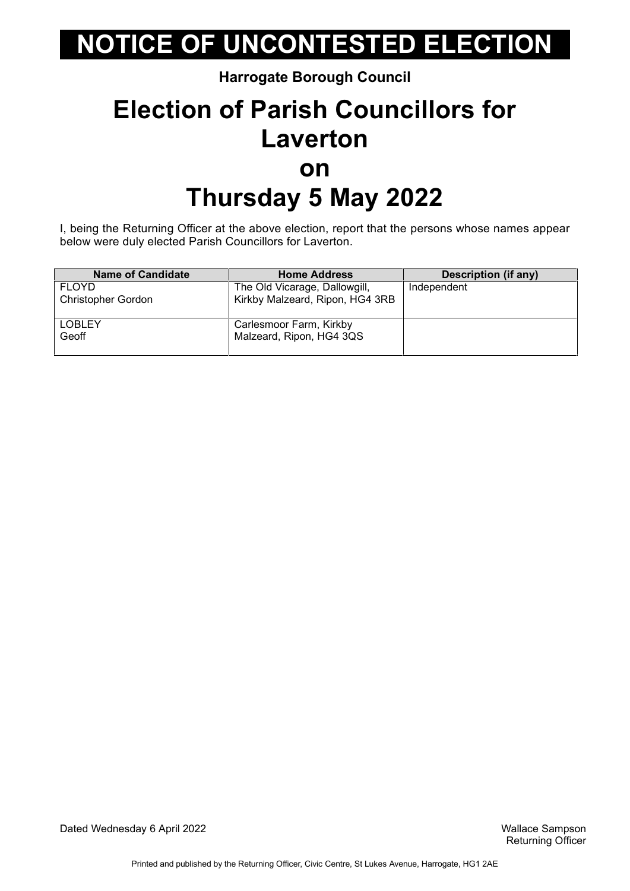**Harrogate Borough Council**

### **Election of Parish Councillors for Laverton on Thursday 5 May 2022**

I, being the Returning Officer at the above election, report that the persons whose names appear below were duly elected Parish Councillors for Laverton.

| <b>Name of Candidate</b>  | <b>Home Address</b>             | Description (if any) |
|---------------------------|---------------------------------|----------------------|
| <b>FLOYD</b>              | The Old Vicarage, Dallowgill,   | Independent          |
| <b>Christopher Gordon</b> | Kirkby Malzeard, Ripon, HG4 3RB |                      |
|                           |                                 |                      |
| <b>LOBLEY</b>             | Carlesmoor Farm, Kirkby         |                      |
| Geoff                     | Malzeard, Ripon, HG4 3QS        |                      |
|                           |                                 |                      |

Dated Wednesday 6 April 2022 Wallace Sampson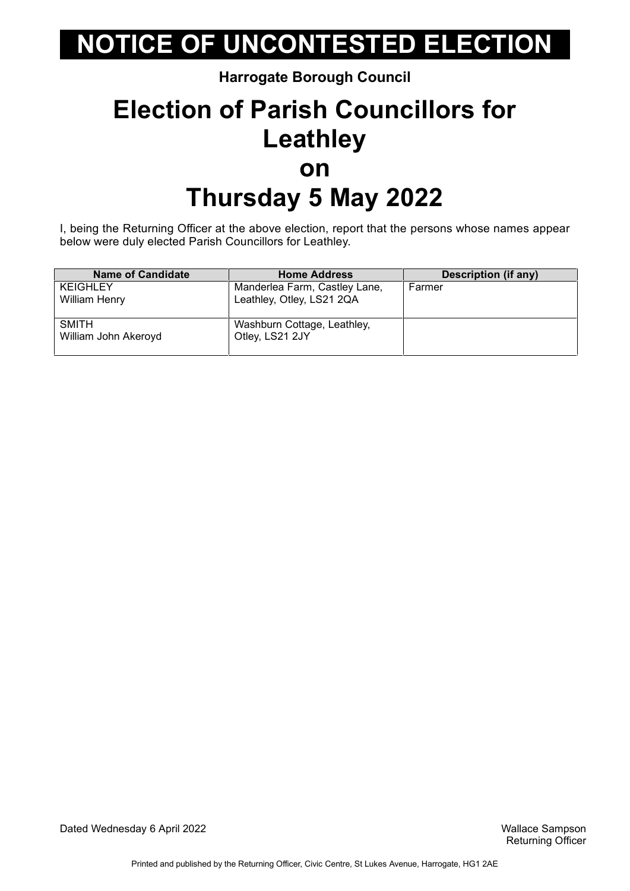**Harrogate Borough Council**

### **Election of Parish Councillors for Leathley on Thursday 5 May 2022**

I, being the Returning Officer at the above election, report that the persons whose names appear below were duly elected Parish Councillors for Leathley.

| <b>Name of Candidate</b> | <b>Home Address</b>           | <b>Description (if any)</b> |
|--------------------------|-------------------------------|-----------------------------|
| <b>KEIGHLEY</b>          | Manderlea Farm, Castley Lane, | Farmer                      |
| <b>William Henry</b>     | Leathley, Otley, LS21 2QA     |                             |
|                          |                               |                             |
| <b>SMITH</b>             | Washburn Cottage, Leathley,   |                             |
| William John Akeroyd     | Otley, LS21 2JY               |                             |
|                          |                               |                             |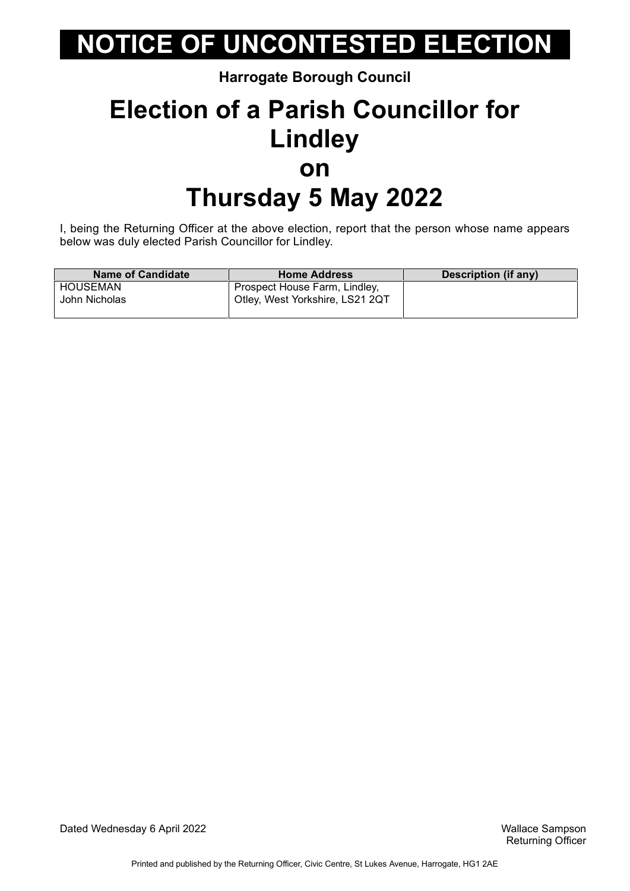**Harrogate Borough Council**

### **Election of a Parish Councillor for Lindley on Thursday 5 May 2022**

I, being the Returning Officer at the above election, report that the person whose name appears below was duly elected Parish Councillor for Lindley.

| <b>Name of Candidate</b> | <b>Home Address</b>             | Description (if any) |
|--------------------------|---------------------------------|----------------------|
| HOUSEMAN                 | Prospect House Farm, Lindley,   |                      |
| John Nicholas            | Otley, West Yorkshire, LS21 2QT |                      |
|                          |                                 |                      |

Dated Wednesday 6 April 2022 Wallace Sampson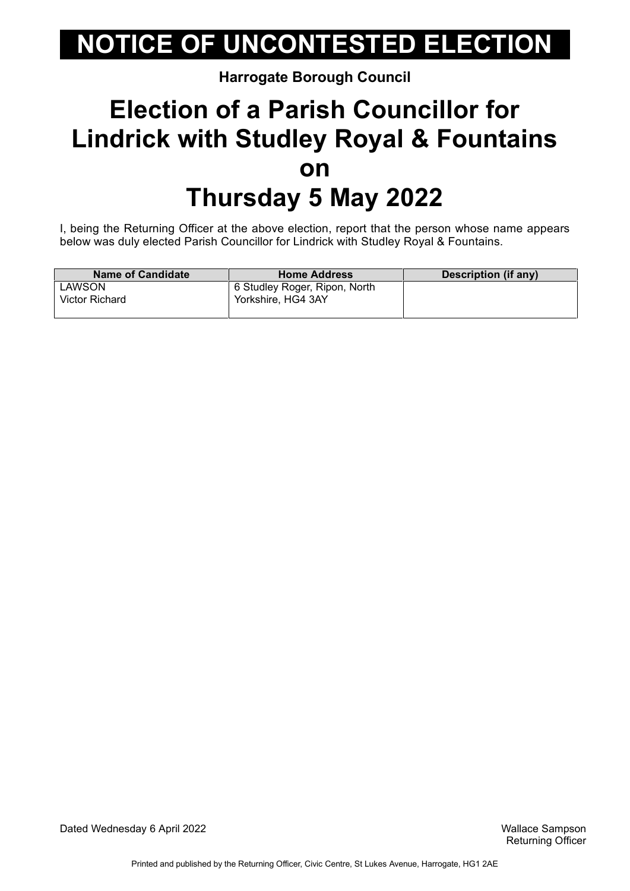**Harrogate Borough Council**

### **Election of a Parish Councillor for Lindrick with Studley Royal & Fountains on Thursday 5 May 2022**

I, being the Returning Officer at the above election, report that the person whose name appears below was duly elected Parish Councillor for Lindrick with Studley Royal & Fountains.

| <b>Home Address</b>           | Description (if any) |
|-------------------------------|----------------------|
| 6 Studley Roger, Ripon, North |                      |
| Yorkshire, HG4 3AY            |                      |
|                               |                      |

Dated Wednesday 6 April 2022 Wallace Sampson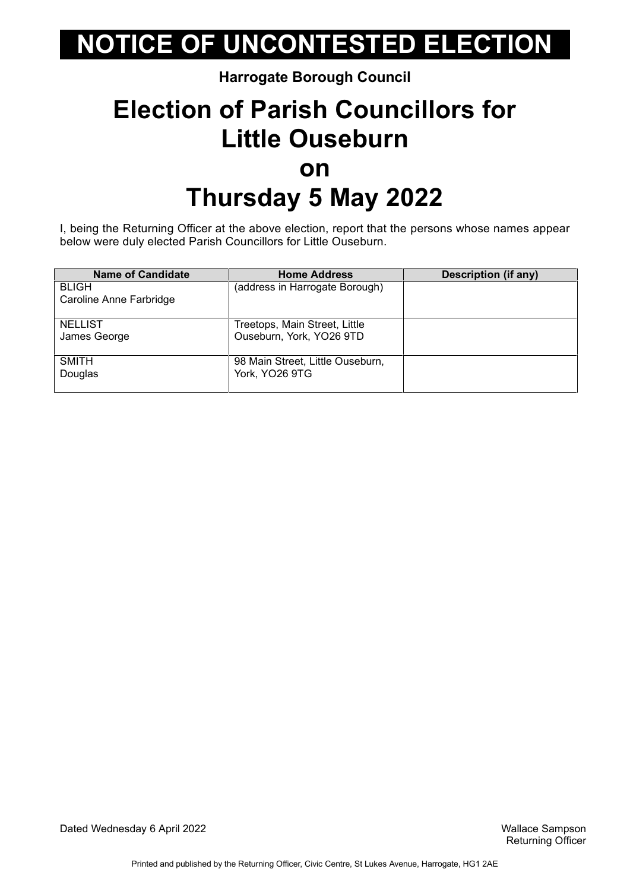#### **Harrogate Borough Council**

### **Election of Parish Councillors for Little Ouseburn on Thursday 5 May 2022**

I, being the Returning Officer at the above election, report that the persons whose names appear below were duly elected Parish Councillors for Little Ouseburn.

| <b>Name of Candidate</b> | <b>Home Address</b>              | <b>Description (if any)</b> |
|--------------------------|----------------------------------|-----------------------------|
| <b>BLIGH</b>             | (address in Harrogate Borough)   |                             |
| Caroline Anne Farbridge  |                                  |                             |
|                          |                                  |                             |
| <b>NELLIST</b>           | Treetops, Main Street, Little    |                             |
| James George             | Ouseburn, York, YO26 9TD         |                             |
|                          |                                  |                             |
| <b>SMITH</b>             | 98 Main Street, Little Ouseburn, |                             |
| Douglas                  | York, YO26 9TG                   |                             |
|                          |                                  |                             |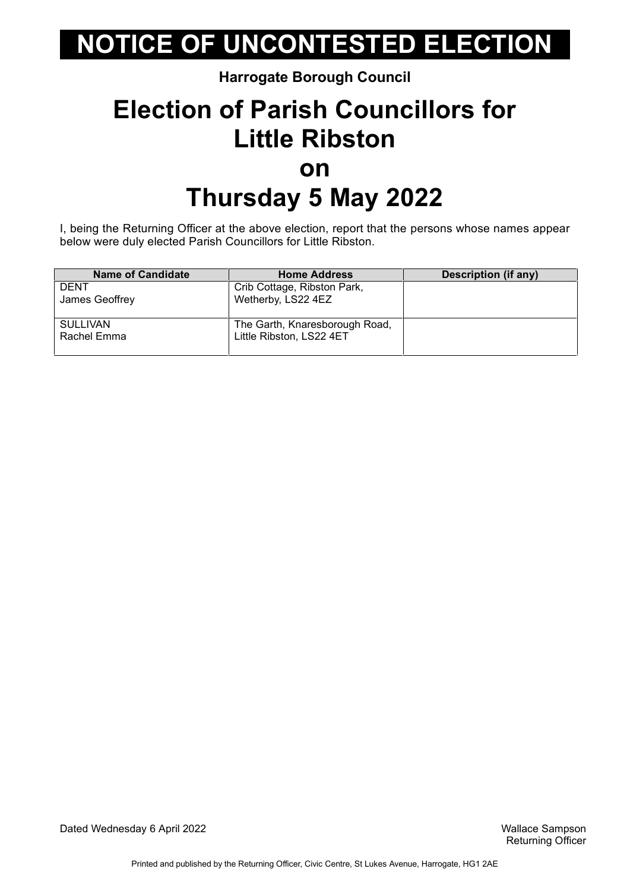#### **Harrogate Borough Council**

### **Election of Parish Councillors for Little Ribston on Thursday 5 May 2022**

I, being the Returning Officer at the above election, report that the persons whose names appear below were duly elected Parish Councillors for Little Ribston.

| <b>Name of Candidate</b> | <b>Home Address</b>            | <b>Description (if any)</b> |
|--------------------------|--------------------------------|-----------------------------|
| <b>DENT</b>              | Crib Cottage, Ribston Park,    |                             |
| James Geoffrey           | Wetherby, LS22 4EZ             |                             |
|                          |                                |                             |
| <b>SULLIVAN</b>          | The Garth, Knaresborough Road, |                             |
| Rachel Emma              | Little Ribston, LS22 4ET       |                             |
|                          |                                |                             |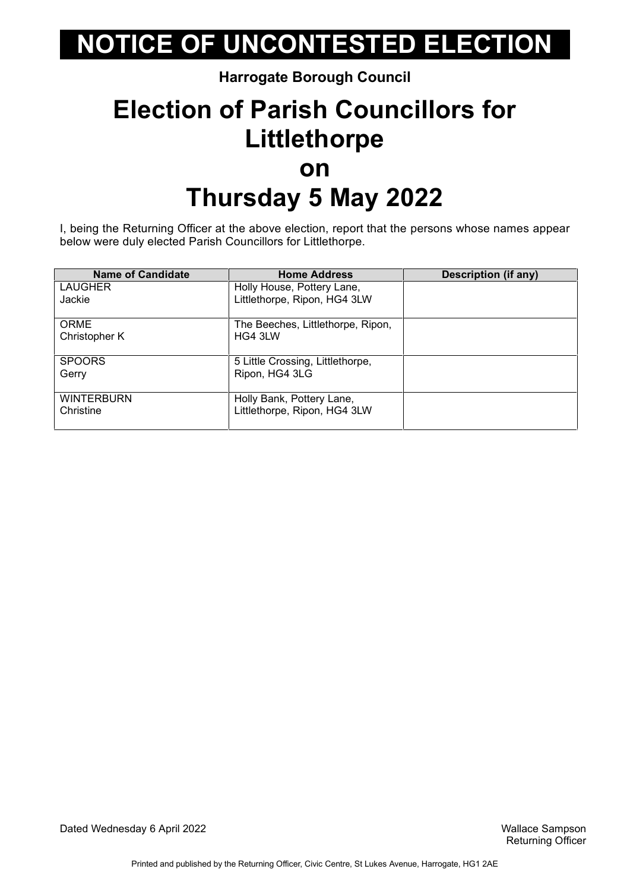#### **Harrogate Borough Council**

### **Election of Parish Councillors for Littlethorpe on Thursday 5 May 2022**

I, being the Returning Officer at the above election, report that the persons whose names appear below were duly elected Parish Councillors for Littlethorpe.

| <b>Name of Candidate</b> | <b>Home Address</b>               | <b>Description (if any)</b> |
|--------------------------|-----------------------------------|-----------------------------|
| <b>LAUGHER</b>           | Holly House, Pottery Lane,        |                             |
| Jackie                   | Littlethorpe, Ripon, HG4 3LW      |                             |
| <b>ORME</b>              | The Beeches, Littlethorpe, Ripon, |                             |
| Christopher K            | HG4 3LW                           |                             |
| <b>SPOORS</b>            | 5 Little Crossing, Littlethorpe,  |                             |
| Gerry                    | Ripon, HG4 3LG                    |                             |
| <b>WINTERBURN</b>        | Holly Bank, Pottery Lane,         |                             |
| Christine                | Littlethorpe, Ripon, HG4 3LW      |                             |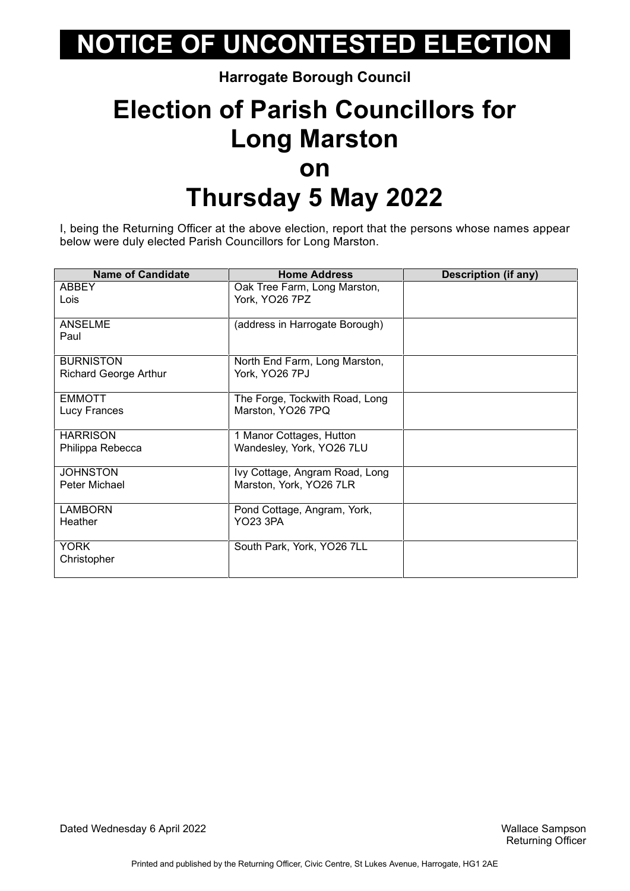#### **Harrogate Borough Council**

### **Election of Parish Councillors for Long Marston on Thursday 5 May 2022**

I, being the Returning Officer at the above election, report that the persons whose names appear below were duly elected Parish Councillors for Long Marston.

| <b>Name of Candidate</b>     | <b>Home Address</b>            | <b>Description (if any)</b> |
|------------------------------|--------------------------------|-----------------------------|
| <b>ABBEY</b>                 | Oak Tree Farm, Long Marston,   |                             |
| Lois                         | York, YO26 7PZ                 |                             |
|                              |                                |                             |
| <b>ANSELME</b>               | (address in Harrogate Borough) |                             |
| Paul                         |                                |                             |
|                              |                                |                             |
| <b>BURNISTON</b>             | North End Farm, Long Marston,  |                             |
| <b>Richard George Arthur</b> | York, YO26 7PJ                 |                             |
| <b>EMMOTT</b>                | The Forge, Tockwith Road, Long |                             |
| Lucy Frances                 | Marston, YO26 7PQ              |                             |
|                              |                                |                             |
| <b>HARRISON</b>              | 1 Manor Cottages, Hutton       |                             |
| Philippa Rebecca             | Wandesley, York, YO26 7LU      |                             |
|                              |                                |                             |
| <b>JOHNSTON</b>              | Ivy Cottage, Angram Road, Long |                             |
| Peter Michael                | Marston, York, YO26 7LR        |                             |
| <b>LAMBORN</b>               | Pond Cottage, Angram, York,    |                             |
| <b>Heather</b>               | <b>YO23 3PA</b>                |                             |
|                              |                                |                             |
| <b>YORK</b>                  | South Park, York, YO26 7LL     |                             |
| Christopher                  |                                |                             |
|                              |                                |                             |

Dated Wednesday 6 April 2022 Wallace Sampson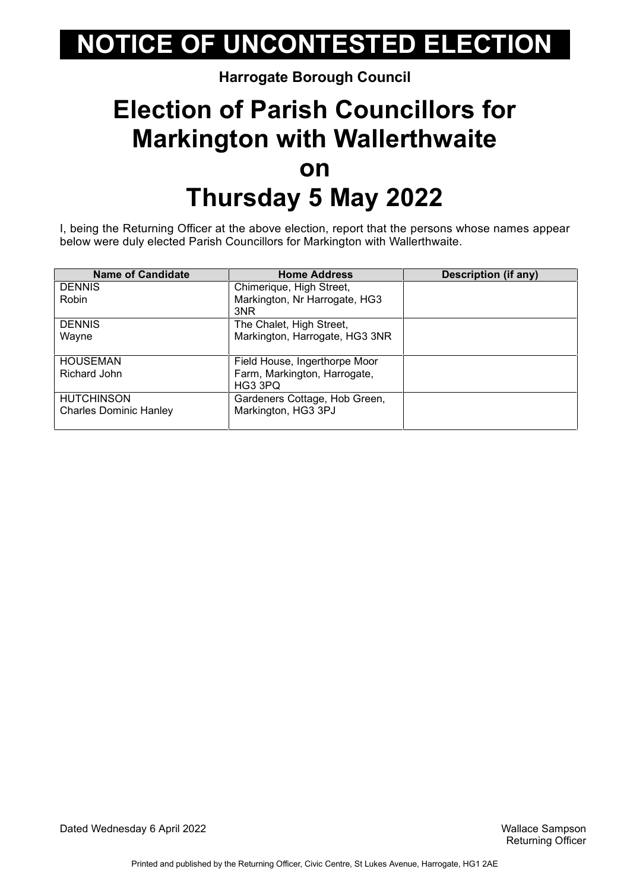#### **Harrogate Borough Council**

### **Election of Parish Councillors for Markington with Wallerthwaite on Thursday 5 May 2022**

I, being the Returning Officer at the above election, report that the persons whose names appear below were duly elected Parish Councillors for Markington with Wallerthwaite.

| <b>Name of Candidate</b>      | <b>Home Address</b>            | Description (if any) |
|-------------------------------|--------------------------------|----------------------|
| <b>DENNIS</b>                 | Chimerique, High Street,       |                      |
| Robin                         | Markington, Nr Harrogate, HG3  |                      |
|                               | 3NR                            |                      |
| <b>DENNIS</b>                 | The Chalet, High Street,       |                      |
| Wayne                         | Markington, Harrogate, HG3 3NR |                      |
|                               |                                |                      |
| <b>HOUSEMAN</b>               | Field House, Ingerthorpe Moor  |                      |
| Richard John                  | Farm, Markington, Harrogate,   |                      |
|                               | HG3 3PQ                        |                      |
| <b>HUTCHINSON</b>             | Gardeners Cottage, Hob Green,  |                      |
| <b>Charles Dominic Hanley</b> | Markington, HG3 3PJ            |                      |
|                               |                                |                      |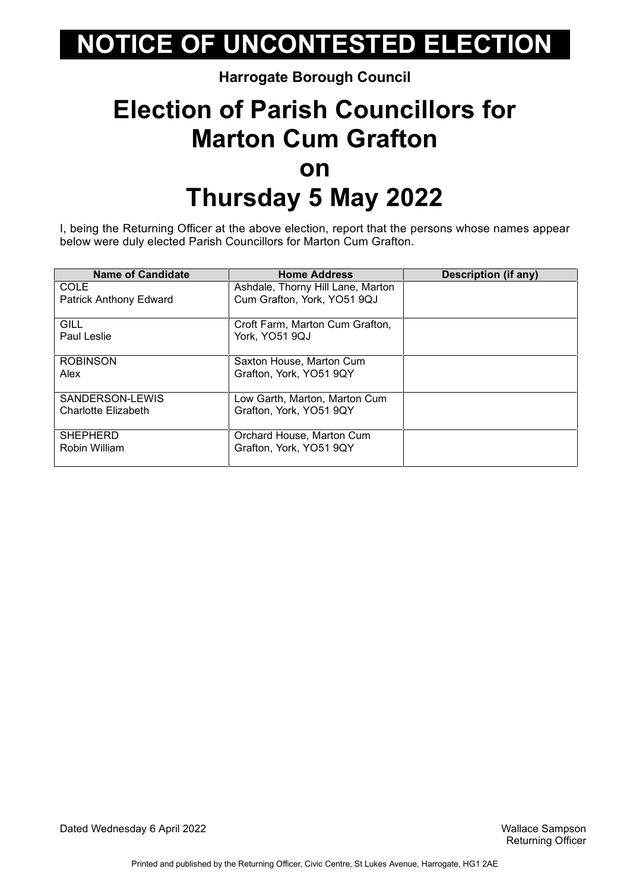#### **Harrogate Borough Council**

### **Election of Parish Councillors for Marton Cum Grafton on Thursday 5 May 2022**

I, being the Returning Officer at the above election, report that the persons whose names appear below were duly elected Parish Councillors for Marton Cum Grafton.

| <b>Name of Candidate</b> | <b>Home Address</b>               | Description (if any) |
|--------------------------|-----------------------------------|----------------------|
| COLE                     | Ashdale, Thorny Hill Lane, Marton |                      |
| Patrick Anthony Edward   | Cum Grafton, York, YO51 9QJ       |                      |
| GILL                     | Croft Farm, Marton Cum Grafton,   |                      |
| Paul Leslie              | York, YO51 9QJ                    |                      |
| <b>ROBINSON</b>          | Saxton House, Marton Cum          |                      |
| Alex                     | Grafton, York, YO51 9QY           |                      |
| SANDERSON-LEWIS          | Low Garth, Marton, Marton Cum     |                      |
| Charlotte Elizabeth      | Grafton, York, YO51 9QY           |                      |
| <b>SHEPHERD</b>          | Orchard House, Marton Cum         |                      |
| Robin William            | Grafton, York, YO51 9QY           |                      |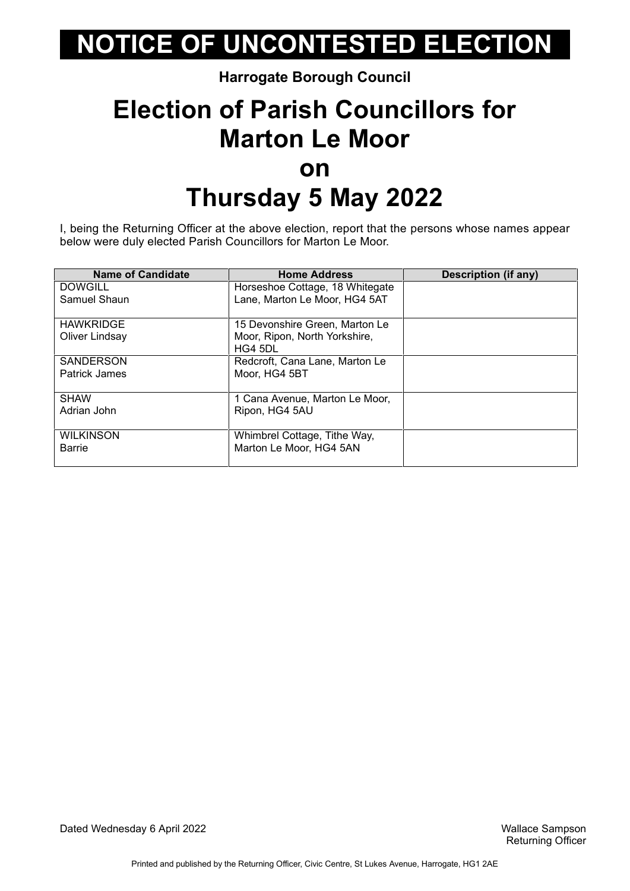#### **Harrogate Borough Council**

### **Election of Parish Councillors for Marton Le Moor on Thursday 5 May 2022**

I, being the Returning Officer at the above election, report that the persons whose names appear below were duly elected Parish Councillors for Marton Le Moor.

| <b>Name of Candidate</b> | <b>Home Address</b>             | Description (if any) |
|--------------------------|---------------------------------|----------------------|
| <b>DOWGILL</b>           | Horseshoe Cottage, 18 Whitegate |                      |
| Samuel Shaun             | Lane, Marton Le Moor, HG4 5AT   |                      |
|                          |                                 |                      |
| <b>HAWKRIDGE</b>         | 15 Devonshire Green, Marton Le  |                      |
| Oliver Lindsay           | Moor, Ripon, North Yorkshire,   |                      |
|                          | HG4 5DL                         |                      |
| <b>SANDERSON</b>         | Redcroft, Cana Lane, Marton Le  |                      |
| Patrick James            | Moor. HG4 5BT                   |                      |
|                          |                                 |                      |
| <b>SHAW</b>              | 1 Cana Avenue, Marton Le Moor,  |                      |
| Adrian John              | Ripon, HG4 5AU                  |                      |
|                          |                                 |                      |
| <b>WILKINSON</b>         | Whimbrel Cottage, Tithe Way,    |                      |
| <b>Barrie</b>            | Marton Le Moor, HG4 5AN         |                      |
|                          |                                 |                      |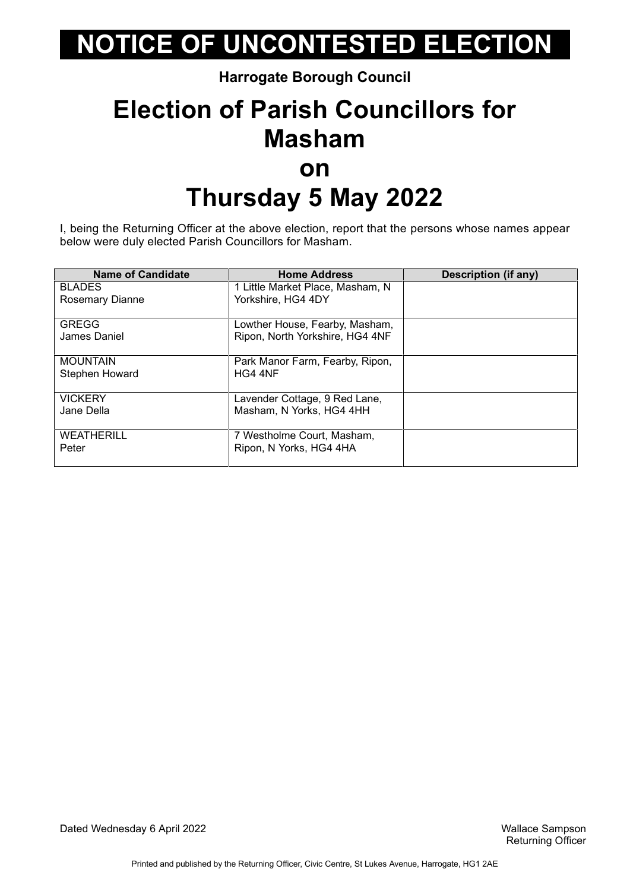**Harrogate Borough Council**

### **Election of Parish Councillors for Masham on Thursday 5 May 2022**

I, being the Returning Officer at the above election, report that the persons whose names appear below were duly elected Parish Councillors for Masham.

| <b>Name of Candidate</b> | <b>Home Address</b>              | Description (if any) |
|--------------------------|----------------------------------|----------------------|
| <b>BLADES</b>            | 1 Little Market Place, Masham, N |                      |
| <b>Rosemary Dianne</b>   | Yorkshire, HG4 4DY               |                      |
| <b>GREGG</b>             | Lowther House, Fearby, Masham,   |                      |
| James Daniel             | Ripon, North Yorkshire, HG4 4NF  |                      |
| <b>MOUNTAIN</b>          | Park Manor Farm, Fearby, Ripon,  |                      |
| Stephen Howard           | HG4 4NF                          |                      |
| <b>VICKERY</b>           | Lavender Cottage, 9 Red Lane,    |                      |
| Jane Della               | Masham, N Yorks, HG4 4HH         |                      |
| <b>WEATHERILL</b>        | 7 Westholme Court, Masham,       |                      |
| Peter                    | Ripon, N Yorks, HG4 4HA          |                      |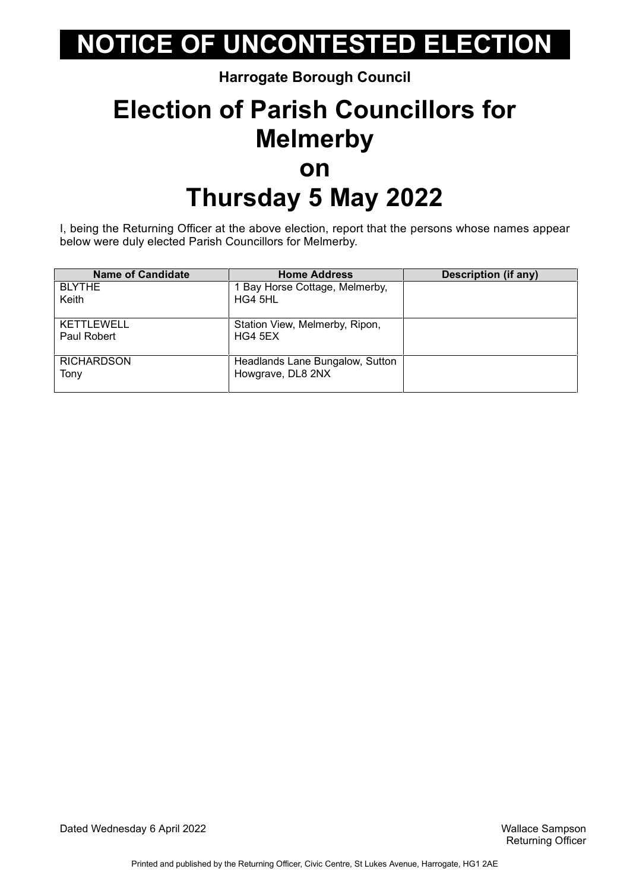**Harrogate Borough Council**

### **Election of Parish Councillors for Melmerby on Thursday 5 May 2022**

I, being the Returning Officer at the above election, report that the persons whose names appear below were duly elected Parish Councillors for Melmerby.

| <b>Name of Candidate</b> | <b>Home Address</b>             | <b>Description (if any)</b> |
|--------------------------|---------------------------------|-----------------------------|
| <b>BLYTHE</b>            | 1 Bay Horse Cottage, Melmerby,  |                             |
| Keith                    | HG4 5HL                         |                             |
|                          |                                 |                             |
| <b>KETTLEWELL</b>        | Station View, Melmerby, Ripon,  |                             |
| Paul Robert              | HG4 5EX                         |                             |
|                          |                                 |                             |
| <b>RICHARDSON</b>        | Headlands Lane Bungalow, Sutton |                             |
| Tony                     | Howgrave, DL8 2NX               |                             |
|                          |                                 |                             |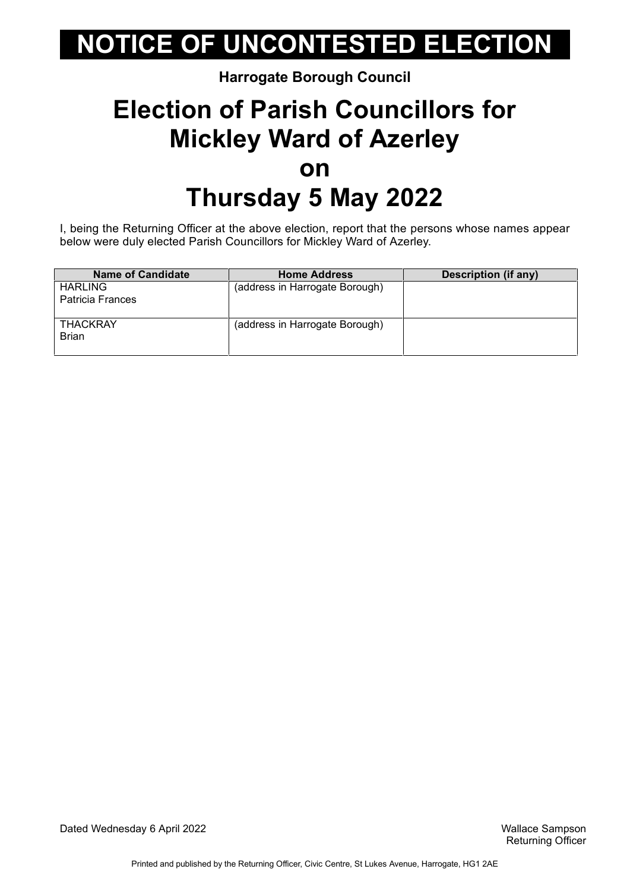#### **Harrogate Borough Council**

## **Election of Parish Councillors for Mickley Ward of Azerley on Thursday 5 May 2022**

I, being the Returning Officer at the above election, report that the persons whose names appear below were duly elected Parish Councillors for Mickley Ward of Azerley.

| <b>Name of Candidate</b> | <b>Home Address</b>            | <b>Description (if any)</b> |
|--------------------------|--------------------------------|-----------------------------|
| <b>HARLING</b>           | (address in Harrogate Borough) |                             |
| Patricia Frances         |                                |                             |
|                          |                                |                             |
| <b>THACKRAY</b>          | (address in Harrogate Borough) |                             |
| <b>Brian</b>             |                                |                             |
|                          |                                |                             |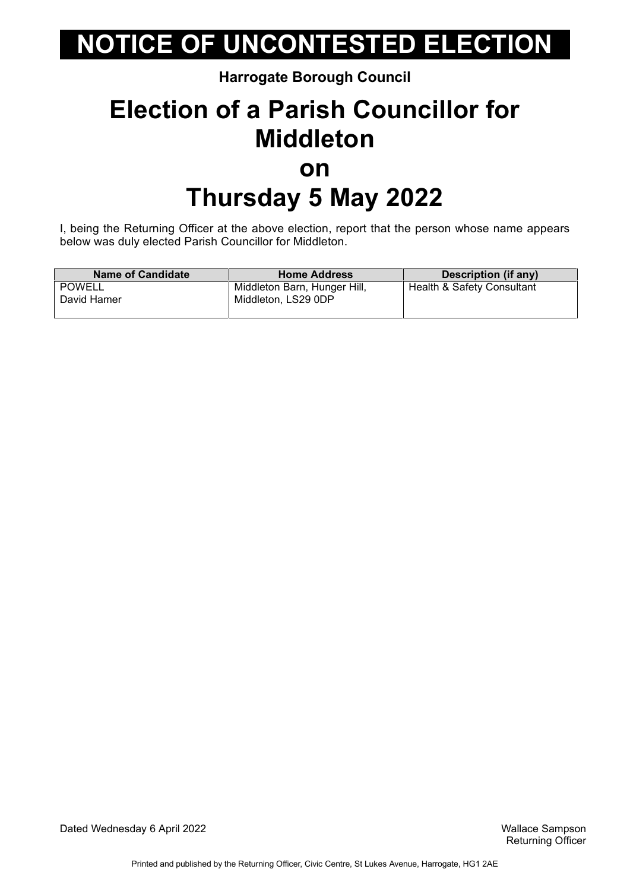#### **Harrogate Borough Council**

### **Election of a Parish Councillor for Middleton on Thursday 5 May 2022**

I, being the Returning Officer at the above election, report that the person whose name appears below was duly elected Parish Councillor for Middleton.

| <b>Name of Candidate</b> | <b>Home Address</b>          | Description (if any)       |
|--------------------------|------------------------------|----------------------------|
| POWELL                   | Middleton Barn, Hunger Hill, | Health & Safety Consultant |
| David Hamer              | Middleton, LS29 0DP          |                            |
|                          |                              |                            |

Dated Wednesday 6 April 2022 Wallace Sampson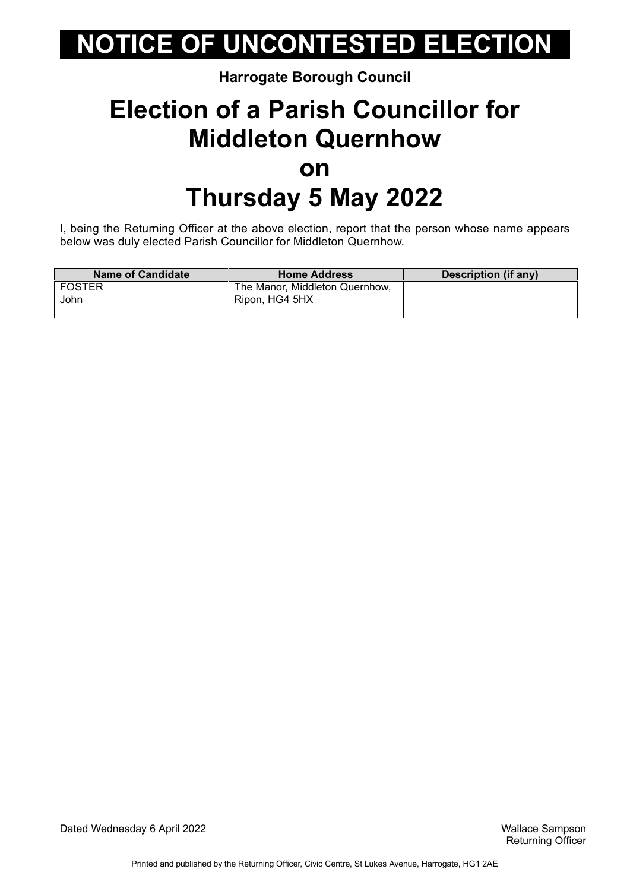#### **Harrogate Borough Council**

### **Election of a Parish Councillor for Middleton Quernhow on Thursday 5 May 2022**

I, being the Returning Officer at the above election, report that the person whose name appears below was duly elected Parish Councillor for Middleton Quernhow.

| <b>Name of Candidate</b> | <b>Home Address</b>            | Description (if any) |
|--------------------------|--------------------------------|----------------------|
| l FOSTER                 | The Manor, Middleton Quernhow, |                      |
| John                     | Ripon, HG4 5HX                 |                      |
|                          |                                |                      |

Dated Wednesday 6 April 2022 Wallace Sampson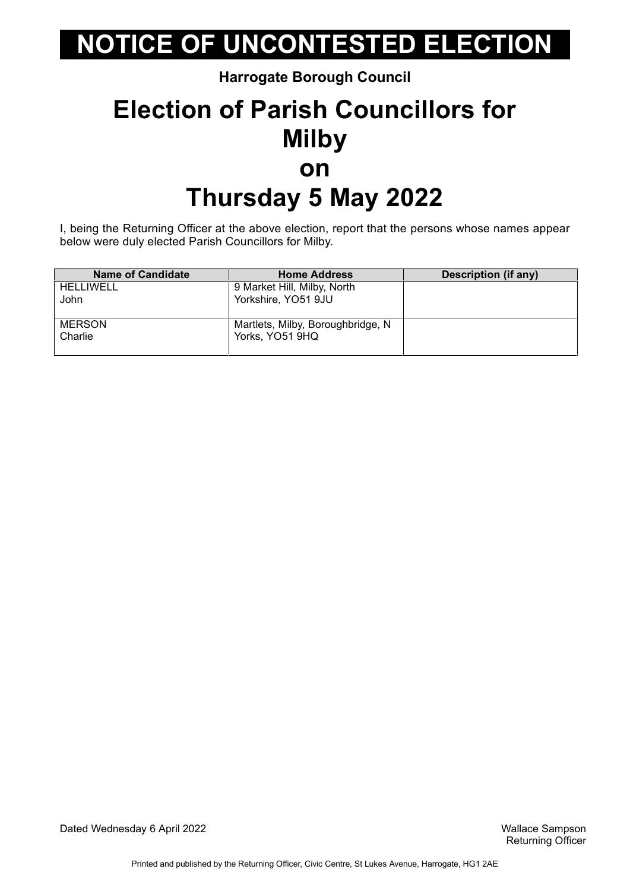**Harrogate Borough Council**

## **Election of Parish Councillors for Milby on Thursday 5 May 2022**

I, being the Returning Officer at the above election, report that the persons whose names appear below were duly elected Parish Councillors for Milby.

| <b>Name of Candidate</b> | <b>Home Address</b>               | Description (if any) |
|--------------------------|-----------------------------------|----------------------|
| HELLIWELL                | 9 Market Hill, Milby, North       |                      |
| John                     | Yorkshire, YO51 9JU               |                      |
|                          |                                   |                      |
| <b>MERSON</b>            | Martlets, Milby, Boroughbridge, N |                      |
| Charlie                  | Yorks, YO51 9HQ                   |                      |
|                          |                                   |                      |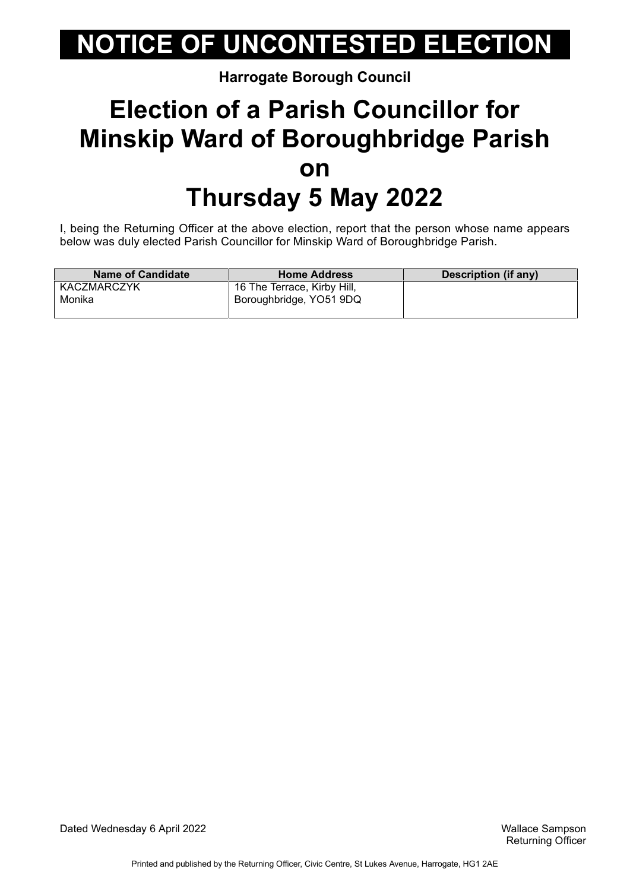**Harrogate Borough Council**

## **Election of a Parish Councillor for Minskip Ward of Boroughbridge Parish on Thursday 5 May 2022**

I, being the Returning Officer at the above election, report that the person whose name appears below was duly elected Parish Councillor for Minskip Ward of Boroughbridge Parish.

| <b>Name of Candidate</b> | <b>Home Address</b>         | Description (if any) |
|--------------------------|-----------------------------|----------------------|
| KACZMARCZYK              | 16 The Terrace, Kirby Hill, |                      |
| Monika                   | Boroughbridge, YO51 9DQ     |                      |
|                          |                             |                      |

Dated Wednesday 6 April 2022 Wallace Sampson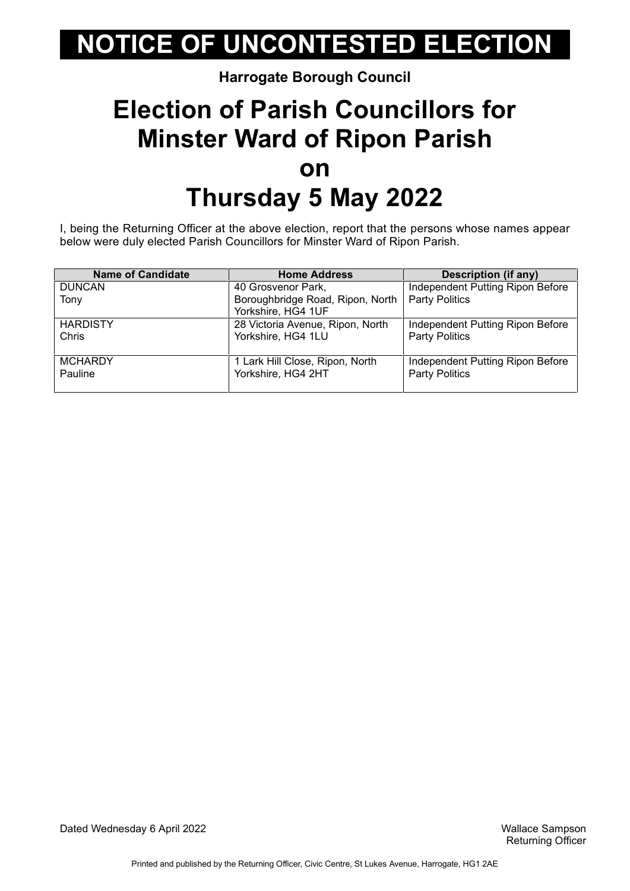**Harrogate Borough Council**

## **Election of Parish Councillors for Minster Ward of Ripon Parish on Thursday 5 May 2022**

I, being the Returning Officer at the above election, report that the persons whose names appear below were duly elected Parish Councillors for Minster Ward of Ripon Parish.

| <b>Name of Candidate</b> | <b>Home Address</b>              | <b>Description (if any)</b>      |
|--------------------------|----------------------------------|----------------------------------|
| <b>DUNCAN</b>            | 40 Grosvenor Park,               | Independent Putting Ripon Before |
| Tony                     | Boroughbridge Road, Ripon, North | <b>Party Politics</b>            |
|                          | Yorkshire, HG4 1UF               |                                  |
| <b>HARDISTY</b>          | 28 Victoria Avenue, Ripon, North | Independent Putting Ripon Before |
| Chris                    | Yorkshire, HG4 1LU               | <b>Party Politics</b>            |
|                          |                                  |                                  |
| <b>MCHARDY</b>           | 1 Lark Hill Close, Ripon, North  | Independent Putting Ripon Before |
| Pauline                  | Yorkshire, HG4 2HT               | <b>Party Politics</b>            |
|                          |                                  |                                  |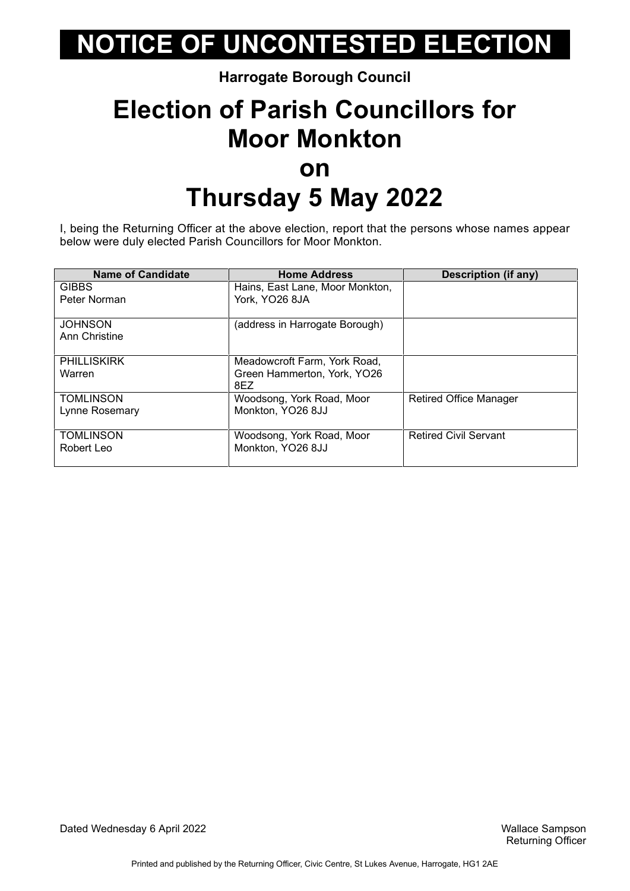#### **Harrogate Borough Council**

## **Election of Parish Councillors for Moor Monkton on Thursday 5 May 2022**

I, being the Returning Officer at the above election, report that the persons whose names appear below were duly elected Parish Councillors for Moor Monkton.

| <b>Name of Candidate</b>        | <b>Home Address</b>                | Description (if any)          |
|---------------------------------|------------------------------------|-------------------------------|
| <b>GIBBS</b>                    | Hains, East Lane, Moor Monkton,    |                               |
| Peter Norman                    | York, YO26 8JA                     |                               |
| <b>JOHNSON</b><br>Ann Christine | (address in Harrogate Borough)     |                               |
| <b>PHILLISKIRK</b>              | Meadowcroft Farm, York Road,       |                               |
| Warren                          | Green Hammerton, York, YO26<br>8EZ |                               |
| <b>TOMLINSON</b>                | Woodsong, York Road, Moor          | <b>Retired Office Manager</b> |
| Lynne Rosemary                  | Monkton, YO26 8JJ                  |                               |
| <b>TOMLINSON</b>                | Woodsong, York Road, Moor          | <b>Retired Civil Servant</b>  |
| Robert Leo                      | Monkton, YO26 8JJ                  |                               |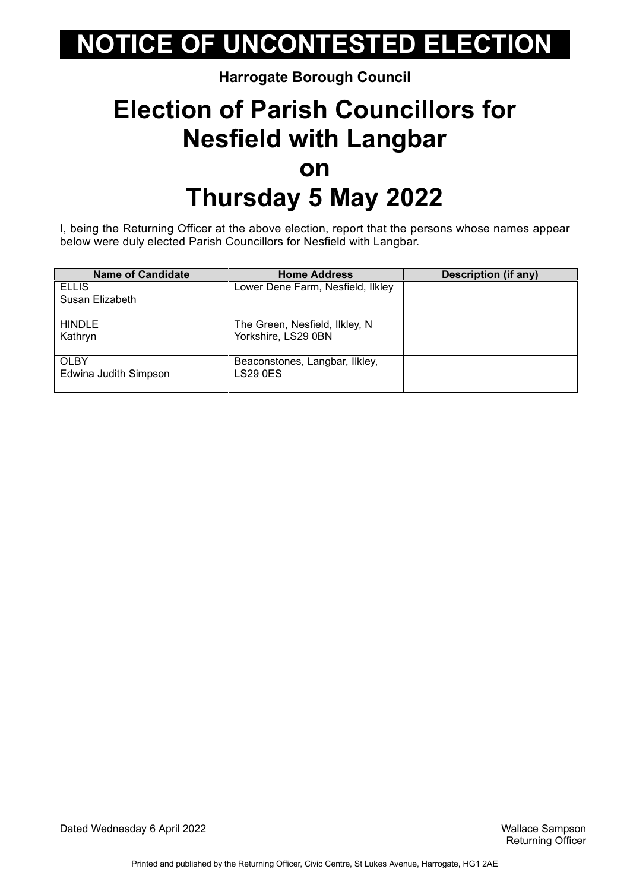#### **Harrogate Borough Council**

## **Election of Parish Councillors for Nesfield with Langbar on Thursday 5 May 2022**

I, being the Returning Officer at the above election, report that the persons whose names appear below were duly elected Parish Councillors for Nesfield with Langbar.

| <b>Name of Candidate</b> | <b>Home Address</b>               | <b>Description (if any)</b> |
|--------------------------|-----------------------------------|-----------------------------|
| <b>ELLIS</b>             | Lower Dene Farm, Nesfield, Ilkley |                             |
| Susan Elizabeth          |                                   |                             |
| <b>HINDLE</b>            | The Green, Nesfield, Ilkley, N    |                             |
| Kathryn                  | Yorkshire, LS29 0BN               |                             |
| <b>OLBY</b>              | Beaconstones, Langbar, Ilkley,    |                             |
| Edwina Judith Simpson    | <b>LS29 0ES</b>                   |                             |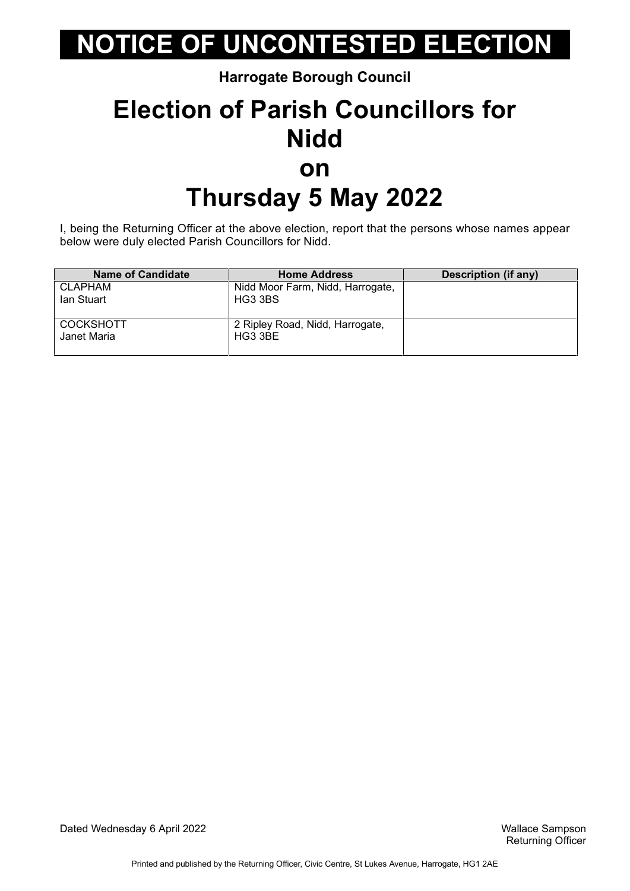**Harrogate Borough Council**

## **Election of Parish Councillors for Nidd on Thursday 5 May 2022**

I, being the Returning Officer at the above election, report that the persons whose names appear below were duly elected Parish Councillors for Nidd.

| <b>Name of Candidate</b> | <b>Home Address</b>              | <b>Description (if any)</b> |
|--------------------------|----------------------------------|-----------------------------|
| <b>CLAPHAM</b>           | Nidd Moor Farm, Nidd, Harrogate, |                             |
| lan Stuart               | HG3 3BS                          |                             |
|                          |                                  |                             |
| <b>COCKSHOTT</b>         | 2 Ripley Road, Nidd, Harrogate,  |                             |
| Janet Maria              | HG3 3BE                          |                             |
|                          |                                  |                             |

Dated Wednesday 6 April 2022 Wallace Sampson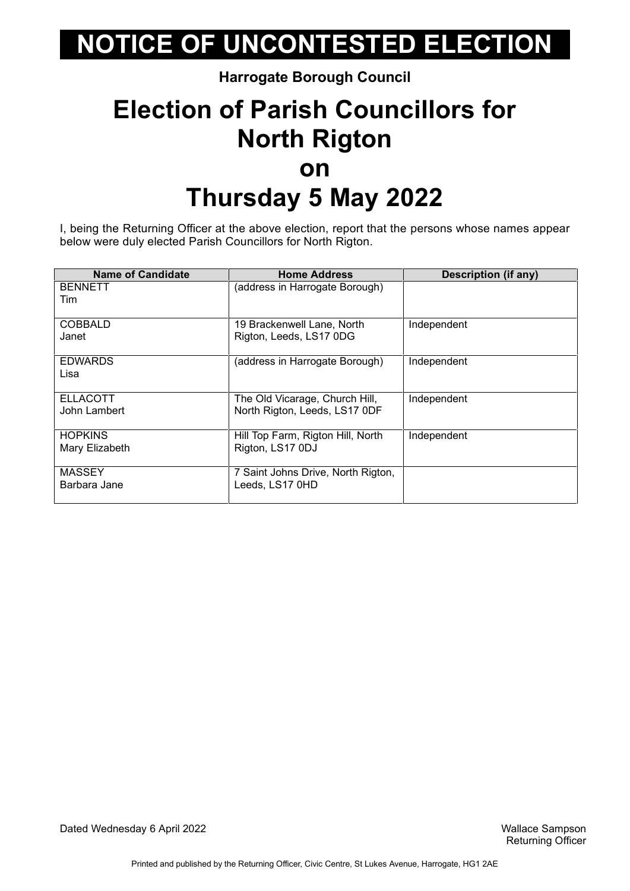#### **Harrogate Borough Council**

## **Election of Parish Councillors for North Rigton on Thursday 5 May 2022**

I, being the Returning Officer at the above election, report that the persons whose names appear below were duly elected Parish Councillors for North Rigton.

| <b>Name of Candidate</b>         | <b>Home Address</b>                                             | <b>Description (if any)</b> |
|----------------------------------|-----------------------------------------------------------------|-----------------------------|
| <b>BENNETT</b><br>Tim            | (address in Harrogate Borough)                                  |                             |
| <b>COBBALD</b><br>Janet          | 19 Brackenwell Lane, North<br>Rigton, Leeds, LS17 0DG           | Independent                 |
| <b>EDWARDS</b><br>Lisa           | (address in Harrogate Borough)                                  | Independent                 |
| <b>ELLACOTT</b><br>John Lambert  | The Old Vicarage, Church Hill,<br>North Rigton, Leeds, LS17 0DF | Independent                 |
| <b>HOPKINS</b><br>Mary Elizabeth | Hill Top Farm, Rigton Hill, North<br>Rigton, LS17 0DJ           | Independent                 |
| <b>MASSEY</b><br>Barbara Jane    | 7 Saint Johns Drive, North Rigton,<br>Leeds, LS17 0HD           |                             |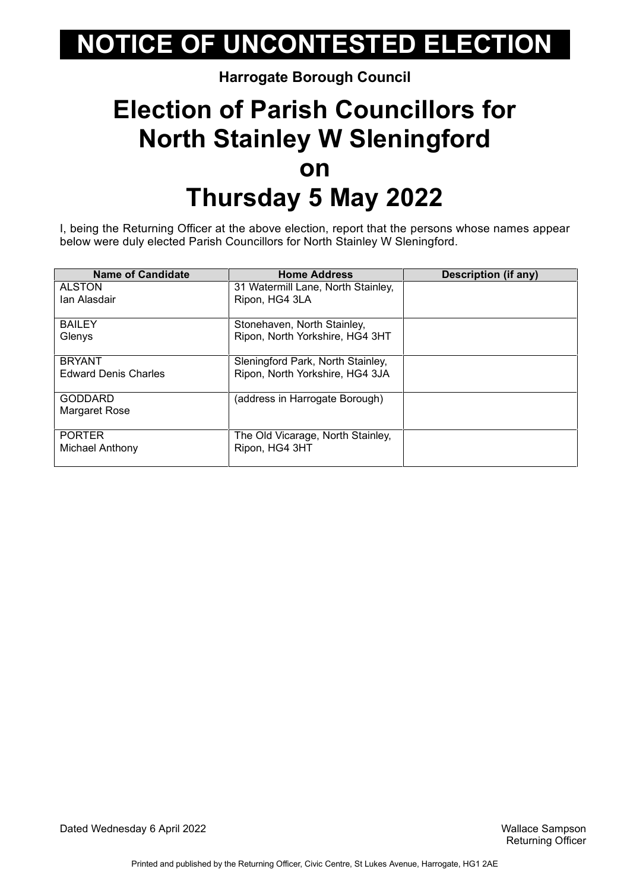#### **Harrogate Borough Council**

## **Election of Parish Councillors for North Stainley W Sleningford on Thursday 5 May 2022**

I, being the Returning Officer at the above election, report that the persons whose names appear below were duly elected Parish Councillors for North Stainley W Sleningford.

| <b>Name of Candidate</b>    | <b>Home Address</b>                | Description (if any) |
|-----------------------------|------------------------------------|----------------------|
| <b>ALSTON</b>               | 31 Watermill Lane, North Stainley, |                      |
| lan Alasdair                | Ripon, HG4 3LA                     |                      |
|                             |                                    |                      |
| <b>BAILEY</b>               | Stonehaven, North Stainley,        |                      |
| Glenys                      | Ripon, North Yorkshire, HG4 3HT    |                      |
|                             |                                    |                      |
| <b>BRYANT</b>               | Sleningford Park, North Stainley,  |                      |
| <b>Edward Denis Charles</b> | Ripon, North Yorkshire, HG4 3JA    |                      |
|                             |                                    |                      |
| <b>GODDARD</b>              | (address in Harrogate Borough)     |                      |
| Margaret Rose               |                                    |                      |
|                             |                                    |                      |
| <b>PORTER</b>               | The Old Vicarage, North Stainley,  |                      |
| Michael Anthony             | Ripon, HG4 3HT                     |                      |
|                             |                                    |                      |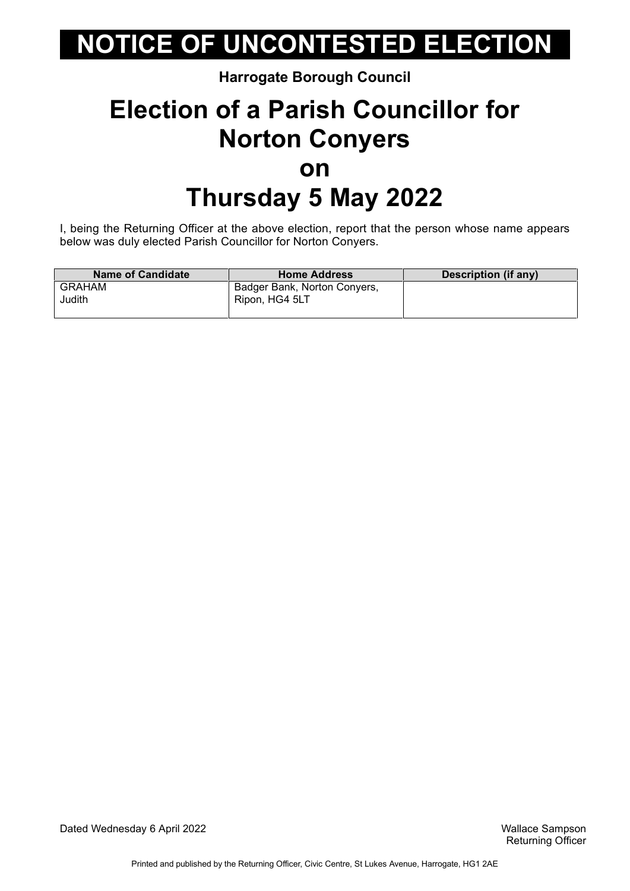#### **Harrogate Borough Council**

### **Election of a Parish Councillor for Norton Conyers on Thursday 5 May 2022**

I, being the Returning Officer at the above election, report that the person whose name appears below was duly elected Parish Councillor for Norton Conyers.

| <b>Name of Candidate</b> | <b>Home Address</b>                       | Description (if any) |
|--------------------------|-------------------------------------------|----------------------|
| <b>GRAHAM</b>            | <sup>1</sup> Badger Bank, Norton Conyers, |                      |
| Judith                   | Ripon, HG4 5LT                            |                      |
|                          |                                           |                      |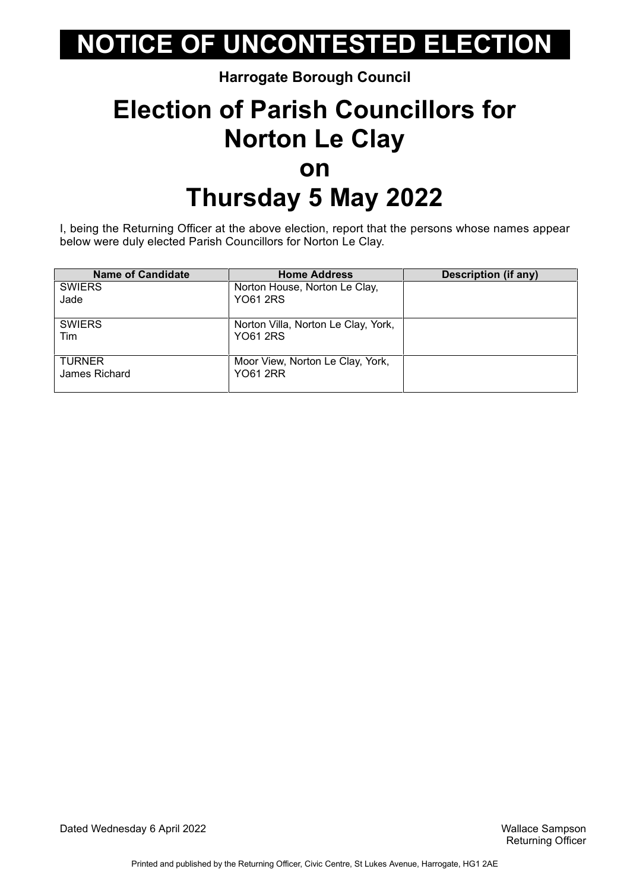#### **Harrogate Borough Council**

### **Election of Parish Councillors for Norton Le Clay on Thursday 5 May 2022**

I, being the Returning Officer at the above election, report that the persons whose names appear below were duly elected Parish Councillors for Norton Le Clay.

| <b>Name of Candidate</b>       | <b>Home Address</b>                                    | <b>Description (if any)</b> |
|--------------------------------|--------------------------------------------------------|-----------------------------|
| <b>SWIERS</b>                  | Norton House, Norton Le Clay,                          |                             |
| Jade                           | <b>YO61 2RS</b>                                        |                             |
| <b>SWIERS</b><br>Tim           | Norton Villa, Norton Le Clay, York,<br><b>YO61 2RS</b> |                             |
| <b>TURNER</b><br>James Richard | Moor View, Norton Le Clay, York,<br><b>YO61 2RR</b>    |                             |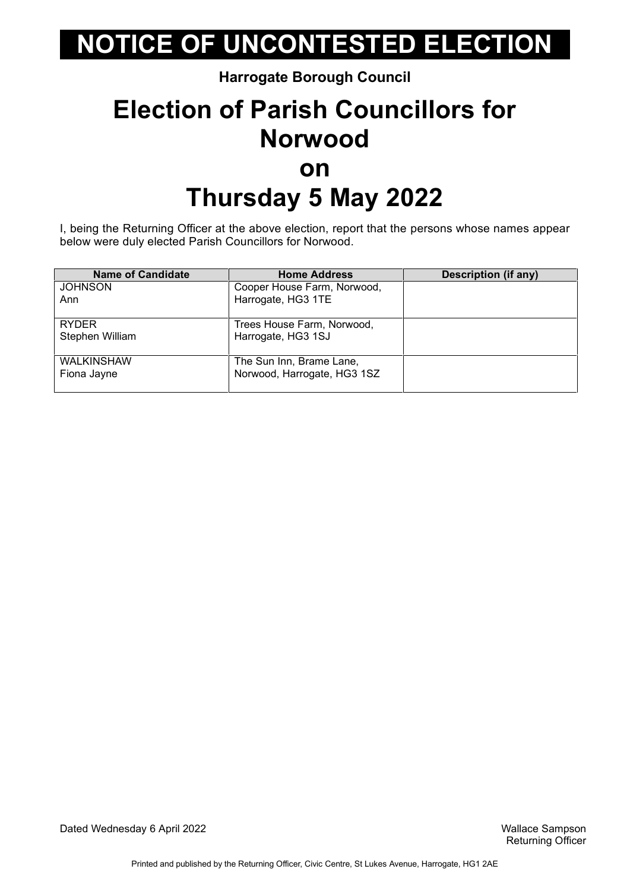**Harrogate Borough Council**

### **Election of Parish Councillors for Norwood on Thursday 5 May 2022**

I, being the Returning Officer at the above election, report that the persons whose names appear below were duly elected Parish Councillors for Norwood.

| <b>Name of Candidate</b> | <b>Home Address</b>         | <b>Description (if any)</b> |
|--------------------------|-----------------------------|-----------------------------|
| <b>JOHNSON</b>           | Cooper House Farm, Norwood, |                             |
| Ann                      | Harrogate, HG3 1TE          |                             |
| <b>RYDER</b>             | Trees House Farm, Norwood,  |                             |
| Stephen William          | Harrogate, HG3 1SJ          |                             |
| <b>WALKINSHAW</b>        | The Sun Inn, Brame Lane,    |                             |
| Fiona Jayne              | Norwood, Harrogate, HG3 1SZ |                             |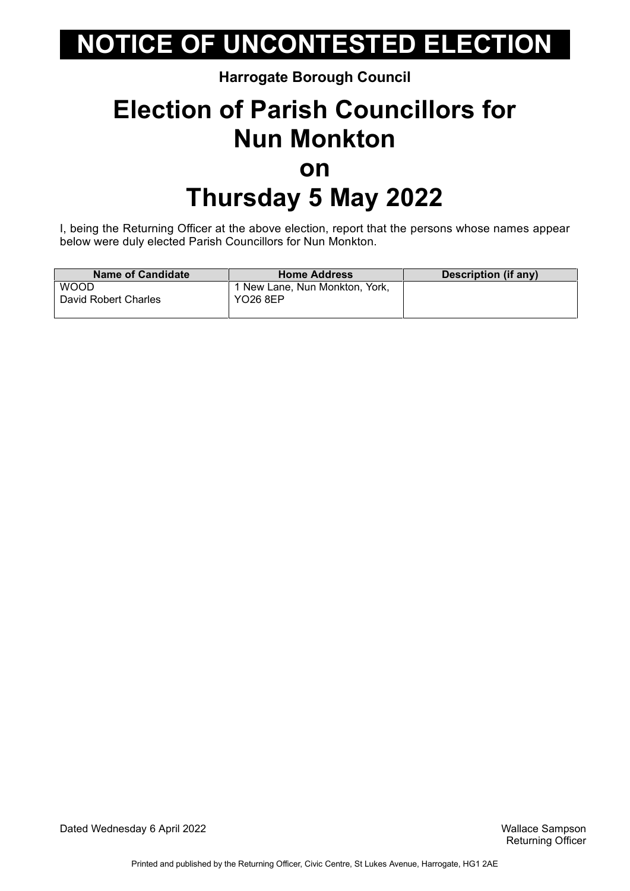#### **Harrogate Borough Council**

## **Election of Parish Councillors for Nun Monkton on Thursday 5 May 2022**

I, being the Returning Officer at the above election, report that the persons whose names appear below were duly elected Parish Councillors for Nun Monkton.

| <b>Name of Candidate</b>            | <b>Home Address</b>                               | Description (if any) |
|-------------------------------------|---------------------------------------------------|----------------------|
| <b>WOOD</b><br>David Robert Charles | 1 New Lane, Nun Monkton, York,<br><b>YO26 8EP</b> |                      |
|                                     |                                                   |                      |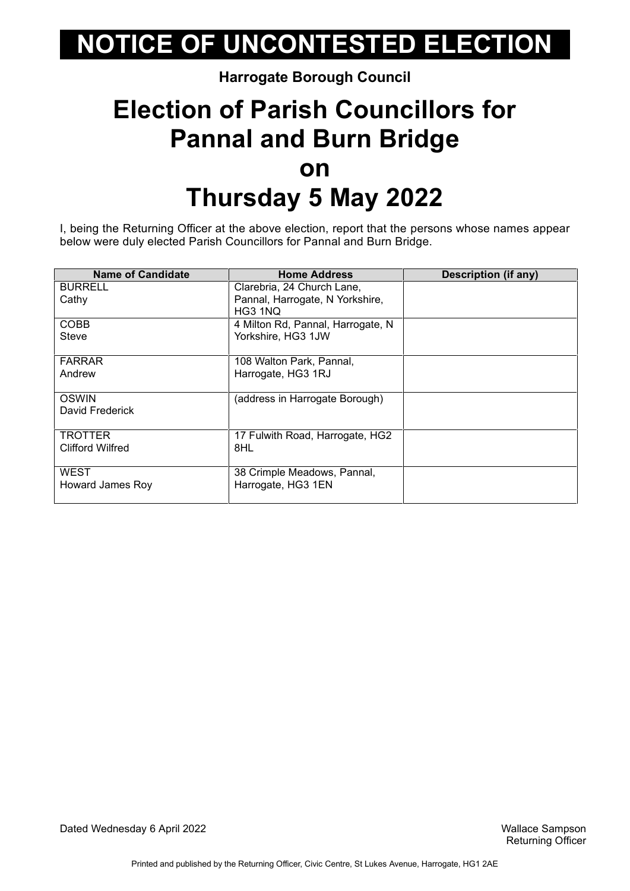#### **Harrogate Borough Council**

### **Election of Parish Councillors for Pannal and Burn Bridge on Thursday 5 May 2022**

I, being the Returning Officer at the above election, report that the persons whose names appear below were duly elected Parish Councillors for Pannal and Burn Bridge.

| <b>Name of Candidate</b> | <b>Home Address</b>               | Description (if any) |
|--------------------------|-----------------------------------|----------------------|
| <b>BURRELL</b>           | Clarebria, 24 Church Lane,        |                      |
| Cathy                    | Pannal, Harrogate, N Yorkshire,   |                      |
|                          | HG3 1NQ                           |                      |
| <b>COBB</b>              | 4 Milton Rd, Pannal, Harrogate, N |                      |
| Steve                    | Yorkshire, HG3 1JW                |                      |
|                          |                                   |                      |
| <b>FARRAR</b>            | 108 Walton Park, Pannal,          |                      |
| Andrew                   | Harrogate, HG3 1RJ                |                      |
|                          |                                   |                      |
| <b>OSWIN</b>             | (address in Harrogate Borough)    |                      |
| David Frederick          |                                   |                      |
|                          |                                   |                      |
| <b>TROTTER</b>           | 17 Fulwith Road, Harrogate, HG2   |                      |
| <b>Clifford Wilfred</b>  | 8HL                               |                      |
|                          |                                   |                      |
| <b>WEST</b>              | 38 Crimple Meadows, Pannal,       |                      |
| Howard James Roy         | Harrogate, HG3 1EN                |                      |
|                          |                                   |                      |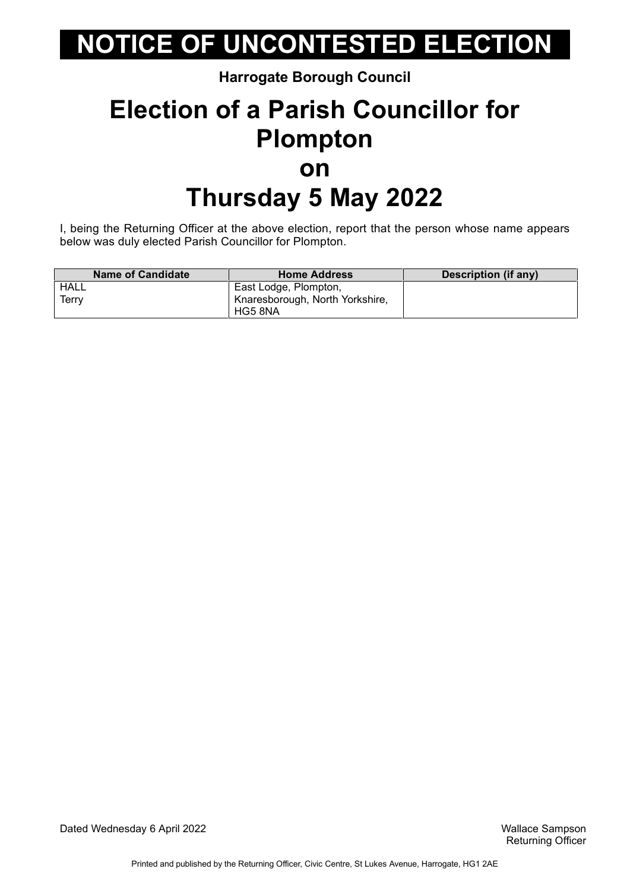#### **Harrogate Borough Council**

### **Election of a Parish Councillor for Plompton on Thursday 5 May 2022**

I, being the Returning Officer at the above election, report that the person whose name appears below was duly elected Parish Councillor for Plompton.

| <b>Name of Candidate</b> | <b>Home Address</b>             | Description (if any) |
|--------------------------|---------------------------------|----------------------|
| HALL                     | East Lodge, Plompton,           |                      |
| Terry                    | Knaresborough, North Yorkshire, |                      |
|                          | HG5 8NA                         |                      |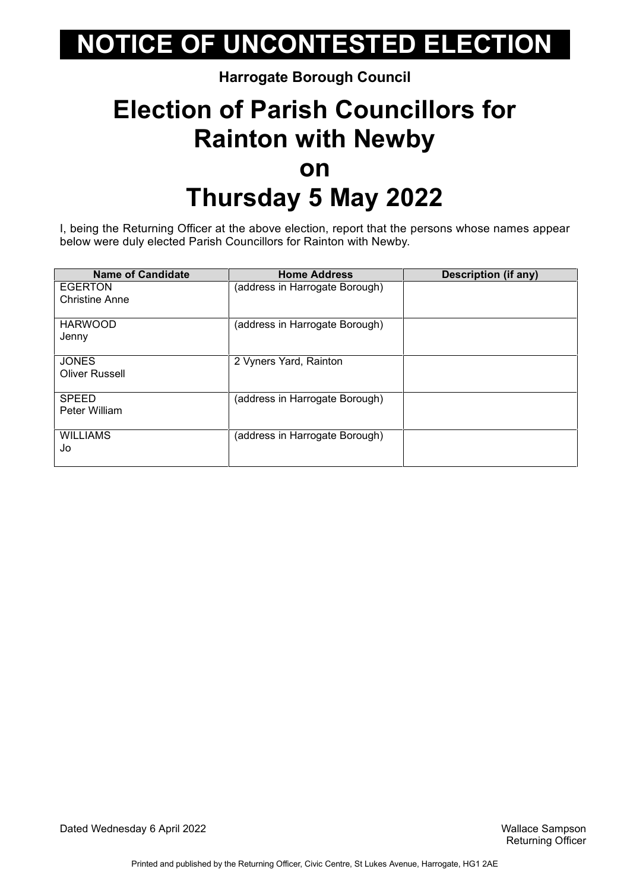#### **Harrogate Borough Council**

## **Election of Parish Councillors for Rainton with Newby on Thursday 5 May 2022**

I, being the Returning Officer at the above election, report that the persons whose names appear below were duly elected Parish Councillors for Rainton with Newby.

| <b>Name of Candidate</b>                | <b>Home Address</b>            | Description (if any) |
|-----------------------------------------|--------------------------------|----------------------|
| <b>EGERTON</b><br><b>Christine Anne</b> | (address in Harrogate Borough) |                      |
| <b>HARWOOD</b><br>Jenny                 | (address in Harrogate Borough) |                      |
| <b>JONES</b><br><b>Oliver Russell</b>   | 2 Vyners Yard, Rainton         |                      |
| <b>SPEED</b><br>Peter William           | (address in Harrogate Borough) |                      |
| <b>WILLIAMS</b><br>Jo                   | (address in Harrogate Borough) |                      |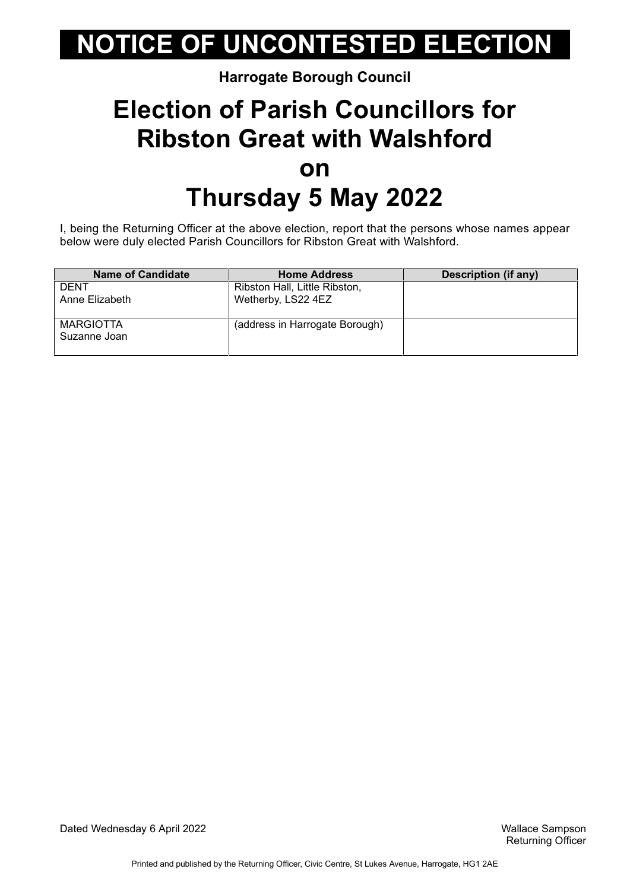#### **Harrogate Borough Council**

### **Election of Parish Councillors for Ribston Great with Walshford on Thursday 5 May 2022**

I, being the Returning Officer at the above election, report that the persons whose names appear below were duly elected Parish Councillors for Ribston Great with Walshford.

| <b>Name of Candidate</b>         | <b>Home Address</b>            | Description (if any) |
|----------------------------------|--------------------------------|----------------------|
| DENT                             | Ribston Hall, Little Ribston,  |                      |
| Anne Elizabeth                   | Wetherby, LS22 4EZ             |                      |
| <b>MARGIOTTA</b><br>Suzanne Joan | (address in Harrogate Borough) |                      |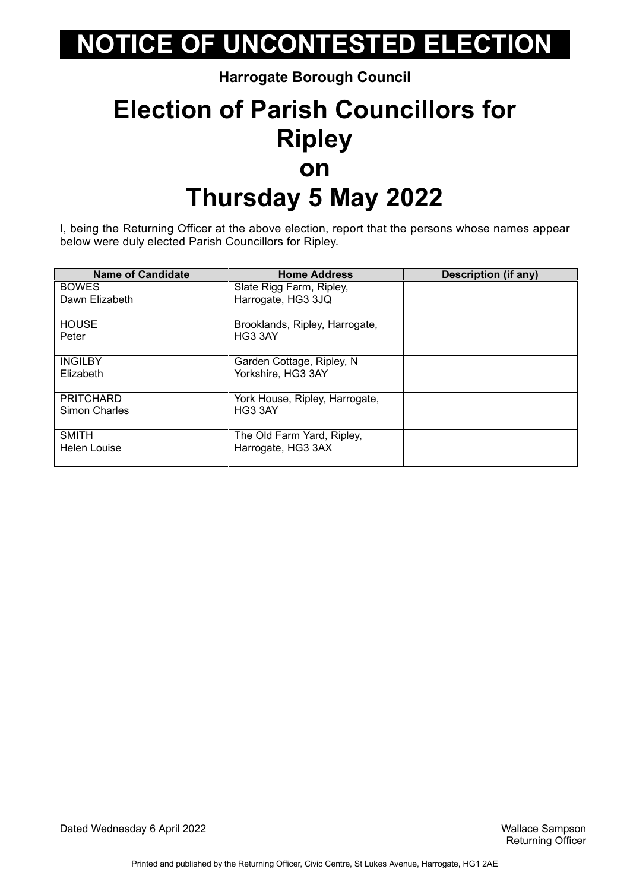**Harrogate Borough Council**

## **Election of Parish Councillors for Ripley on Thursday 5 May 2022**

I, being the Returning Officer at the above election, report that the persons whose names appear below were duly elected Parish Councillors for Ripley.

| <b>Name of Candidate</b> | <b>Home Address</b>            | <b>Description (if any)</b> |
|--------------------------|--------------------------------|-----------------------------|
| <b>BOWES</b>             | Slate Rigg Farm, Ripley,       |                             |
| Dawn Elizabeth           | Harrogate, HG3 3JQ             |                             |
| <b>HOUSE</b>             | Brooklands, Ripley, Harrogate, |                             |
| Peter                    | HG3 3AY                        |                             |
| <b>INGILBY</b>           | Garden Cottage, Ripley, N.     |                             |
| Elizabeth                | Yorkshire, HG3 3AY             |                             |
| <b>PRITCHARD</b>         | York House, Ripley, Harrogate, |                             |
| Simon Charles            | HG3 3AY                        |                             |
| <b>SMITH</b>             | The Old Farm Yard, Ripley,     |                             |
| Helen Louise             | Harrogate, HG3 3AX             |                             |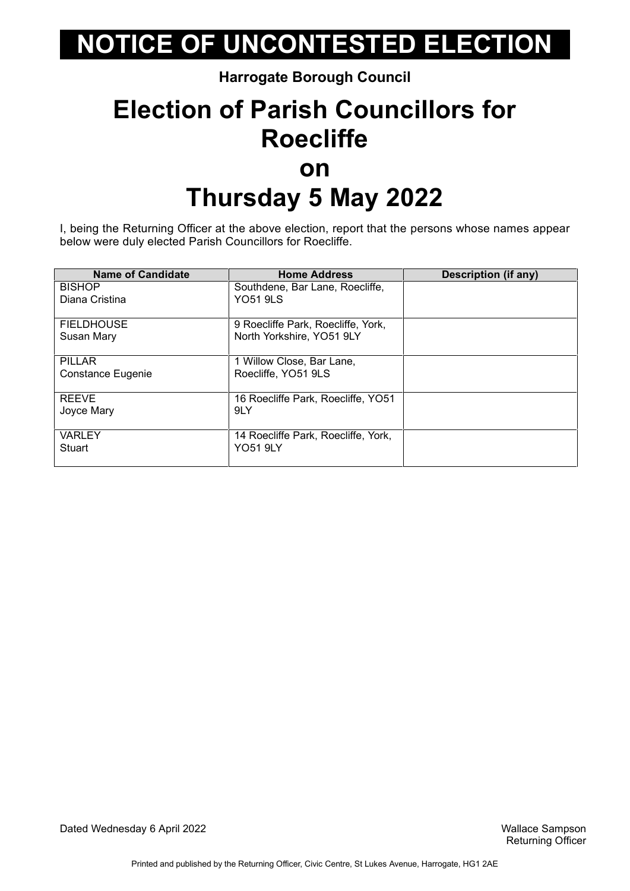**Harrogate Borough Council**

## **Election of Parish Councillors for Roecliffe on Thursday 5 May 2022**

I, being the Returning Officer at the above election, report that the persons whose names appear below were duly elected Parish Councillors for Roecliffe.

| <b>Name of Candidate</b> | <b>Home Address</b>                 | Description (if any) |
|--------------------------|-------------------------------------|----------------------|
| <b>BISHOP</b>            | Southdene, Bar Lane, Roecliffe,     |                      |
| Diana Cristina           | <b>YO51 9LS</b>                     |                      |
| <b>FIELDHOUSE</b>        | 9 Roecliffe Park, Roecliffe, York,  |                      |
| Susan Mary               | North Yorkshire, YO51 9LY           |                      |
| <b>PILLAR</b>            | 1 Willow Close, Bar Lane,           |                      |
| Constance Eugenie        | Roecliffe, YO51 9LS                 |                      |
| <b>REEVE</b>             | 16 Roecliffe Park, Roecliffe, YO51  |                      |
| Joyce Mary               | 9LY                                 |                      |
| <b>VARLEY</b>            | 14 Roecliffe Park, Roecliffe, York, |                      |
| Stuart                   | <b>YO51 9LY</b>                     |                      |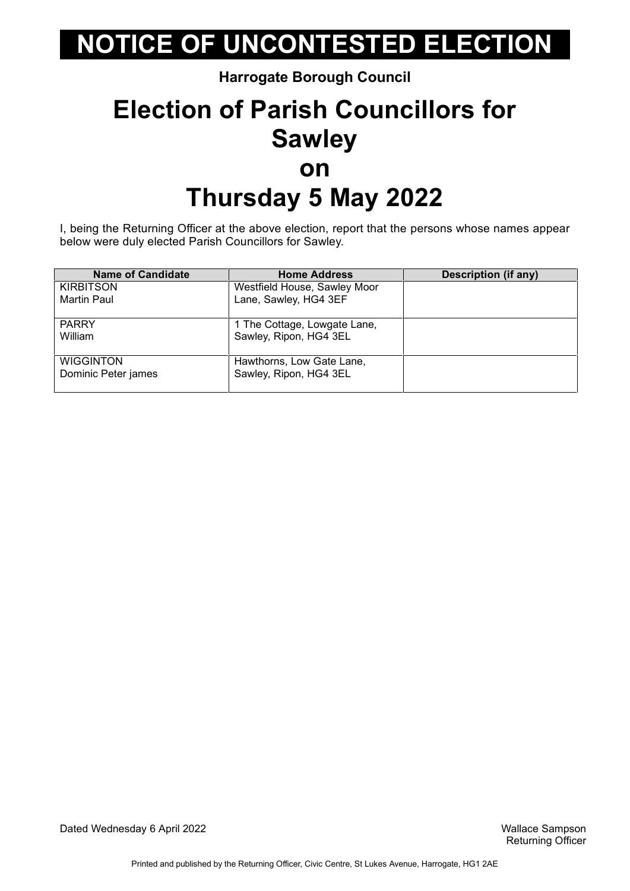**Harrogate Borough Council**

## **Election of Parish Councillors for Sawley on Thursday 5 May 2022**

I, being the Returning Officer at the above election, report that the persons whose names appear below were duly elected Parish Councillors for Sawley.

| <b>Name of Candidate</b> | <b>Home Address</b>          | <b>Description (if any)</b> |
|--------------------------|------------------------------|-----------------------------|
| <b>KIRBITSON</b>         | Westfield House, Sawley Moor |                             |
| Martin Paul              | Lane, Sawley, HG4 3EF        |                             |
| <b>PARRY</b>             | 1 The Cottage, Lowgate Lane, |                             |
| William                  | Sawley, Ripon, HG4 3EL       |                             |
| <b>WIGGINTON</b>         | Hawthorns, Low Gate Lane,    |                             |
| Dominic Peter james      | Sawley, Ripon, HG4 3EL       |                             |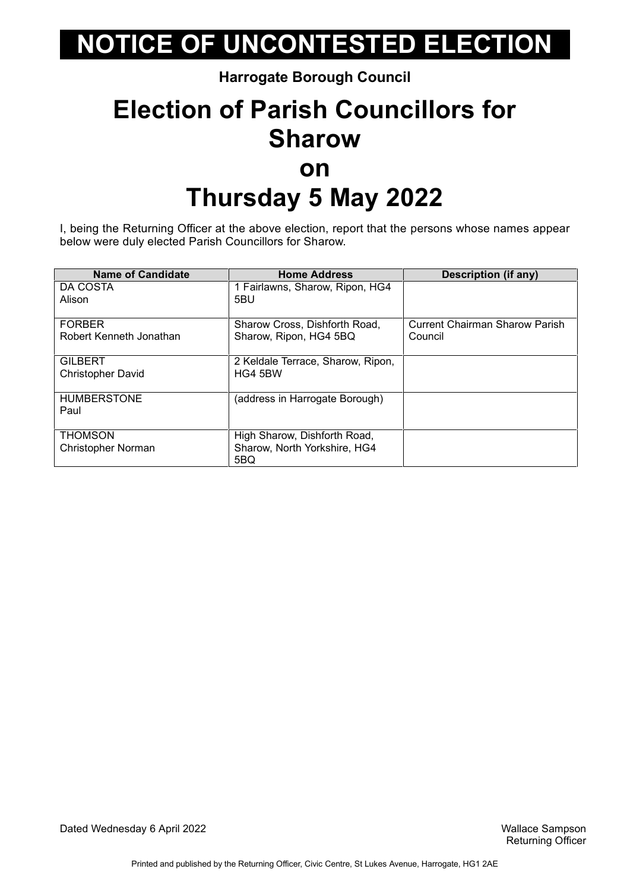**Harrogate Borough Council**

### **Election of Parish Councillors for Sharow on Thursday 5 May 2022**

I, being the Returning Officer at the above election, report that the persons whose names appear below were duly elected Parish Councillors for Sharow.

| <b>Name of Candidate</b> | <b>Home Address</b>               | Description (if any)           |
|--------------------------|-----------------------------------|--------------------------------|
| DA COSTA                 | 1 Fairlawns, Sharow, Ripon, HG4   |                                |
| Alison                   | 5BU                               |                                |
|                          |                                   |                                |
| <b>FORBER</b>            | Sharow Cross, Dishforth Road,     | Current Chairman Sharow Parish |
| Robert Kenneth Jonathan  | Sharow, Ripon, HG4 5BQ            | Council                        |
|                          |                                   |                                |
| <b>GILBERT</b>           | 2 Keldale Terrace, Sharow, Ripon, |                                |
| <b>Christopher David</b> | HG4 5BW                           |                                |
|                          |                                   |                                |
| <b>HUMBERSTONE</b>       | (address in Harrogate Borough)    |                                |
| Paul                     |                                   |                                |
|                          |                                   |                                |
| <b>THOMSON</b>           | High Sharow, Dishforth Road,      |                                |
| Christopher Norman       | Sharow, North Yorkshire, HG4      |                                |
|                          | 5BQ                               |                                |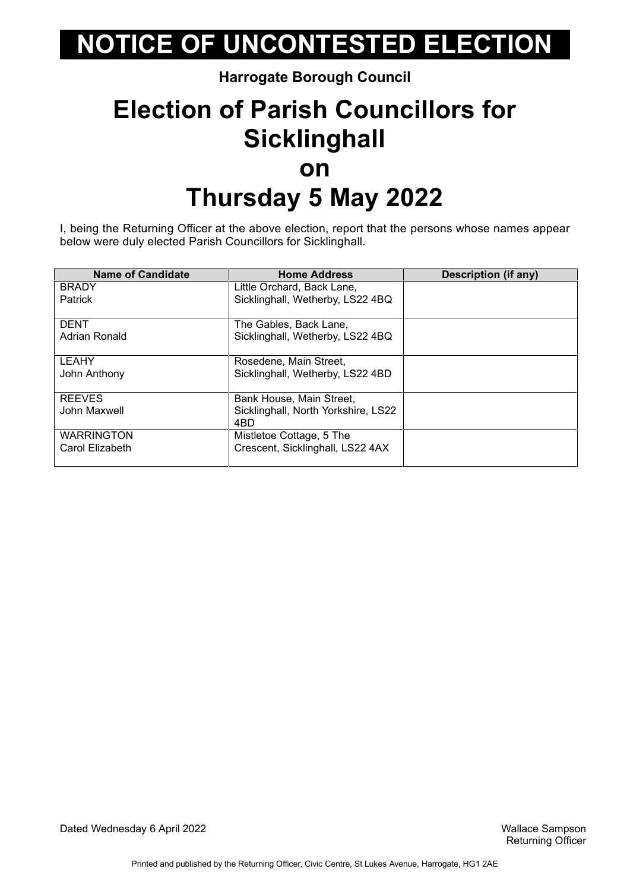#### **Harrogate Borough Council**

### **Election of Parish Councillors for Sicklinghall on Thursday 5 May 2022**

I, being the Returning Officer at the above election, report that the persons whose names appear below were duly elected Parish Councillors for Sicklinghall.

| <b>Name of Candidate</b> | <b>Home Address</b>                 | Description (if any) |
|--------------------------|-------------------------------------|----------------------|
| <b>BRADY</b>             | Little Orchard, Back Lane,          |                      |
| <b>Patrick</b>           | Sicklinghall, Wetherby, LS22 4BQ    |                      |
|                          |                                     |                      |
| <b>DENT</b>              | The Gables, Back Lane,              |                      |
| Adrian Ronald            | Sicklinghall, Wetherby, LS22 4BQ    |                      |
|                          |                                     |                      |
| <b>LEAHY</b>             | Rosedene, Main Street,              |                      |
| John Anthony             | Sicklinghall, Wetherby, LS22 4BD    |                      |
|                          |                                     |                      |
| <b>REEVES</b>            | Bank House, Main Street,            |                      |
| John Maxwell             | Sicklinghall, North Yorkshire, LS22 |                      |
|                          | 4BD                                 |                      |
| <b>WARRINGTON</b>        | Mistletoe Cottage, 5 The            |                      |
| Carol Elizabeth          | Crescent, Sicklinghall, LS22 4AX    |                      |
|                          |                                     |                      |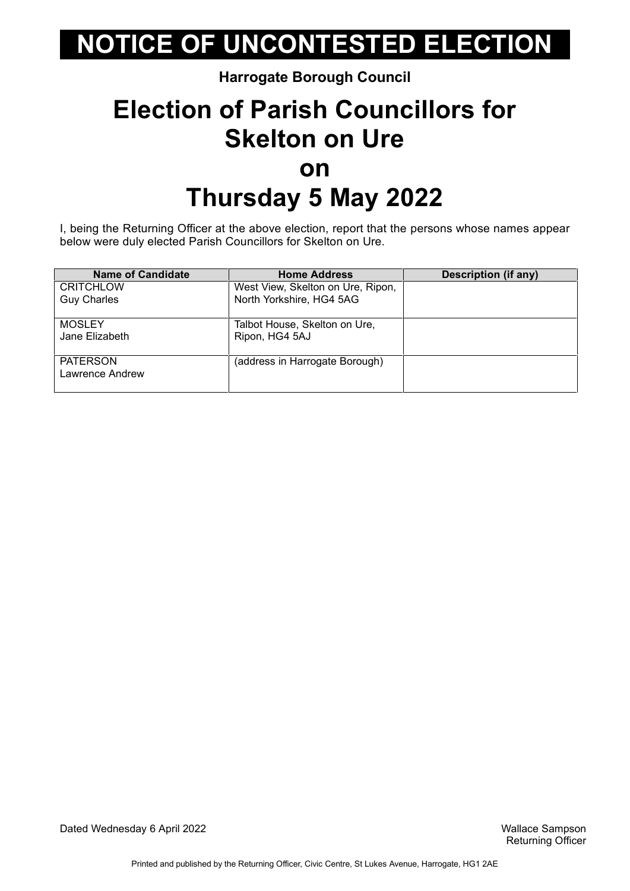#### **Harrogate Borough Council**

### **Election of Parish Councillors for Skelton on Ure on Thursday 5 May 2022**

I, being the Returning Officer at the above election, report that the persons whose names appear below were duly elected Parish Councillors for Skelton on Ure.

| <b>Name of Candidate</b> | <b>Home Address</b>               | <b>Description (if any)</b> |
|--------------------------|-----------------------------------|-----------------------------|
| <b>CRITCHLOW</b>         | West View, Skelton on Ure, Ripon, |                             |
| <b>Guy Charles</b>       | North Yorkshire, HG4 5AG          |                             |
| <b>MOSLEY</b>            | Talbot House, Skelton on Ure,     |                             |
| Jane Elizabeth           | Ripon, HG4 5AJ                    |                             |
| <b>PATERSON</b>          | (address in Harrogate Borough)    |                             |
| Lawrence Andrew          |                                   |                             |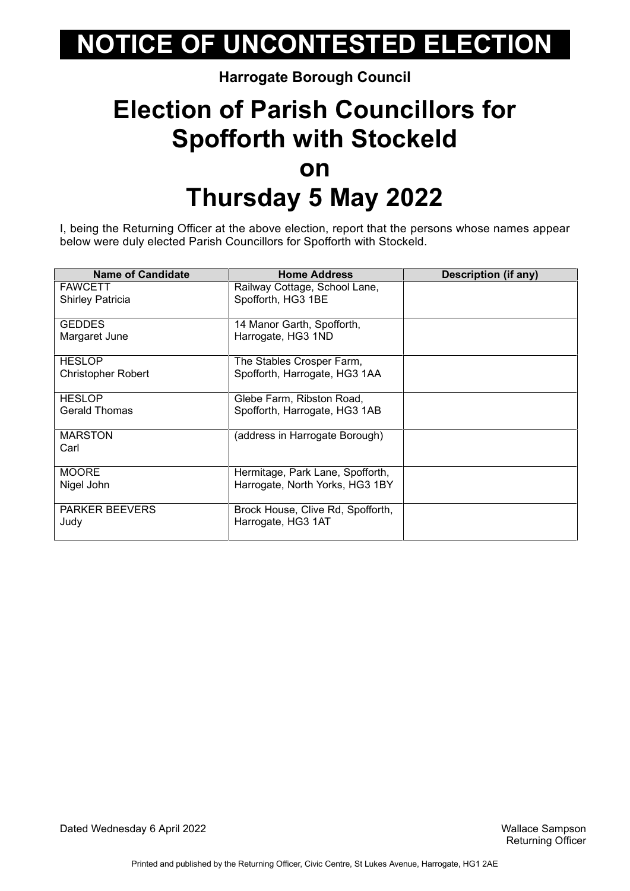#### **Harrogate Borough Council**

### **Election of Parish Councillors for Spofforth with Stockeld on Thursday 5 May 2022**

I, being the Returning Officer at the above election, report that the persons whose names appear below were duly elected Parish Councillors for Spofforth with Stockeld.

| <b>Name of Candidate</b>  | <b>Home Address</b>               | Description (if any) |
|---------------------------|-----------------------------------|----------------------|
| <b>FAWCETT</b>            | Railway Cottage, School Lane,     |                      |
| <b>Shirley Patricia</b>   | Spofforth, HG3 1BE                |                      |
|                           |                                   |                      |
| <b>GEDDES</b>             | 14 Manor Garth, Spofforth,        |                      |
| Margaret June             | Harrogate, HG3 1ND                |                      |
|                           |                                   |                      |
| <b>HESLOP</b>             | The Stables Crosper Farm,         |                      |
| <b>Christopher Robert</b> | Spofforth, Harrogate, HG3 1AA     |                      |
|                           |                                   |                      |
| <b>HESLOP</b>             | Glebe Farm, Ribston Road,         |                      |
| <b>Gerald Thomas</b>      | Spofforth, Harrogate, HG3 1AB     |                      |
|                           |                                   |                      |
| <b>MARSTON</b>            | (address in Harrogate Borough)    |                      |
| Carl                      |                                   |                      |
|                           |                                   |                      |
| <b>MOORE</b>              | Hermitage, Park Lane, Spofforth,  |                      |
| Nigel John                | Harrogate, North Yorks, HG3 1BY   |                      |
|                           |                                   |                      |
| <b>PARKER BEEVERS</b>     | Brock House, Clive Rd, Spofforth, |                      |
| Judy                      | Harrogate, HG3 1AT                |                      |
|                           |                                   |                      |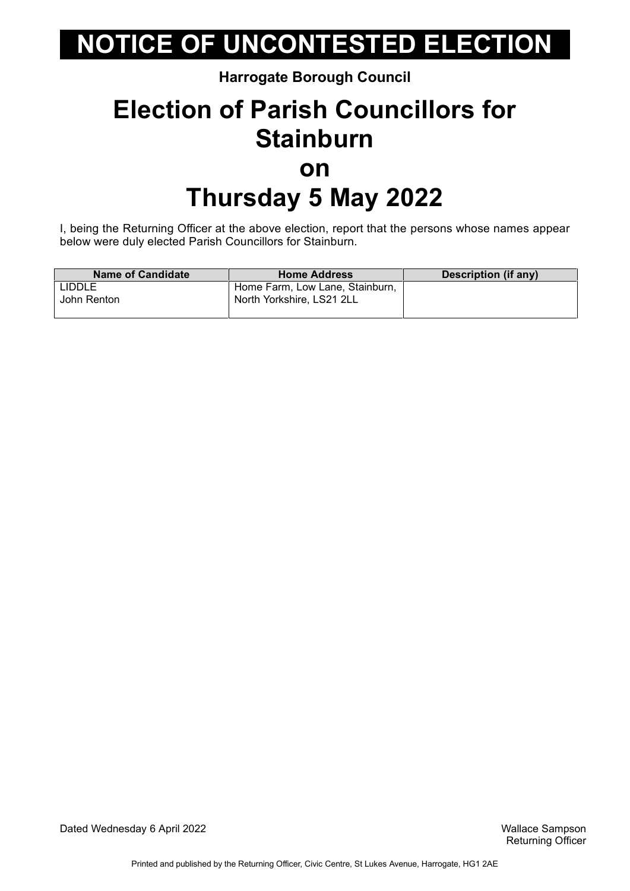#### **Harrogate Borough Council**

### **Election of Parish Councillors for Stainburn on Thursday 5 May 2022**

I, being the Returning Officer at the above election, report that the persons whose names appear below were duly elected Parish Councillors for Stainburn.

| <b>Name of Candidate</b> | <b>Home Address</b>             | Description (if any) |
|--------------------------|---------------------------------|----------------------|
| <b>LIDDLE</b>            | Home Farm, Low Lane, Stainburn, |                      |
| John Renton              | North Yorkshire, LS21 2LL       |                      |
|                          |                                 |                      |

Dated Wednesday 6 April 2022 Wallace Sampson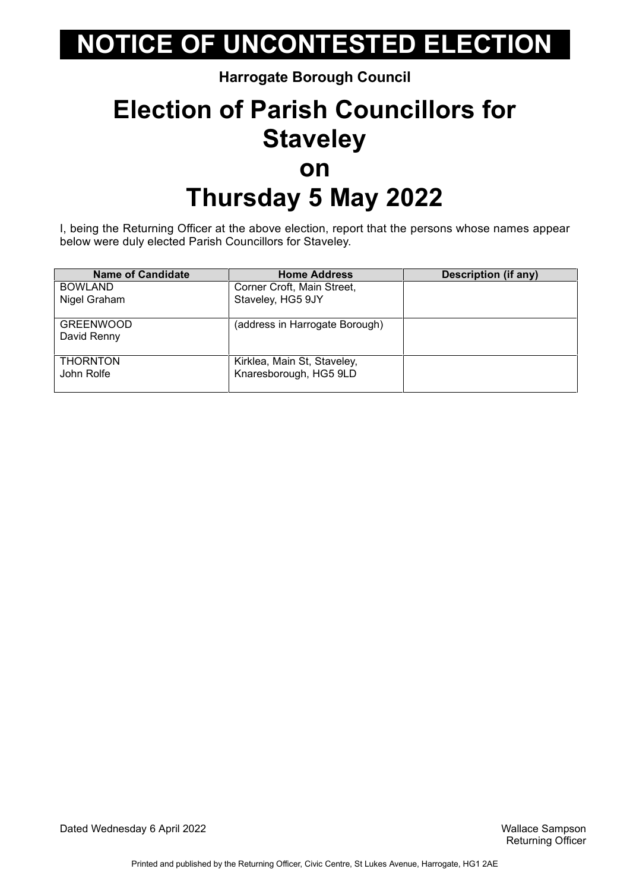#### **Harrogate Borough Council**

### **Election of Parish Councillors for Staveley on Thursday 5 May 2022**

I, being the Returning Officer at the above election, report that the persons whose names appear below were duly elected Parish Councillors for Staveley.

| <b>Name of Candidate</b>        | <b>Home Address</b>                                   | <b>Description (if any)</b> |
|---------------------------------|-------------------------------------------------------|-----------------------------|
| <b>BOWLAND</b>                  | Corner Croft, Main Street,                            |                             |
| Nigel Graham                    | Staveley, HG5 9JY                                     |                             |
| <b>GREENWOOD</b><br>David Renny | (address in Harrogate Borough)                        |                             |
| <b>THORNTON</b><br>John Rolfe   | Kirklea, Main St, Staveley,<br>Knaresborough, HG5 9LD |                             |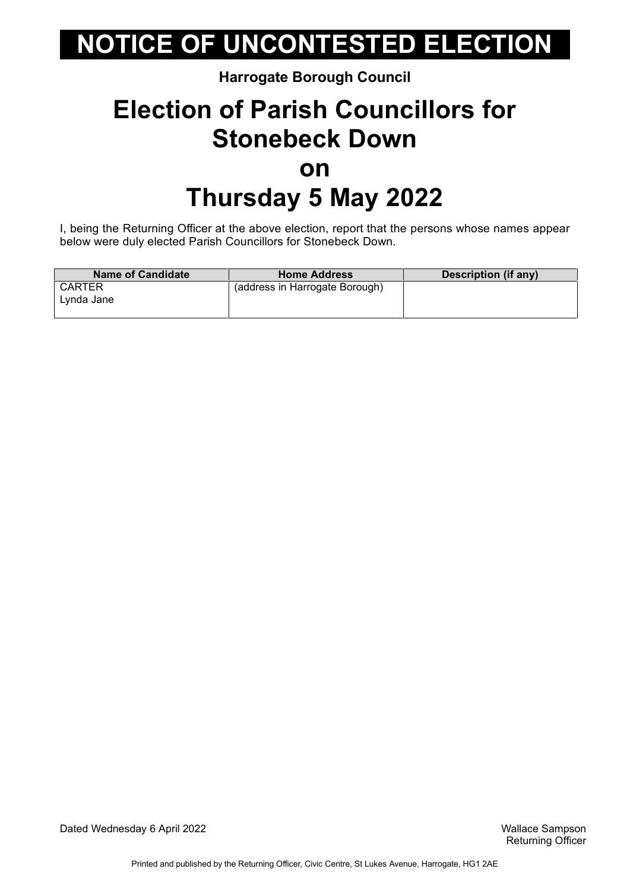#### **Harrogate Borough Council**

### **Election of Parish Councillors for Stonebeck Down on Thursday 5 May 2022**

I, being the Returning Officer at the above election, report that the persons whose names appear below were duly elected Parish Councillors for Stonebeck Down.

| <b>Name of Candidate</b> | <b>Home Address</b>            | Description (if any) |
|--------------------------|--------------------------------|----------------------|
| <b>CARTER</b>            | (address in Harrogate Borough) |                      |
| Lynda Jane               |                                |                      |
|                          |                                |                      |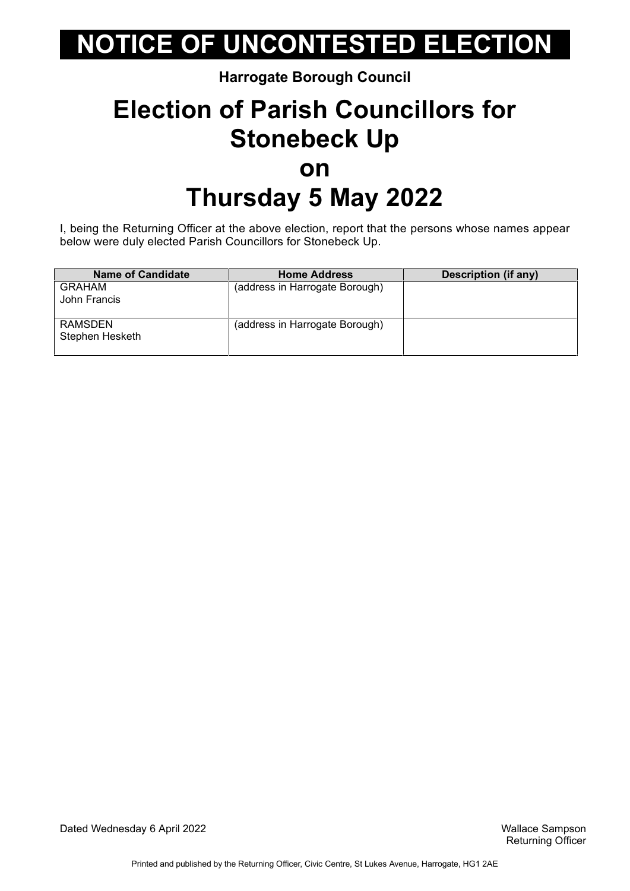#### **Harrogate Borough Council**

## **Election of Parish Councillors for Stonebeck Up on Thursday 5 May 2022**

I, being the Returning Officer at the above election, report that the persons whose names appear below were duly elected Parish Councillors for Stonebeck Up.

| <b>Name of Candidate</b>   | <b>Home Address</b>            | Description (if any) |
|----------------------------|--------------------------------|----------------------|
| GRAHAM<br>John Francis     | (address in Harrogate Borough) |                      |
| RAMSDEN<br>Stephen Hesketh | (address in Harrogate Borough) |                      |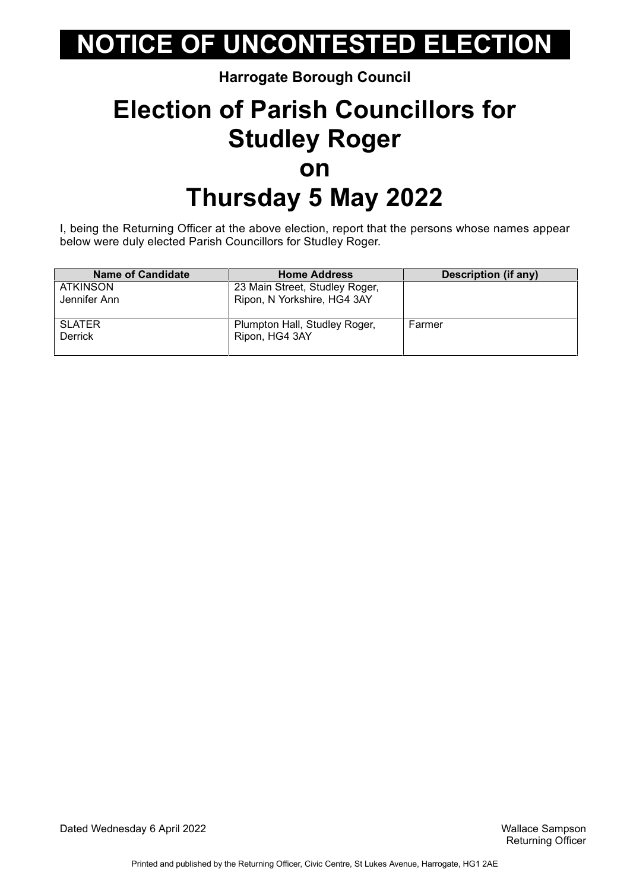#### **Harrogate Borough Council**

### **Election of Parish Councillors for Studley Roger on Thursday 5 May 2022**

I, being the Returning Officer at the above election, report that the persons whose names appear below were duly elected Parish Councillors for Studley Roger.

| <b>Name of Candidate</b> | <b>Home Address</b>            | Description (if any) |
|--------------------------|--------------------------------|----------------------|
| ATKINSON                 | 23 Main Street, Studley Roger, |                      |
| Jennifer Ann             | Ripon, N Yorkshire, HG4 3AY    |                      |
|                          |                                |                      |
| <b>SLATER</b>            | Plumpton Hall, Studley Roger,  | Farmer               |
| Derrick                  | Ripon, HG4 3AY                 |                      |
|                          |                                |                      |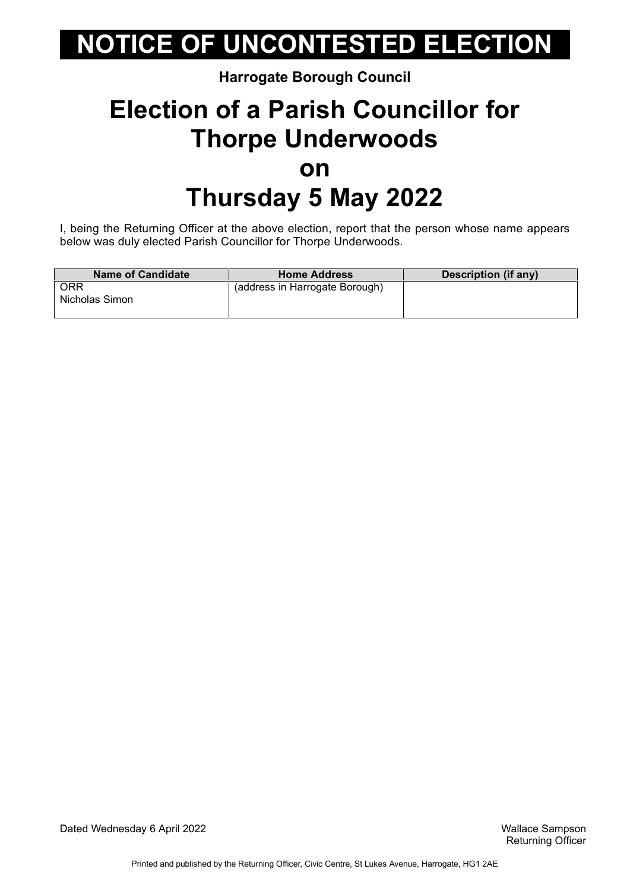#### **Harrogate Borough Council**

## **Election of a Parish Councillor for Thorpe Underwoods on Thursday 5 May 2022**

I, being the Returning Officer at the above election, report that the person whose name appears below was duly elected Parish Councillor for Thorpe Underwoods.

| <b>Name of Candidate</b>     | <b>Home Address</b>            | Description (if any) |
|------------------------------|--------------------------------|----------------------|
| <b>ORR</b><br>Nicholas Simon | (address in Harrogate Borough) |                      |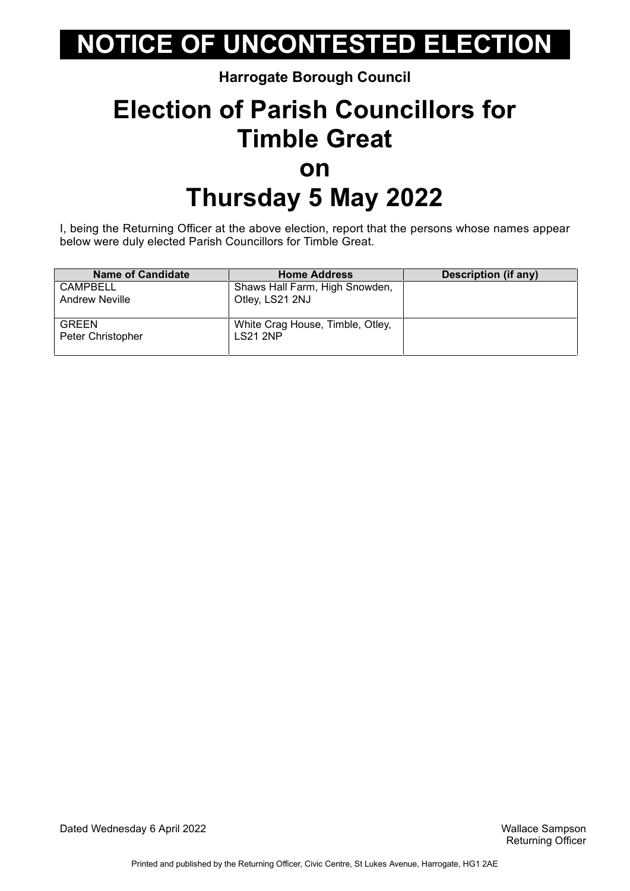#### **Harrogate Borough Council**

### **Election of Parish Councillors for Timble Great on Thursday 5 May 2022**

I, being the Returning Officer at the above election, report that the persons whose names appear below were duly elected Parish Councillors for Timble Great.

| <b>Name of Candidate</b> | <b>Home Address</b>              | <b>Description (if any)</b> |
|--------------------------|----------------------------------|-----------------------------|
| CAMPBELL                 | Shaws Hall Farm, High Snowden,   |                             |
| <b>Andrew Neville</b>    | Otley, LS21 2NJ                  |                             |
|                          |                                  |                             |
| <b>GREEN</b>             | White Crag House, Timble, Otley, |                             |
| Peter Christopher        | <b>LS21 2NP</b>                  |                             |
|                          |                                  |                             |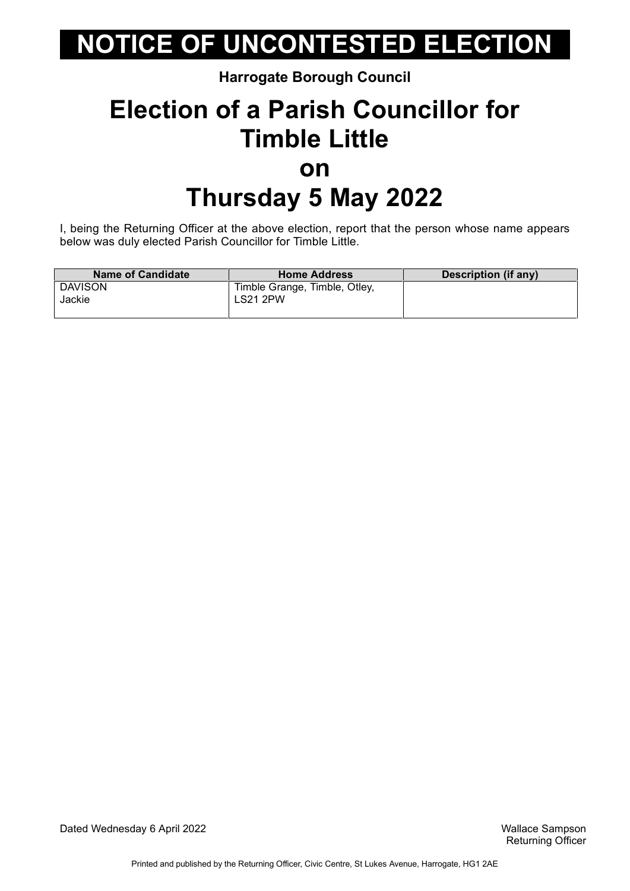#### **Harrogate Borough Council**

### **Election of a Parish Councillor for Timble Little on Thursday 5 May 2022**

I, being the Returning Officer at the above election, report that the person whose name appears below was duly elected Parish Councillor for Timble Little.

| <b>Name of Candidate</b> | <b>Home Address</b>                              | Description (if any) |
|--------------------------|--------------------------------------------------|----------------------|
| <b>DAVISON</b><br>Jackie | Timble Grange, Timble, Otley,<br><b>LS21 2PW</b> |                      |
|                          |                                                  |                      |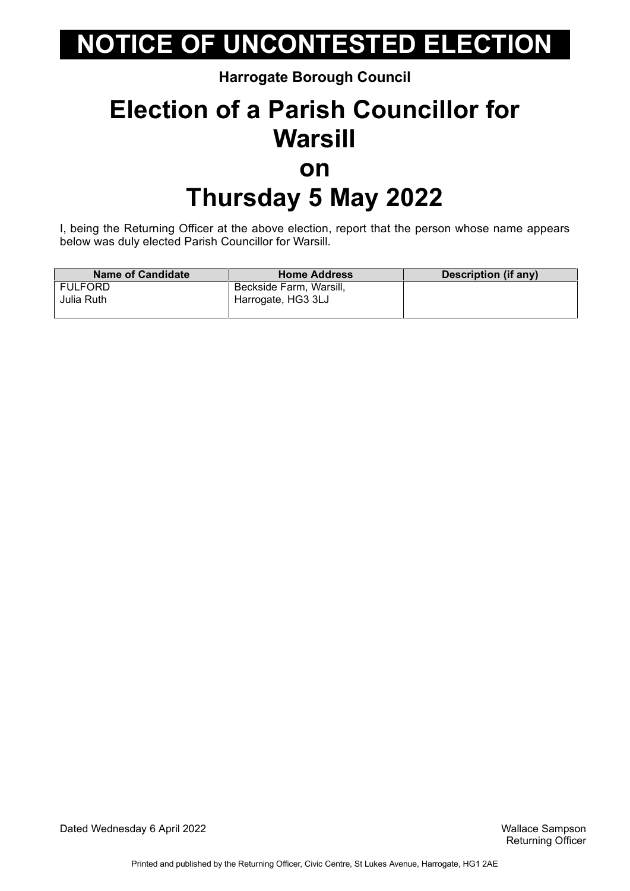**Harrogate Borough Council**

### **Election of a Parish Councillor for Warsill on Thursday 5 May 2022**

I, being the Returning Officer at the above election, report that the person whose name appears below was duly elected Parish Councillor for Warsill.

| <b>Name of Candidate</b> | <b>Home Address</b>     | Description (if any) |
|--------------------------|-------------------------|----------------------|
| FULFORD                  | Beckside Farm, Warsill, |                      |
| Julia Ruth               | Harrogate, HG3 3LJ      |                      |
|                          |                         |                      |

Dated Wednesday 6 April 2022 Wallace Sampson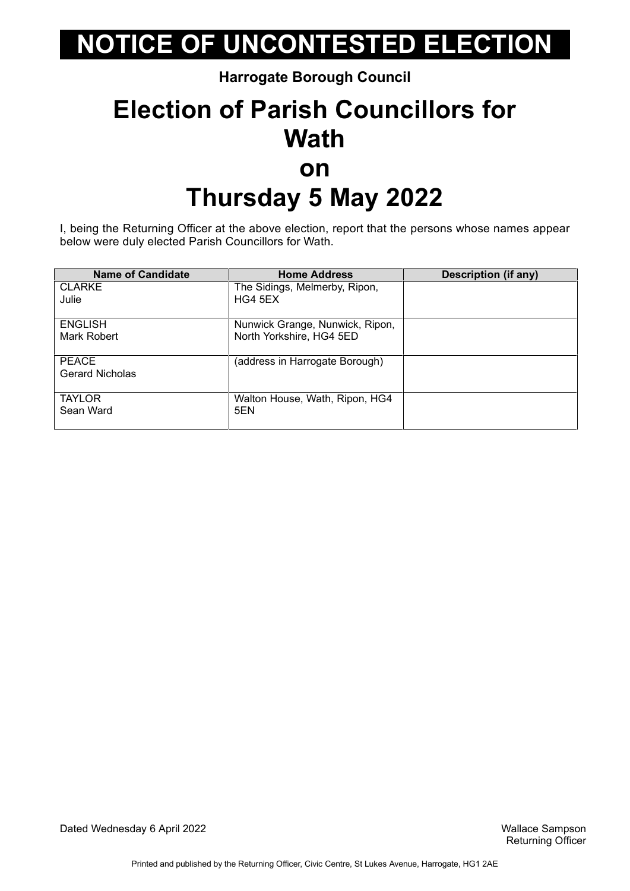**Harrogate Borough Council**

### **Election of Parish Councillors for Wath on Thursday 5 May 2022**

I, being the Returning Officer at the above election, report that the persons whose names appear below were duly elected Parish Councillors for Wath.

| <b>Name of Candidate</b> | <b>Home Address</b>             | <b>Description (if any)</b> |
|--------------------------|---------------------------------|-----------------------------|
| <b>CLARKE</b>            | The Sidings, Melmerby, Ripon,   |                             |
| Julie                    | HG4 5EX                         |                             |
| <b>ENGLISH</b>           | Nunwick Grange, Nunwick, Ripon, |                             |
| Mark Robert              | North Yorkshire, HG4 5ED        |                             |
| PEACE                    | (address in Harrogate Borough)  |                             |
| <b>Gerard Nicholas</b>   |                                 |                             |
| <b>TAYLOR</b>            | Walton House, Wath, Ripon, HG4  |                             |
| Sean Ward                | 5EN                             |                             |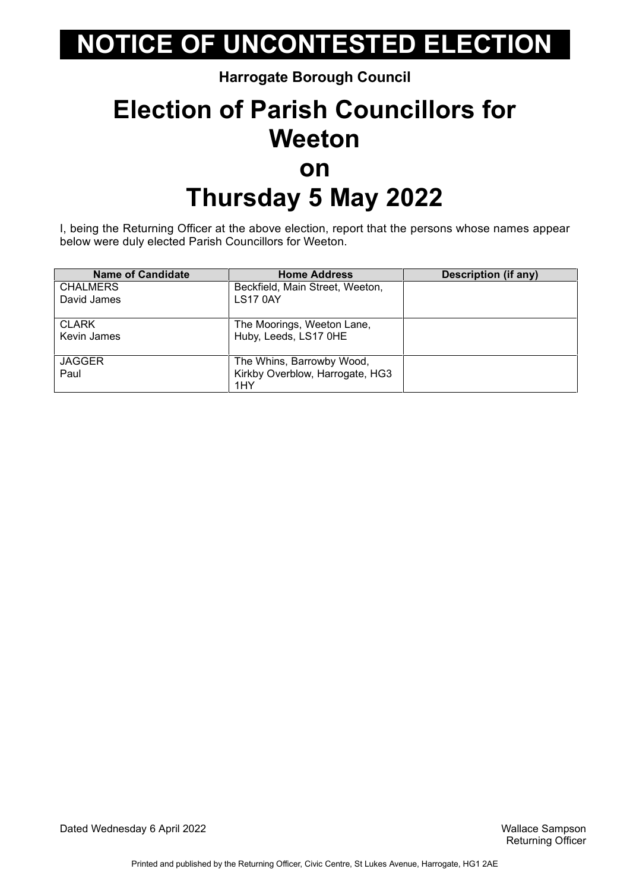**Harrogate Borough Council**

### **Election of Parish Councillors for Weeton on Thursday 5 May 2022**

I, being the Returning Officer at the above election, report that the persons whose names appear below were duly elected Parish Councillors for Weeton.

| <b>Name of Candidate</b> | <b>Home Address</b>             | <b>Description (if any)</b> |
|--------------------------|---------------------------------|-----------------------------|
| <b>CHALMERS</b>          | Beckfield, Main Street, Weeton, |                             |
| David James              | <b>LS17 0AY</b>                 |                             |
| <b>CLARK</b>             | The Moorings, Weeton Lane,      |                             |
| Kevin James              | Huby, Leeds, LS17 OHE           |                             |
| <b>JAGGER</b>            | The Whins, Barrowby Wood,       |                             |
| Paul                     | Kirkby Overblow, Harrogate, HG3 |                             |
|                          | 1HY                             |                             |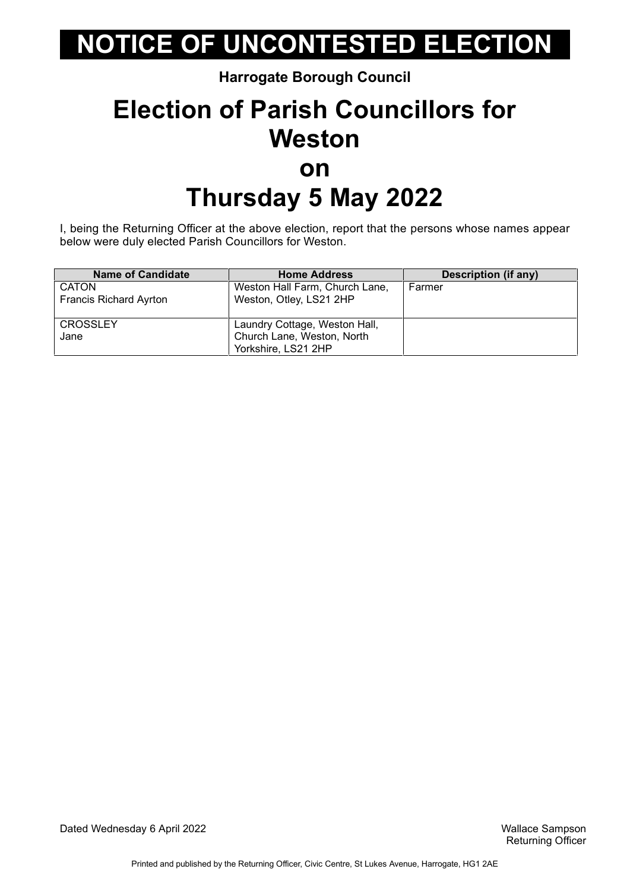**Harrogate Borough Council**

### **Election of Parish Councillors for Weston on Thursday 5 May 2022**

I, being the Returning Officer at the above election, report that the persons whose names appear below were duly elected Parish Councillors for Weston.

| <b>Name of Candidate</b>      | <b>Home Address</b>            | <b>Description (if any)</b> |
|-------------------------------|--------------------------------|-----------------------------|
| <b>CATON</b>                  | Weston Hall Farm, Church Lane, | Farmer                      |
| <b>Francis Richard Ayrton</b> | Weston, Otley, LS21 2HP        |                             |
|                               |                                |                             |
| <b>CROSSLEY</b>               | Laundry Cottage, Weston Hall,  |                             |
| Jane                          | Church Lane, Weston, North     |                             |
|                               | Yorkshire, LS21 2HP            |                             |

Dated Wednesday 6 April 2022 Wallace Sampson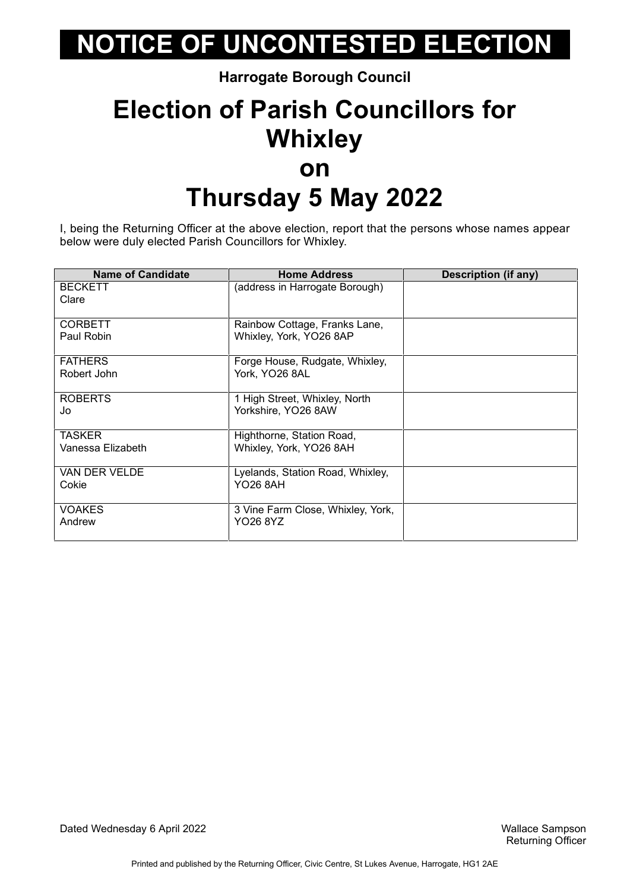**Harrogate Borough Council**

### **Election of Parish Councillors for Whixley on Thursday 5 May 2022**

I, being the Returning Officer at the above election, report that the persons whose names appear below were duly elected Parish Councillors for Whixley.

| <b>Name of Candidate</b> | <b>Home Address</b>               | Description (if any) |
|--------------------------|-----------------------------------|----------------------|
| <b>BECKETT</b>           | (address in Harrogate Borough)    |                      |
| Clare                    |                                   |                      |
|                          |                                   |                      |
| <b>CORBETT</b>           | Rainbow Cottage, Franks Lane,     |                      |
| Paul Robin               | Whixley, York, YO26 8AP           |                      |
|                          |                                   |                      |
| <b>FATHERS</b>           | Forge House, Rudgate, Whixley,    |                      |
| Robert John              | York, YO26 8AL                    |                      |
|                          |                                   |                      |
| <b>ROBERTS</b>           | 1 High Street, Whixley, North     |                      |
| Jo                       | Yorkshire, YO26 8AW               |                      |
|                          |                                   |                      |
| <b>TASKER</b>            | Highthorne, Station Road,         |                      |
| Vanessa Elizabeth        | Whixley, York, YO26 8AH           |                      |
|                          |                                   |                      |
| VAN DER VELDE            | Lyelands, Station Road, Whixley,  |                      |
| Cokie                    | <b>YO26 8AH</b>                   |                      |
|                          |                                   |                      |
| <b>VOAKES</b>            | 3 Vine Farm Close, Whixley, York, |                      |
| Andrew                   | YO26 8YZ                          |                      |
|                          |                                   |                      |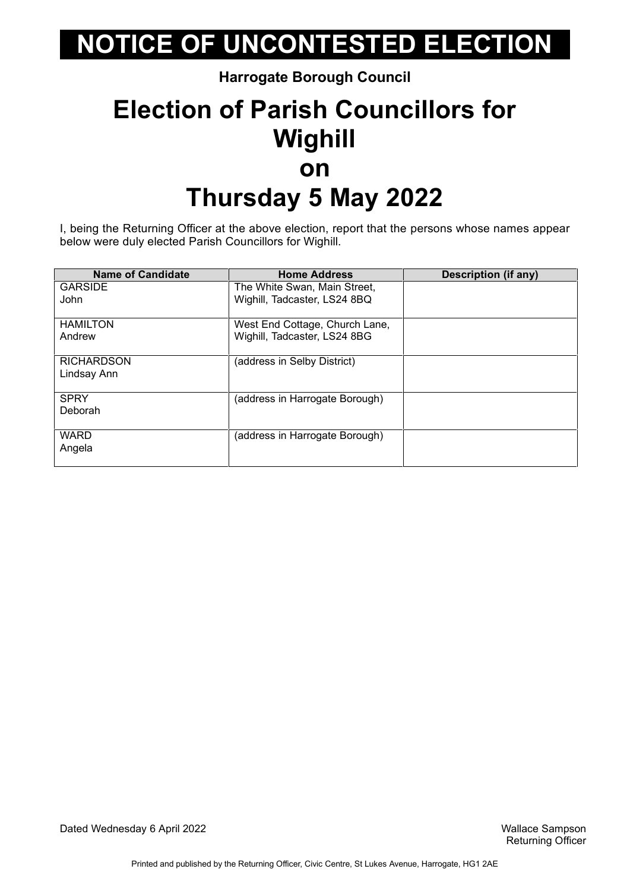**Harrogate Borough Council**

### **Election of Parish Councillors for Wighill on Thursday 5 May 2022**

I, being the Returning Officer at the above election, report that the persons whose names appear below were duly elected Parish Councillors for Wighill.

| <b>Name of Candidate</b> | <b>Home Address</b>            | Description (if any) |
|--------------------------|--------------------------------|----------------------|
| <b>GARSIDE</b>           | The White Swan, Main Street,   |                      |
| John                     | Wighill, Tadcaster, LS24 8BQ   |                      |
| <b>HAMILTON</b>          | West End Cottage, Church Lane, |                      |
| Andrew                   | Wighill, Tadcaster, LS24 8BG   |                      |
| <b>RICHARDSON</b>        | (address in Selby District)    |                      |
| Lindsay Ann              |                                |                      |
| <b>SPRY</b>              | (address in Harrogate Borough) |                      |
| Deborah                  |                                |                      |
| <b>WARD</b>              | (address in Harrogate Borough) |                      |
| Angela                   |                                |                      |